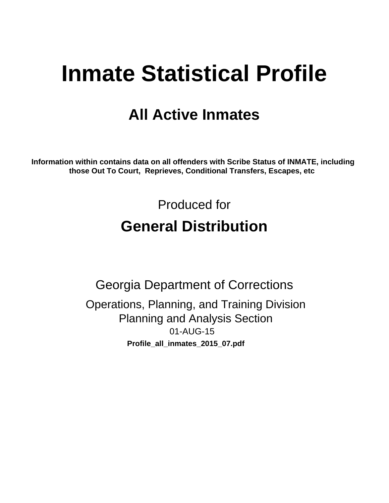# **Inmate Statistical Profile**

## **All Active Inmates**

Information within contains data on all offenders with Scribe Status of INMATE, including those Out To Court, Reprieves, Conditional Transfers, Escapes, etc

> Produced for **General Distribution**

**Georgia Department of Corrections** Operations, Planning, and Training Division **Planning and Analysis Section** 01-AUG-15 Profile\_all\_inmates\_2015\_07.pdf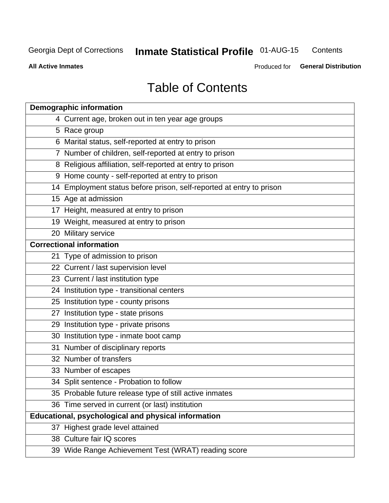#### **Inmate Statistical Profile 01-AUG-15** Contents

**All Active Inmates** 

Produced for General Distribution

## **Table of Contents**

| <b>Demographic information</b>                                       |
|----------------------------------------------------------------------|
| 4 Current age, broken out in ten year age groups                     |
| 5 Race group                                                         |
| 6 Marital status, self-reported at entry to prison                   |
| 7 Number of children, self-reported at entry to prison               |
| 8 Religious affiliation, self-reported at entry to prison            |
| 9 Home county - self-reported at entry to prison                     |
| 14 Employment status before prison, self-reported at entry to prison |
| 15 Age at admission                                                  |
| 17 Height, measured at entry to prison                               |
| 19 Weight, measured at entry to prison                               |
| 20 Military service                                                  |
| <b>Correctional information</b>                                      |
| 21 Type of admission to prison                                       |
| 22 Current / last supervision level                                  |
| 23 Current / last institution type                                   |
| 24 Institution type - transitional centers                           |
| 25 Institution type - county prisons                                 |
| 27 Institution type - state prisons                                  |
| 29 Institution type - private prisons                                |
| 30 Institution type - inmate boot camp                               |
| 31 Number of disciplinary reports                                    |
| 32 Number of transfers                                               |
| 33 Number of escapes                                                 |
| 34 Split sentence - Probation to follow                              |
| 35 Probable future release type of still active inmates              |
| 36 Time served in current (or last) institution                      |
| <b>Educational, psychological and physical information</b>           |
| 37 Highest grade level attained                                      |
| 38 Culture fair IQ scores                                            |
| 39 Wide Range Achievement Test (WRAT) reading score                  |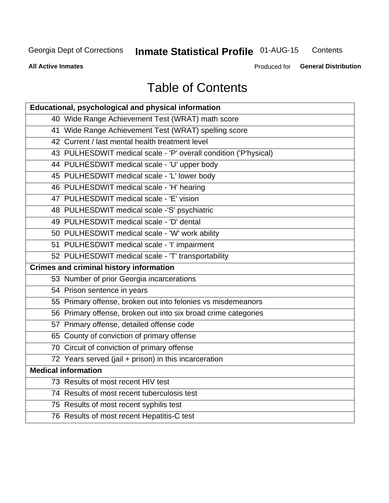#### **Inmate Statistical Profile 01-AUG-15** Contents

**All Active Inmates** 

Produced for General Distribution

## **Table of Contents**

| Educational, psychological and physical information              |
|------------------------------------------------------------------|
| 40 Wide Range Achievement Test (WRAT) math score                 |
| 41 Wide Range Achievement Test (WRAT) spelling score             |
| 42 Current / last mental health treatment level                  |
| 43 PULHESDWIT medical scale - 'P' overall condition ('P'hysical) |
| 44 PULHESDWIT medical scale - 'U' upper body                     |
| 45 PULHESDWIT medical scale - 'L' lower body                     |
| 46 PULHESDWIT medical scale - 'H' hearing                        |
| 47 PULHESDWIT medical scale - 'E' vision                         |
| 48 PULHESDWIT medical scale -'S' psychiatric                     |
| 49 PULHESDWIT medical scale - 'D' dental                         |
| 50 PULHESDWIT medical scale - 'W' work ability                   |
| 51 PULHESDWIT medical scale - 'I' impairment                     |
| 52 PULHESDWIT medical scale - 'T' transportability               |
|                                                                  |
| <b>Crimes and criminal history information</b>                   |
| 53 Number of prior Georgia incarcerations                        |
| 54 Prison sentence in years                                      |
| 55 Primary offense, broken out into felonies vs misdemeanors     |
| 56 Primary offense, broken out into six broad crime categories   |
| 57 Primary offense, detailed offense code                        |
| 65 County of conviction of primary offense                       |
| 70 Circuit of conviction of primary offense                      |
| 72 Years served (jail + prison) in this incarceration            |
| <b>Medical information</b>                                       |
| 73 Results of most recent HIV test                               |
| 74 Results of most recent tuberculosis test                      |
| 75 Results of most recent syphilis test                          |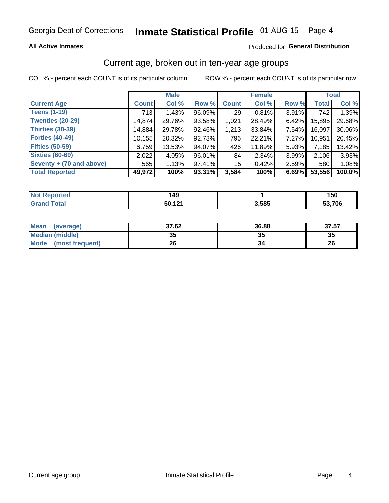### **All Active Inmates**

### Produced for General Distribution

## Current age, broken out in ten-year age groups

COL % - percent each COUNT is of its particular column

|                          | <b>Male</b>  |        |        | <b>Female</b>   |        |          | <b>Total</b> |        |
|--------------------------|--------------|--------|--------|-----------------|--------|----------|--------------|--------|
| <b>Current Age</b>       | <b>Count</b> | Col %  | Row %  | <b>Count</b>    | Col %  | Row %    | <b>Total</b> | Col %  |
| <b>Teens (1-19)</b>      | 713          | 1.43%  | 96.09% | 29              | 0.81%  | 3.91%    | 742          | 1.39%  |
| <b>Twenties (20-29)</b>  | 14,874       | 29.76% | 93.58% | 1,021           | 28.49% | $6.42\%$ | 15,895       | 29.68% |
| Thirties (30-39)         | 14,884       | 29.78% | 92.46% | 1,213           | 33.84% | $7.54\%$ | 16,097       | 30.06% |
| <b>Forties (40-49)</b>   | 10, 155      | 20.32% | 92.73% | 796             | 22.21% | 7.27%    | 10,951       | 20.45% |
| <b>Fifties (50-59)</b>   | 6,759        | 13.53% | 94.07% | 426             | 11.89% | 5.93%    | 7,185        | 13.42% |
| <b>Sixties (60-69)</b>   | 2,022        | 4.05%  | 96.01% | 84              | 2.34%  | 3.99%    | 2,106        | 3.93%  |
| Seventy + (70 and above) | 565          | 1.13%  | 97.41% | 15 <sup>1</sup> | 0.42%  | 2.59%    | 580          | 1.08%  |
| <b>Total Reported</b>    | 49,972       | 100%   | 93.31% | 3,584           | 100%   | 6.69%    | 53,556       | 100.0% |

| <b>Not Reported</b> | 49  |       | 150  |
|---------------------|-----|-------|------|
| Total               | 121 | 3,585 | .706 |

| <b>Mean</b><br>(average)       | 37.62    | 36.88 | 37.57 |
|--------------------------------|----------|-------|-------|
| Median (middle)                | つん<br>vu | JJ    | 35    |
| <b>Mode</b><br>(most frequent) | 26       |       | 26    |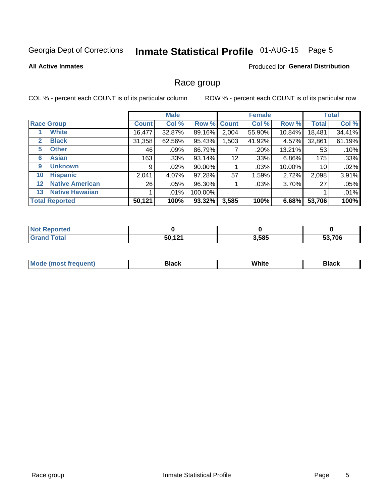## Inmate Statistical Profile 01-AUG-15 Page 5

### **All Active Inmates**

#### Produced for General Distribution

### Race group

COL % - percent each COUNT is of its particular column

|                   |                        |              | <b>Male</b> |         |             | <b>Female</b> |        |              | <b>Total</b> |  |
|-------------------|------------------------|--------------|-------------|---------|-------------|---------------|--------|--------------|--------------|--|
|                   | <b>Race Group</b>      | <b>Count</b> | Col %       |         | Row % Count | Col %         | Row %  | <b>Total</b> | Col %        |  |
|                   | <b>White</b>           | 16,477       | 32.87%      | 89.16%  | 2,004       | 55.90%        | 10.84% | 18,481       | 34.41%       |  |
| 2                 | <b>Black</b>           | 31,358       | 62.56%      | 95.43%  | ,503        | 41.92%        | 4.57%  | 32,861       | 61.19%       |  |
| 5                 | <b>Other</b>           | 46           | .09%        | 86.79%  |             | .20%          | 13.21% | 53           | .10%         |  |
| 6                 | <b>Asian</b>           | 163          | $.33\%$     | 93.14%  | 12          | .33%          | 6.86%  | 175          | .33%         |  |
| 9                 | <b>Unknown</b>         | 9            | $.02\%$     | 90.00%  |             | .03%          | 10.00% | 10           | .02%         |  |
| 10                | <b>Hispanic</b>        | 2,041        | 4.07%       | 97.28%  | 57          | 1.59%         | 2.72%  | 2,098        | 3.91%        |  |
| $12 \overline{ }$ | <b>Native American</b> | 26           | .05%        | 96.30%  |             | .03%          | 3.70%  | 27           | .05%         |  |
| 13                | <b>Native Hawaiian</b> |              | $.01\%$     | 100.00% |             |               |        |              | .01%         |  |
|                   | <b>Total Reported</b>  | 50,121       | 100%        | 93.32%  | 3,585       | 100%          | 6.68%  | 53,706       | 100%         |  |

| <b>Not Reported</b>    |                   |       |        |
|------------------------|-------------------|-------|--------|
| <b>Total</b><br>'Grand | 50,121<br>'. IZ I | 3,585 | 53,706 |

| <b>Mode</b><br>---<br>most frequent) | Black | White | <b>Black</b> |
|--------------------------------------|-------|-------|--------------|
|                                      |       |       |              |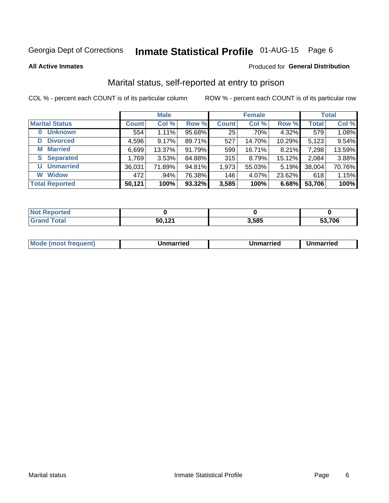## Inmate Statistical Profile 01-AUG-15 Page 6

**All Active Inmates** 

#### Produced for General Distribution

## Marital status, self-reported at entry to prison

COL % - percent each COUNT is of its particular column

|                            | <b>Male</b>  |         |        |              | <b>Female</b> | <b>Total</b> |              |        |
|----------------------------|--------------|---------|--------|--------------|---------------|--------------|--------------|--------|
| <b>Marital Status</b>      | <b>Count</b> | Col %   | Row %  | <b>Count</b> | Col %         | Row %        | <b>Total</b> | Col %  |
| <b>Unknown</b><br>$\bf{0}$ | 554          | 1.11%   | 95.68% | 25           | .70%          | 4.32%        | 579          | 1.08%  |
| <b>Divorced</b><br>D       | 4,596        | 9.17%   | 89.71% | 527          | 14.70%        | 10.29%       | 5,123        | 9.54%  |
| <b>Married</b><br>М        | 6,699        | 13.37%  | 91.79% | 599          | 16.71%        | 8.21%        | 7,298        | 13.59% |
| <b>Separated</b><br>S.     | 1,769        | 3.53%   | 84.88% | 315          | 8.79%         | 15.12%       | 2,084        | 3.88%  |
| <b>Unmarried</b><br>U      | 36,031       | 71.89%  | 94.81% | 1,973        | 55.03%        | 5.19%        | 38,004       | 70.76% |
| <b>Widow</b><br>W          | 472          | $.94\%$ | 76.38% | 146          | 4.07%         | 23.62%       | 618          | 1.15%  |
| <b>Total Reported</b>      | 50,121       | 100%    | 93.32% | 3,585        | 100%          | 6.68%        | 53,706       | 100%   |

| <b>Not Reported</b> |             |       |      |
|---------------------|-------------|-------|------|
| <b>Total</b>        | $\sim$<br>. | 3,585 | .706 |

|--|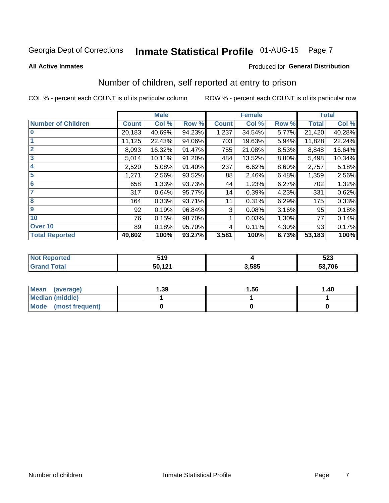## Inmate Statistical Profile 01-AUG-15 Page 7

#### **All Active Inmates**

#### Produced for General Distribution

## Number of children, self reported at entry to prison

COL % - percent each COUNT is of its particular column

|                           |              | <b>Male</b> |        |              | <b>Female</b> |       |              | <b>Total</b> |
|---------------------------|--------------|-------------|--------|--------------|---------------|-------|--------------|--------------|
| <b>Number of Children</b> | <b>Count</b> | Col %       | Row %  | <b>Count</b> | Col %         | Row % | <b>Total</b> | Col %        |
| $\bf{0}$                  | 20,183       | 40.69%      | 94.23% | 1,237        | 34.54%        | 5.77% | 21,420       | 40.28%       |
|                           | 11,125       | 22.43%      | 94.06% | 703          | 19.63%        | 5.94% | 11,828       | 22.24%       |
| $\overline{2}$            | 8,093        | 16.32%      | 91.47% | 755          | 21.08%        | 8.53% | 8,848        | 16.64%       |
| 3                         | 5,014        | 10.11%      | 91.20% | 484          | 13.52%        | 8.80% | 5,498        | 10.34%       |
| 4                         | 2,520        | 5.08%       | 91.40% | 237          | 6.62%         | 8.60% | 2,757        | 5.18%        |
| 5                         | 1,271        | 2.56%       | 93.52% | 88           | 2.46%         | 6.48% | 1,359        | 2.56%        |
| 6                         | 658          | 1.33%       | 93.73% | 44           | 1.23%         | 6.27% | 702          | 1.32%        |
| 7                         | 317          | 0.64%       | 95.77% | 14           | 0.39%         | 4.23% | 331          | 0.62%        |
| 8                         | 164          | 0.33%       | 93.71% | 11           | 0.31%         | 6.29% | 175          | 0.33%        |
| 9                         | 92           | 0.19%       | 96.84% | 3            | 0.08%         | 3.16% | 95           | 0.18%        |
| 10                        | 76           | 0.15%       | 98.70% |              | 0.03%         | 1.30% | 77           | 0.14%        |
| Over 10                   | 89           | 0.18%       | 95.70% | 4            | 0.11%         | 4.30% | 93           | 0.17%        |
| <b>Total Reported</b>     | 49,602       | 100%        | 93.27% | 3,581        | 100%          | 6.73% | 53,183       | 100%         |

|      | 51 0<br>JIJ |      | 523    |
|------|-------------|------|--------|
| υιαι | 50 121      | .585 | 53,706 |

| <b>Mean</b><br>(average) | 1.39 | 1.56 | 1.40 |
|--------------------------|------|------|------|
| <b>Median (middle)</b>   |      |      |      |
| Mode<br>(most frequent)  |      |      |      |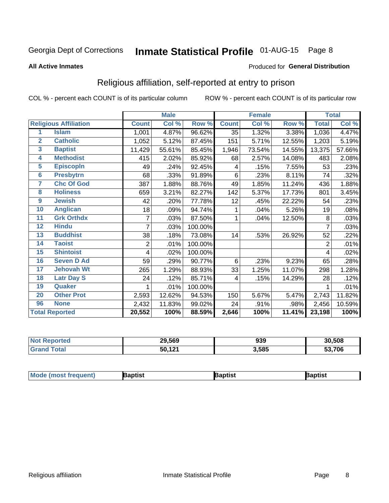## Inmate Statistical Profile 01-AUG-15 Page 8

#### **All Active Inmates**

#### Produced for General Distribution

## Religious affiliation, self-reported at entry to prison

COL % - percent each COUNT is of its particular column

|                         |                              |                | <b>Male</b> |         |              | <b>Female</b> |        |              | <b>Total</b> |
|-------------------------|------------------------------|----------------|-------------|---------|--------------|---------------|--------|--------------|--------------|
|                         | <b>Religious Affiliation</b> | <b>Count</b>   | Col %       | Row %   | <b>Count</b> | Col %         | Row %  | <b>Total</b> | Col %        |
| 1                       | <b>Islam</b>                 | 1,001          | 4.87%       | 96.62%  | 35           | 1.32%         | 3.38%  | 1,036        | 4.47%        |
| $\overline{2}$          | <b>Catholic</b>              | 1,052          | 5.12%       | 87.45%  | 151          | 5.71%         | 12.55% | 1,203        | 5.19%        |
| $\overline{\mathbf{3}}$ | <b>Baptist</b>               | 11,429         | 55.61%      | 85.45%  | 1,946        | 73.54%        | 14.55% | 13,375       | 57.66%       |
| $\overline{\mathbf{4}}$ | <b>Methodist</b>             | 415            | 2.02%       | 85.92%  | 68           | 2.57%         | 14.08% | 483          | 2.08%        |
| 5                       | <b>EpiscopIn</b>             | 49             | .24%        | 92.45%  | 4            | .15%          | 7.55%  | 53           | .23%         |
| $6\phantom{1}6$         | <b>Presbytrn</b>             | 68             | .33%        | 91.89%  | 6            | .23%          | 8.11%  | 74           | .32%         |
| 7                       | <b>Chc Of God</b>            | 387            | 1.88%       | 88.76%  | 49           | 1.85%         | 11.24% | 436          | 1.88%        |
| 8                       | <b>Holiness</b>              | 659            | 3.21%       | 82.27%  | 142          | 5.37%         | 17.73% | 801          | 3.45%        |
| 9                       | <b>Jewish</b>                | 42             | .20%        | 77.78%  | 12           | .45%          | 22.22% | 54           | .23%         |
| 10                      | <b>Anglican</b>              | 18             | .09%        | 94.74%  | 1            | .04%          | 5.26%  | 19           | .08%         |
| 11                      | <b>Grk Orthdx</b>            | $\overline{7}$ | .03%        | 87.50%  | 1            | .04%          | 12.50% | 8            | .03%         |
| 12                      | <b>Hindu</b>                 | 7              | .03%        | 100.00% |              |               |        | 7            | .03%         |
| 13                      | <b>Buddhist</b>              | 38             | .18%        | 73.08%  | 14           | .53%          | 26.92% | 52           | .22%         |
| 14                      | <b>Taoist</b>                | 2              | .01%        | 100.00% |              |               |        | 2            | .01%         |
| 15                      | <b>Shintoist</b>             | 4              | .02%        | 100.00% |              |               |        | 4            | .02%         |
| 16                      | <b>Seven D Ad</b>            | 59             | .29%        | 90.77%  | 6            | .23%          | 9.23%  | 65           | .28%         |
| 17                      | <b>Jehovah Wt</b>            | 265            | 1.29%       | 88.93%  | 33           | 1.25%         | 11.07% | 298          | 1.28%        |
| 18                      | <b>Latr Day S</b>            | 24             | .12%        | 85.71%  | 4            | .15%          | 14.29% | 28           | .12%         |
| 19                      | Quaker                       |                | .01%        | 100.00% |              |               |        |              | .01%         |
| 20                      | <b>Other Prot</b>            | 2,593          | 12.62%      | 94.53%  | 150          | 5.67%         | 5.47%  | 2,743        | 11.82%       |
| 96                      | <b>None</b>                  | 2,432          | 11.83%      | 99.02%  | 24           | .91%          | .98%   | 2,456        | 10.59%       |
|                         | <b>Total Reported</b>        | 20,552         | 100%        | 88.59%  | 2,646        | 100%          | 11.41% | 23,198       | 100%         |

| Reported<br>NO. | 29,569 | 939   | 30,508 |
|-----------------|--------|-------|--------|
| `otal           | 50,121 | 3,585 | 53,706 |

| <b>Mode (most frequent)</b> | aptist | <b>3aptist</b> | 3aptist |
|-----------------------------|--------|----------------|---------|
|                             |        |                |         |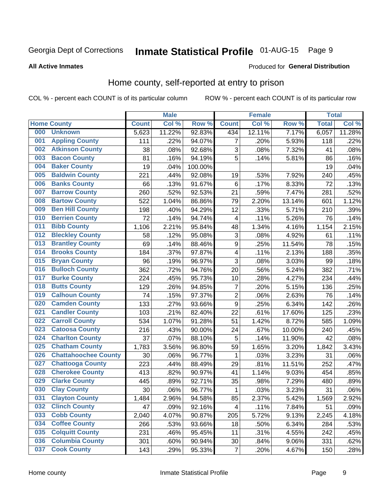## Inmate Statistical Profile 01-AUG-15 Page 9

#### **All Active Inmates**

#### Produced for General Distribution

## Home county, self-reported at entry to prison

COL % - percent each COUNT is of its particular column

|     |                             |              | <b>Male</b> |                  |                  | <b>Female</b> |        | <b>Total</b> |        |
|-----|-----------------------------|--------------|-------------|------------------|------------------|---------------|--------|--------------|--------|
|     | <b>Home County</b>          | <b>Count</b> | Col %       | Row <sup>%</sup> | <b>Count</b>     | Col %         | Row %  | <b>Total</b> | Col %  |
| 000 | <b>Unknown</b>              | 5,623        | 11.22%      | 92.83%           | 434              | 12.11%        | 7.17%  | 6,057        | 11.28% |
| 001 | <b>Appling County</b>       | 111          | .22%        | 94.07%           | 7                | .20%          | 5.93%  | 118          | .22%   |
| 002 | <b>Atkinson County</b>      | 38           | .08%        | 92.68%           | 3                | .08%          | 7.32%  | 41           | .08%   |
| 003 | <b>Bacon County</b>         | 81           | .16%        | 94.19%           | 5                | .14%          | 5.81%  | 86           | .16%   |
| 004 | <b>Baker County</b>         | 19           | .04%        | 100.00%          |                  |               |        | 19           | .04%   |
| 005 | <b>Baldwin County</b>       | 221          | .44%        | 92.08%           | 19               | .53%          | 7.92%  | 240          | .45%   |
| 006 | <b>Banks County</b>         | 66           | .13%        | 91.67%           | $\,6$            | .17%          | 8.33%  | 72           | .13%   |
| 007 | <b>Barrow County</b>        | 260          | .52%        | 92.53%           | 21               | .59%          | 7.47%  | 281          | .52%   |
| 008 | <b>Bartow County</b>        | 522          | 1.04%       | 86.86%           | 79               | 2.20%         | 13.14% | 601          | 1.12%  |
| 009 | <b>Ben Hill County</b>      | 198          | .40%        | 94.29%           | 12               | .33%          | 5.71%  | 210          | .39%   |
| 010 | <b>Berrien County</b>       | 72           | .14%        | 94.74%           | 4                | .11%          | 5.26%  | 76           | .14%   |
| 011 | <b>Bibb County</b>          | 1,106        | 2.21%       | 95.84%           | 48               | 1.34%         | 4.16%  | 1,154        | 2.15%  |
| 012 | <b>Bleckley County</b>      | 58           | .12%        | 95.08%           | 3                | .08%          | 4.92%  | 61           | .11%   |
| 013 | <b>Brantley County</b>      | 69           | .14%        | 88.46%           | $\boldsymbol{9}$ | .25%          | 11.54% | 78           | .15%   |
| 014 | <b>Brooks County</b>        | 184          | .37%        | 97.87%           | 4                | .11%          | 2.13%  | 188          | .35%   |
| 015 | <b>Bryan County</b>         | 96           | .19%        | 96.97%           | 3                | .08%          | 3.03%  | 99           | .18%   |
| 016 | <b>Bulloch County</b>       | 362          | .72%        | 94.76%           | 20               | .56%          | 5.24%  | 382          | .71%   |
| 017 | <b>Burke County</b>         | 224          | .45%        | 95.73%           | 10               | .28%          | 4.27%  | 234          | .44%   |
| 018 | <b>Butts County</b>         | 129          | .26%        | 94.85%           | 7                | .20%          | 5.15%  | 136          | .25%   |
| 019 | <b>Calhoun County</b>       | 74           | .15%        | 97.37%           | $\overline{c}$   | .06%          | 2.63%  | 76           | .14%   |
| 020 | <b>Camden County</b>        | 133          | .27%        | 93.66%           | 9                | .25%          | 6.34%  | 142          | .26%   |
| 021 | <b>Candler County</b>       | 103          | .21%        | 82.40%           | 22               | .61%          | 17.60% | 125          | .23%   |
| 022 | <b>Carroll County</b>       | 534          | 1.07%       | 91.28%           | 51               | 1.42%         | 8.72%  | 585          | 1.09%  |
| 023 | <b>Catoosa County</b>       | 216          | .43%        | 90.00%           | 24               | .67%          | 10.00% | 240          | .45%   |
| 024 | <b>Charlton County</b>      | 37           | .07%        | 88.10%           | 5                | .14%          | 11.90% | 42           | .08%   |
| 025 | <b>Chatham County</b>       | 1,783        | 3.56%       | 96.80%           | 59               | 1.65%         | 3.20%  | 1,842        | 3.43%  |
| 026 | <b>Chattahoochee County</b> | 30           | .06%        | 96.77%           | 1                | .03%          | 3.23%  | 31           | .06%   |
| 027 | <b>Chattooga County</b>     | 223          | .44%        | 88.49%           | 29               | .81%          | 11.51% | 252          | .47%   |
| 028 | <b>Cherokee County</b>      | 413          | .82%        | 90.97%           | 41               | 1.14%         | 9.03%  | 454          | .85%   |
| 029 | <b>Clarke County</b>        | 445          | .89%        | 92.71%           | 35               | .98%          | 7.29%  | 480          | .89%   |
| 030 | <b>Clay County</b>          | 30           | .06%        | 96.77%           | 1                | .03%          | 3.23%  | 31           | .06%   |
| 031 | <b>Clayton County</b>       | 1,484        | 2.96%       | 94.58%           | 85               | 2.37%         | 5.42%  | 1,569        | 2.92%  |
| 032 | <b>Clinch County</b>        | 47           | .09%        | 92.16%           | 4                | .11%          | 7.84%  | 51           | .09%   |
| 033 | <b>Cobb County</b>          | 2,040        | 4.07%       | 90.87%           | 205              | 5.72%         | 9.13%  | 2,245        | 4.18%  |
| 034 | <b>Coffee County</b>        | 266          | .53%        | 93.66%           | 18               | .50%          | 6.34%  | 284          | .53%   |
| 035 | <b>Colquitt County</b>      | 231          | .46%        | 95.45%           | 11               | .31%          | 4.55%  | 242          | .45%   |
| 036 | <b>Columbia County</b>      | 301          | .60%        | 90.94%           | 30               | .84%          | 9.06%  | 331          | .62%   |
| 037 | <b>Cook County</b>          | 143          | .29%        | 95.33%           | $\overline{7}$   | .20%          | 4.67%  | 150          | .28%   |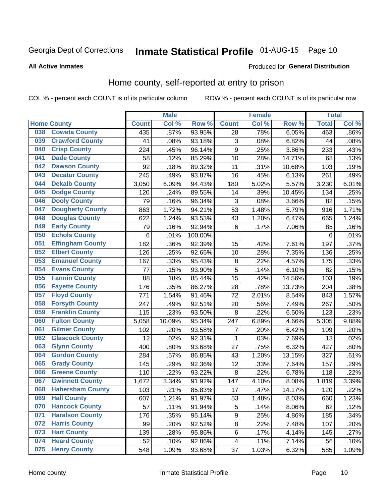## Inmate Statistical Profile 01-AUG-15 Page 10

#### **All Active Inmates**

#### Produced for General Distribution

### Home county, self-reported at entry to prison

COL % - percent each COUNT is of its particular column

|     |                         |              | <b>Male</b> |                  |                  | <b>Female</b> |        | <b>Total</b> |       |
|-----|-------------------------|--------------|-------------|------------------|------------------|---------------|--------|--------------|-------|
|     | <b>Home County</b>      | <b>Count</b> | Col %       | Row <sup>%</sup> | <b>Count</b>     | Col %         | Row %  | <b>Total</b> | Col % |
| 038 | <b>Coweta County</b>    | 435          | .87%        | 93.95%           | 28               | .78%          | 6.05%  | 463          | .86%  |
| 039 | <b>Crawford County</b>  | 41           | .08%        | 93.18%           | 3                | .08%          | 6.82%  | 44           | .08%  |
| 040 | <b>Crisp County</b>     | 224          | .45%        | 96.14%           | $\boldsymbol{9}$ | .25%          | 3.86%  | 233          | .43%  |
| 041 | <b>Dade County</b>      | 58           | .12%        | 85.29%           | 10               | .28%          | 14.71% | 68           | .13%  |
| 042 | <b>Dawson County</b>    | 92           | .18%        | 89.32%           | 11               | .31%          | 10.68% | 103          | .19%  |
| 043 | <b>Decatur County</b>   | 245          | .49%        | 93.87%           | 16               | .45%          | 6.13%  | 261          | .49%  |
| 044 | <b>Dekalb County</b>    | 3,050        | 6.09%       | 94.43%           | 180              | 5.02%         | 5.57%  | 3,230        | 6.01% |
| 045 | <b>Dodge County</b>     | 120          | .24%        | 89.55%           | 14               | .39%          | 10.45% | 134          | .25%  |
| 046 | <b>Dooly County</b>     | 79           | .16%        | 96.34%           | 3                | .08%          | 3.66%  | 82           | .15%  |
| 047 | <b>Dougherty County</b> | 863          | 1.72%       | 94.21%           | 53               | 1.48%         | 5.79%  | 916          | 1.71% |
| 048 | <b>Douglas County</b>   | 622          | 1.24%       | 93.53%           | 43               | 1.20%         | 6.47%  | 665          | 1.24% |
| 049 | <b>Early County</b>     | 79           | .16%        | 92.94%           | $6\phantom{1}6$  | .17%          | 7.06%  | 85           | .16%  |
| 050 | <b>Echols County</b>    | 6            | .01%        | 100.00%          |                  |               |        | $\,6$        | .01%  |
| 051 | <b>Effingham County</b> | 182          | .36%        | 92.39%           | 15               | .42%          | 7.61%  | 197          | .37%  |
| 052 | <b>Elbert County</b>    | 126          | .25%        | 92.65%           | 10               | .28%          | 7.35%  | 136          | .25%  |
| 053 | <b>Emanuel County</b>   | 167          | .33%        | 95.43%           | 8                | .22%          | 4.57%  | 175          | .33%  |
| 054 | <b>Evans County</b>     | 77           | .15%        | 93.90%           | 5                | .14%          | 6.10%  | 82           | .15%  |
| 055 | <b>Fannin County</b>    | 88           | .18%        | 85.44%           | 15               | .42%          | 14.56% | 103          | .19%  |
| 056 | <b>Fayette County</b>   | 176          | .35%        | 86.27%           | 28               | .78%          | 13.73% | 204          | .38%  |
| 057 | <b>Floyd County</b>     | 771          | 1.54%       | 91.46%           | 72               | 2.01%         | 8.54%  | 843          | 1.57% |
| 058 | <b>Forsyth County</b>   | 247          | .49%        | 92.51%           | 20               | .56%          | 7.49%  | 267          | .50%  |
| 059 | <b>Franklin County</b>  | 115          | .23%        | 93.50%           | 8                | .22%          | 6.50%  | 123          | .23%  |
| 060 | <b>Fulton County</b>    | 5,058        | 10.09%      | 95.34%           | 247              | 6.89%         | 4.66%  | 5,305        | 9.88% |
| 061 | <b>Gilmer County</b>    | 102          | .20%        | 93.58%           | 7                | .20%          | 6.42%  | 109          | .20%  |
| 062 | <b>Glascock County</b>  | 12           | .02%        | 92.31%           | 1                | .03%          | 7.69%  | 13           | .02%  |
| 063 | <b>Glynn County</b>     | 400          | .80%        | 93.68%           | 27               | .75%          | 6.32%  | 427          | .80%  |
| 064 | <b>Gordon County</b>    | 284          | .57%        | 86.85%           | 43               | 1.20%         | 13.15% | 327          | .61%  |
| 065 | <b>Grady County</b>     | 145          | .29%        | 92.36%           | 12               | .33%          | 7.64%  | 157          | .29%  |
| 066 | <b>Greene County</b>    | 110          | .22%        | 93.22%           | 8                | 22%           | 6.78%  | 118          | .22%  |
| 067 | <b>Gwinnett County</b>  | 1,672        | 3.34%       | 91.92%           | 147              | 4.10%         | 8.08%  | 1,819        | 3.39% |
| 068 | <b>Habersham County</b> | 103          | .21%        | 85.83%           | 17               | .47%          | 14.17% | 120          | .22%  |
| 069 | <b>Hall County</b>      | 607          | 1.21%       | 91.97%           | 53               | 1.48%         | 8.03%  | 660          | 1.23% |
| 070 | <b>Hancock County</b>   | 57           | .11%        | 91.94%           | 5                | .14%          | 8.06%  | 62           | .12%  |
| 071 | <b>Haralson County</b>  | 176          | .35%        | 95.14%           | 9                | .25%          | 4.86%  | 185          | .34%  |
| 072 | <b>Harris County</b>    | 99           | .20%        | 92.52%           | $\bf 8$          | .22%          | 7.48%  | 107          | .20%  |
| 073 | <b>Hart County</b>      | 139          | .28%        | 95.86%           | 6                | .17%          | 4.14%  | 145          | .27%  |
| 074 | <b>Heard County</b>     | 52           | .10%        | 92.86%           | 4                | .11%          | 7.14%  | 56           | .10%  |
| 075 | <b>Henry County</b>     | 548          | 1.09%       | 93.68%           | 37               | 1.03%         | 6.32%  | 585          | 1.09% |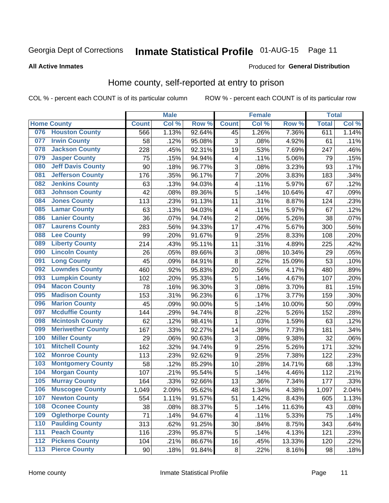## Inmate Statistical Profile 01-AUG-15 Page 11

**All Active Inmates** 

### **Produced for General Distribution**

### Home county, self-reported at entry to prison

COL % - percent each COUNT is of its particular column

|                  |                          |              | <b>Male</b> |                  |                         | <b>Female</b> |        | <b>Total</b> |       |
|------------------|--------------------------|--------------|-------------|------------------|-------------------------|---------------|--------|--------------|-------|
|                  | <b>Home County</b>       | <b>Count</b> | Col %       | Row <sup>%</sup> | <b>Count</b>            | Col %         | Row %  | <b>Total</b> | Col % |
| 076              | <b>Houston County</b>    | 566          | 1.13%       | 92.64%           | 45                      | 1.26%         | 7.36%  | 611          | 1.14% |
| 077              | <b>Irwin County</b>      | 58           | .12%        | 95.08%           | 3                       | .08%          | 4.92%  | 61           | .11%  |
| 078              | <b>Jackson County</b>    | 228          | .45%        | 92.31%           | 19                      | .53%          | 7.69%  | 247          | .46%  |
| 079              | <b>Jasper County</b>     | 75           | .15%        | 94.94%           | 4                       | .11%          | 5.06%  | 79           | .15%  |
| 080              | <b>Jeff Davis County</b> | 90           | .18%        | 96.77%           | 3                       | .08%          | 3.23%  | 93           | .17%  |
| 081              | <b>Jefferson County</b>  | 176          | .35%        | 96.17%           | 7                       | .20%          | 3.83%  | 183          | .34%  |
| 082              | <b>Jenkins County</b>    | 63           | .13%        | 94.03%           | $\overline{\mathbf{4}}$ | .11%          | 5.97%  | 67           | .12%  |
| 083              | <b>Johnson County</b>    | 42           | .08%        | 89.36%           | 5                       | .14%          | 10.64% | 47           | .09%  |
| 084              | <b>Jones County</b>      | 113          | .23%        | 91.13%           | 11                      | .31%          | 8.87%  | 124          | .23%  |
| 085              | <b>Lamar County</b>      | 63           | .13%        | 94.03%           | 4                       | .11%          | 5.97%  | 67           | .12%  |
| 086              | <b>Lanier County</b>     | 36           | .07%        | 94.74%           | $\overline{2}$          | .06%          | 5.26%  | 38           | .07%  |
| 087              | <b>Laurens County</b>    | 283          | .56%        | 94.33%           | 17                      | .47%          | 5.67%  | 300          | .56%  |
| 088              | <b>Lee County</b>        | 99           | .20%        | 91.67%           | 9                       | .25%          | 8.33%  | 108          | .20%  |
| 089              | <b>Liberty County</b>    | 214          | .43%        | 95.11%           | 11                      | .31%          | 4.89%  | 225          | .42%  |
| 090              | <b>Lincoln County</b>    | 26           | .05%        | 89.66%           | 3                       | .08%          | 10.34% | 29           | .05%  |
| 091              | <b>Long County</b>       | 45           | .09%        | 84.91%           | 8                       | .22%          | 15.09% | 53           | .10%  |
| 092              | <b>Lowndes County</b>    | 460          | .92%        | 95.83%           | 20                      | .56%          | 4.17%  | 480          | .89%  |
| 093              | <b>Lumpkin County</b>    | 102          | .20%        | 95.33%           | 5                       | .14%          | 4.67%  | 107          | .20%  |
| 094              | <b>Macon County</b>      | 78           | .16%        | 96.30%           | 3                       | .08%          | 3.70%  | 81           | .15%  |
| 095              | <b>Madison County</b>    | 153          | .31%        | 96.23%           | 6                       | .17%          | 3.77%  | 159          | .30%  |
| 096              | <b>Marion County</b>     | 45           | .09%        | 90.00%           | 5                       | .14%          | 10.00% | 50           | .09%  |
| 097              | <b>Mcduffie County</b>   | 144          | .29%        | 94.74%           | $\overline{8}$          | .22%          | 5.26%  | 152          | .28%  |
| 098              | <b>Mcintosh County</b>   | 62           | .12%        | 98.41%           | $\mathbf 1$             | .03%          | 1.59%  | 63           | .12%  |
| 099              | <b>Meriwether County</b> | 167          | .33%        | 92.27%           | 14                      | .39%          | 7.73%  | 181          | .34%  |
| 100              | <b>Miller County</b>     | 29           | .06%        | 90.63%           | 3                       | .08%          | 9.38%  | 32           | .06%  |
| 101              | <b>Mitchell County</b>   | 162          | .32%        | 94.74%           | $\boldsymbol{9}$        | .25%          | 5.26%  | 171          | .32%  |
| 102              | <b>Monroe County</b>     | 113          | .23%        | 92.62%           | $\overline{9}$          | .25%          | 7.38%  | 122          | .23%  |
| 103              | <b>Montgomery County</b> | 58           | .12%        | 85.29%           | 10                      | .28%          | 14.71% | 68           | .13%  |
| 104              | <b>Morgan County</b>     | 107          | .21%        | 95.54%           | 5                       | .14%          | 4.46%  | 112          | .21%  |
| 105              | <b>Murray County</b>     | 164          | .33%        | 92.66%           | 13                      | .36%          | 7.34%  | 177          | .33%  |
| 106              | <b>Muscogee County</b>   | 1,049        | 2.09%       | 95.62%           | 48                      | 1.34%         | 4.38%  | 1,097        | 2.04% |
| 107              | <b>Newton County</b>     | 554          | 1.11%       | 91.57%           | 51                      | 1.42%         | 8.43%  | 605          | 1.13% |
| 108              | <b>Oconee County</b>     | 38           | .08%        | 88.37%           | 5                       | .14%          | 11.63% | 43           | .08%  |
| 109              | <b>Oglethorpe County</b> | 71           | .14%        | 94.67%           | 4                       | .11%          | 5.33%  | 75           | .14%  |
| 110              | <b>Paulding County</b>   | 313          | .62%        | 91.25%           | 30                      | .84%          | 8.75%  | 343          | .64%  |
| 111              | <b>Peach County</b>      | 116          | .23%        | 95.87%           | 5                       | .14%          | 4.13%  | 121          | .23%  |
| $\overline{112}$ | <b>Pickens County</b>    | 104          | .21%        | 86.67%           | 16                      | .45%          | 13.33% | 120          | .22%  |
| 113              | <b>Pierce County</b>     | 90           | .18%        | 91.84%           | $\bf 8$                 | .22%          | 8.16%  | 98           | .18%  |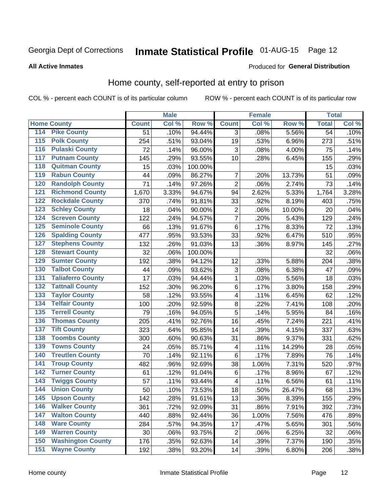## Inmate Statistical Profile 01-AUG-15 Page 12

#### **All Active Inmates**

#### Produced for General Distribution

### Home county, self-reported at entry to prison

COL % - percent each COUNT is of its particular column

|                  |                          |              | <b>Male</b> |         |                           | <b>Female</b> |        | <b>Total</b>    |       |
|------------------|--------------------------|--------------|-------------|---------|---------------------------|---------------|--------|-----------------|-------|
|                  | <b>Home County</b>       | <b>Count</b> | Col %       | Row %   | <b>Count</b>              | Col %         | Row %  | <b>Total</b>    | Col % |
| 114              | <b>Pike County</b>       | 51           | .10%        | 94.44%  | 3                         | .08%          | 5.56%  | $\overline{54}$ | .10%  |
| 115              | <b>Polk County</b>       | 254          | .51%        | 93.04%  | 19                        | .53%          | 6.96%  | 273             | .51%  |
| 116              | <b>Pulaski County</b>    | 72           | .14%        | 96.00%  | $\mathbf{3}$              | .08%          | 4.00%  | 75              | .14%  |
| 117              | <b>Putnam County</b>     | 145          | .29%        | 93.55%  | 10                        | .28%          | 6.45%  | 155             | .29%  |
| 118              | <b>Quitman County</b>    | 15           | .03%        | 100.00% |                           |               |        | 15              | .03%  |
| 119              | <b>Rabun County</b>      | 44           | .09%        | 86.27%  | $\overline{7}$            | .20%          | 13.73% | 51              | .09%  |
| 120              | <b>Randolph County</b>   | 71           | .14%        | 97.26%  | $\overline{2}$            | .06%          | 2.74%  | 73              | .14%  |
| 121              | <b>Richmond County</b>   | 1,670        | 3.33%       | 94.67%  | 94                        | 2.62%         | 5.33%  | 1,764           | 3.28% |
| 122              | <b>Rockdale County</b>   | 370          | .74%        | 91.81%  | 33                        | .92%          | 8.19%  | 403             | .75%  |
| 123              | <b>Schley County</b>     | 18           | .04%        | 90.00%  | $\overline{2}$            | .06%          | 10.00% | 20              | .04%  |
| 124              | <b>Screven County</b>    | 122          | .24%        | 94.57%  | $\overline{7}$            | .20%          | 5.43%  | 129             | .24%  |
| 125              | <b>Seminole County</b>   | 66           | .13%        | 91.67%  | 6                         | .17%          | 8.33%  | 72              | .13%  |
| 126              | <b>Spalding County</b>   | 477          | .95%        | 93.53%  | 33                        | .92%          | 6.47%  | 510             | .95%  |
| 127              | <b>Stephens County</b>   | 132          | .26%        | 91.03%  | 13                        | .36%          | 8.97%  | 145             | .27%  |
| 128              | <b>Stewart County</b>    | 32           | .06%        | 100.00% |                           |               |        | 32              | .06%  |
| 129              | <b>Sumter County</b>     | 192          | .38%        | 94.12%  | 12                        | .33%          | 5.88%  | 204             | .38%  |
| 130              | <b>Talbot County</b>     | 44           | .09%        | 93.62%  | $\ensuremath{\mathsf{3}}$ | .08%          | 6.38%  | 47              | .09%  |
| 131              | <b>Taliaferro County</b> | 17           | .03%        | 94.44%  | 1                         | .03%          | 5.56%  | 18              | .03%  |
| 132              | <b>Tattnall County</b>   | 152          | .30%        | 96.20%  | $\,6$                     | .17%          | 3.80%  | 158             | .29%  |
| 133              | <b>Taylor County</b>     | 58           | .12%        | 93.55%  | 4                         | .11%          | 6.45%  | 62              | .12%  |
| 134              | <b>Telfair County</b>    | 100          | .20%        | 92.59%  | 8                         | .22%          | 7.41%  | 108             | .20%  |
| 135              | <b>Terrell County</b>    | 79           | .16%        | 94.05%  | 5                         | .14%          | 5.95%  | 84              | .16%  |
| 136              | <b>Thomas County</b>     | 205          | .41%        | 92.76%  | 16                        | .45%          | 7.24%  | 221             | .41%  |
| 137              | <b>Tift County</b>       | 323          | .64%        | 95.85%  | 14                        | .39%          | 4.15%  | 337             | .63%  |
| 138              | <b>Toombs County</b>     | 300          | .60%        | 90.63%  | 31                        | .86%          | 9.37%  | 331             | .62%  |
| 139              | <b>Towns County</b>      | 24           | .05%        | 85.71%  | 4                         | .11%          | 14.29% | 28              | .05%  |
| 140              | <b>Treutlen County</b>   | 70           | .14%        | 92.11%  | 6                         | .17%          | 7.89%  | 76              | .14%  |
| 141              | <b>Troup County</b>      | 482          | .96%        | 92.69%  | 38                        | 1.06%         | 7.31%  | 520             | .97%  |
| $\overline{142}$ | <b>Turner County</b>     | 61           | .12%        | 91.04%  | 6                         | .17%          | 8.96%  | 67              | .12%  |
| 143              | <b>Twiggs County</b>     | 57           | .11%        | 93.44%  | 4                         | .11%          | 6.56%  | 61              | .11%  |
| 144              | <b>Union County</b>      | 50           | .10%        | 73.53%  | 18                        | .50%          | 26.47% | 68              | .13%  |
| 145              | <b>Upson County</b>      | 142          | .28%        | 91.61%  | 13                        | .36%          | 8.39%  | 155             | .29%  |
| 146              | <b>Walker County</b>     | 361          | .72%        | 92.09%  | 31                        | .86%          | 7.91%  | 392             | .73%  |
| 147              | <b>Walton County</b>     | 440          | .88%        | 92.44%  | 36                        | 1.00%         | 7.56%  | 476             | .89%  |
| 148              | <b>Ware County</b>       | 284          | .57%        | 94.35%  | 17                        | .47%          | 5.65%  | 301             | .56%  |
| 149              | <b>Warren County</b>     | 30           | .06%        | 93.75%  | $\overline{2}$            | .06%          | 6.25%  | 32              | .06%  |
| 150              | <b>Washington County</b> | 176          | .35%        | 92.63%  | 14                        | .39%          | 7.37%  | 190             | .35%  |
| 151              | <b>Wayne County</b>      | 192          | .38%        | 93.20%  | 14                        | .39%          | 6.80%  | 206             | .38%  |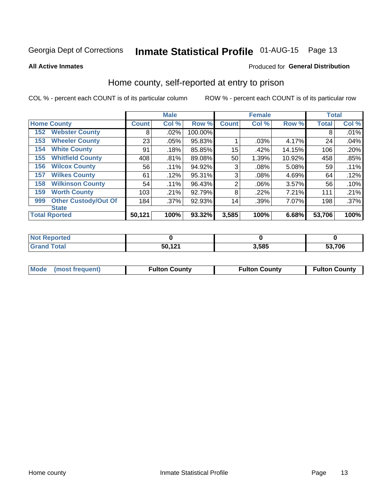## Inmate Statistical Profile 01-AUG-15 Page 13

**All Active Inmates** 

#### Produced for General Distribution

### Home county, self-reported at entry to prison

COL % - percent each COUNT is of its particular column

|     |                             |              | <b>Male</b> |         |              | <b>Female</b> |        | <b>Total</b> |         |
|-----|-----------------------------|--------------|-------------|---------|--------------|---------------|--------|--------------|---------|
|     | <b>Home County</b>          | <b>Count</b> | Col %       | Row %   | <b>Count</b> | Col %         | Row %  | <b>Total</b> | Col %   |
| 152 | <b>Webster County</b>       | 8            | .02%        | 100.00% |              |               |        | 8            | .01%    |
| 153 | <b>Wheeler County</b>       | 23           | .05%        | 95.83%  |              | .03%          | 4.17%  | 24           | .04%    |
| 154 | <b>White County</b>         | 91           | .18%        | 85.85%  | 15           | .42%          | 14.15% | 106          | .20%    |
| 155 | <b>Whitfield County</b>     | 408          | .81%        | 89.08%  | 50           | 1.39%         | 10.92% | 458          | .85%    |
| 156 | <b>Wilcox County</b>        | 56           | .11%        | 94.92%  | 3            | .08%          | 5.08%  | 59           | .11%    |
| 157 | <b>Wilkes County</b>        | 61           | .12%        | 95.31%  | 3            | .08%          | 4.69%  | 64           | .12%    |
| 158 | <b>Wilkinson County</b>     | 54           | .11%        | 96.43%  | 2            | .06%          | 3.57%  | 56           | .10%    |
| 159 | <b>Worth County</b>         | 103          | .21%        | 92.79%  | 8            | .22%          | 7.21%  | 111          | .21%    |
| 999 | <b>Other Custody/Out Of</b> | 184          | .37%        | 92.93%  | 14           | .39%          | 7.07%  | 198          | $.37\%$ |
|     | <b>State</b>                |              |             |         |              |               |        |              |         |
|     | <b>Total Rported</b>        | 50,121       | 100%        | 93.32%  | 3,585        | 100%          | 6.68%  | 53,706       | 100%    |

| τeα |        |       |        |
|-----|--------|-------|--------|
|     | 50,121 | 3,585 | 53,706 |

|  | Mode (most frequent) | <b>Fulton County</b> | <b>Fulton County</b> | <b>Fulton County</b> |
|--|----------------------|----------------------|----------------------|----------------------|
|--|----------------------|----------------------|----------------------|----------------------|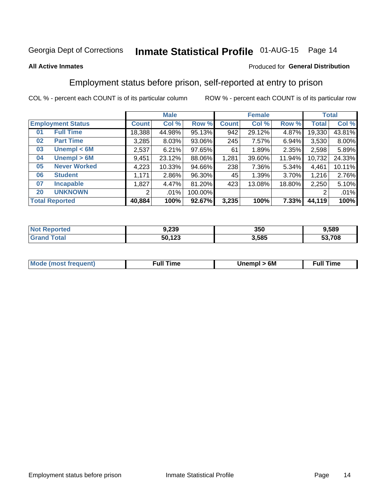## Inmate Statistical Profile 01-AUG-15 Page 14

### **All Active Inmates**

### Produced for General Distribution

## Employment status before prison, self-reported at entry to prison

COL % - percent each COUNT is of its particular column

|                           |              | <b>Male</b> |         |              | <b>Female</b> |        |        | <b>Total</b> |
|---------------------------|--------------|-------------|---------|--------------|---------------|--------|--------|--------------|
| <b>Employment Status</b>  | <b>Count</b> | Col %       | Row %   | <b>Count</b> | Col %         | Row %  | Total  | Col %        |
| <b>Full Time</b><br>01    | 18,388       | 44.98%      | 95.13%  | 942          | 29.12%        | 4.87%  | 19,330 | 43.81%       |
| <b>Part Time</b><br>02    | 3,285        | 8.03%       | 93.06%  | 245          | 7.57%         | 6.94%  | 3,530  | 8.00%        |
| Unempl $<$ 6M<br>03       | 2,537        | 6.21%       | 97.65%  | 61           | 1.89%         | 2.35%  | 2,598  | 5.89%        |
| Unempl > 6M<br>04         | 9,451        | 23.12%      | 88.06%  | 1,281        | 39.60%        | 11.94% | 10,732 | 24.33%       |
| <b>Never Worked</b><br>05 | 4,223        | 10.33%      | 94.66%  | 238          | 7.36%         | 5.34%  | 4,461  | 10.11%       |
| <b>Student</b><br>06      | .171         | 2.86%       | 96.30%  | 45           | 1.39%         | 3.70%  | 1,216  | 2.76%        |
| 07<br><b>Incapable</b>    | .827         | 4.47%       | 81.20%  | 423          | 13.08%        | 18.80% | 2,250  | 5.10%        |
| <b>UNKNOWN</b><br>20      | 2            | .01%        | 100.00% |              |               |        | 2      | .01%         |
| <b>Total Reported</b>     | 40,884       | 100%        | 92.67%  | 3,235        | 100%          | 7.33%  | 44,119 | 100%         |

| <b>Not Reported</b> | 9,239  | 350   | 9,589  |
|---------------------|--------|-------|--------|
| <b>Grand Total</b>  | 50,123 | 3,585 | 53,708 |

| <b>Mode (most frequent)</b> | Unempl > 6M | <b>Full Time</b> |
|-----------------------------|-------------|------------------|
|                             |             |                  |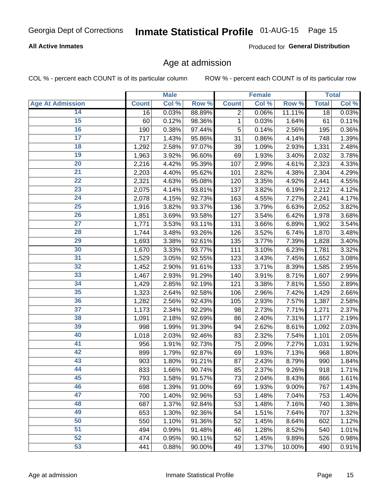### **All Active Inmates**

Produced for General Distribution

### Age at admission

COL % - percent each COUNT is of its particular column

|                         |              | <b>Male</b> |        |              | Female   |        |              | <b>Total</b> |
|-------------------------|--------------|-------------|--------|--------------|----------|--------|--------------|--------------|
| <b>Age At Admission</b> | <b>Count</b> | Col %       | Row %  | <b>Count</b> | Col %    | Row %  | <b>Total</b> | Col %        |
| 14                      | 16           | 0.03%       | 88.89% | 2            | 0.06%    | 11.11% | 18           | 0.03%        |
| 15                      | 60           | 0.12%       | 98.36% | $\mathbf{1}$ | 0.03%    | 1.64%  | 61           | 0.11%        |
| 16                      | 190          | 0.38%       | 97.44% | 5            | 0.14%    | 2.56%  | 195          | 0.36%        |
| 17                      | 717          | 1.43%       | 95.86% | 31           | 0.86%    | 4.14%  | 748          | 1.39%        |
| $\overline{18}$         | 1,292        | 2.58%       | 97.07% | 39           | 1.09%    | 2.93%  | 1,331        | 2.48%        |
| 19                      | 1,963        | 3.92%       | 96.60% | 69           | 1.93%    | 3.40%  | 2,032        | 3.78%        |
| $\overline{20}$         | 2,216        | 4.42%       | 95.39% | 107          | 2.99%    | 4.61%  | 2,323        | 4.33%        |
| $\overline{21}$         | 2,203        | 4.40%       | 95.62% | 101          | 2.82%    | 4.38%  | 2,304        | 4.29%        |
| $\overline{22}$         | 2,321        | 4.63%       | 95.08% | 120          | 3.35%    | 4.92%  | 2,441        | 4.55%        |
| $\overline{23}$         | 2,075        | 4.14%       | 93.81% | 137          | 3.82%    | 6.19%  | 2,212        | 4.12%        |
| $\overline{24}$         | 2,078        | 4.15%       | 92.73% | 163          | 4.55%    | 7.27%  | 2,241        | 4.17%        |
| 25                      | 1,916        | 3.82%       | 93.37% | 136          | 3.79%    | 6.63%  | 2,052        | 3.82%        |
| $\overline{26}$         | 1,851        | 3.69%       | 93.58% | 127          | 3.54%    | 6.42%  | 1,978        | 3.68%        |
| $\overline{27}$         | 1,771        | 3.53%       | 93.11% | 131          | 3.66%    | 6.89%  | 1,902        | 3.54%        |
| 28                      | 1,744        | 3.48%       | 93.26% | 126          | 3.52%    | 6.74%  | 1,870        | 3.48%        |
| 29                      | 1,693        | 3.38%       | 92.61% | 135          | 3.77%    | 7.39%  | 1,828        | 3.40%        |
| 30                      | 1,670        | 3.33%       | 93.77% | 111          | 3.10%    | 6.23%  | 1,781        | 3.32%        |
| $\overline{31}$         | 1,529        | 3.05%       | 92.55% | 123          | 3.43%    | 7.45%  | 1,652        | 3.08%        |
| 32                      | 1,452        | 2.90%       | 91.61% | 133          | 3.71%    | 8.39%  | 1,585        | 2.95%        |
| 33                      | 1,467        | 2.93%       | 91.29% | 140          | 3.91%    | 8.71%  | 1,607        | 2.99%        |
| 34                      | 1,429        | 2.85%       | 92.19% | 121          | 3.38%    | 7.81%  | 1,550        | 2.89%        |
| 35                      | 1,323        | 2.64%       | 92.58% | 106          | 2.96%    | 7.42%  | 1,429        | 2.66%        |
| 36                      | 1,282        | 2.56%       | 92.43% | 105          | 2.93%    | 7.57%  | 1,387        | 2.58%        |
| $\overline{37}$         | 1,173        | 2.34%       | 92.29% | 98           | 2.73%    | 7.71%  | 1,271        | 2.37%        |
| 38                      | 1,091        | 2.18%       | 92.69% | 86           | 2.40%    | 7.31%  | 1,177        | 2.19%        |
| 39                      | 998          | 1.99%       | 91.39% | 94           | 2.62%    | 8.61%  | 1,092        | 2.03%        |
| 40                      | 1,018        | 2.03%       | 92.46% | 83           | 2.32%    | 7.54%  | 1,101        | 2.05%        |
| 41                      | 956          | 1.91%       | 92.73% | 75           | 2.09%    | 7.27%  | 1,031        | 1.92%        |
| 42                      | 899          | 1.79%       | 92.87% | 69           | 1.93%    | 7.13%  | 968          | 1.80%        |
| 43                      | 903          | 1.80%       | 91.21% | 87           | 2.43%    | 8.79%  | 990          | 1.84%        |
| 44                      | 833          | 1.66%       | 90.74% | 85           | 2.37%    | 9.26%  | 918          | 1.71%        |
| 45                      | 793          | 1.58%       | 91.57% | 73           | $2.04\%$ | 8.43%  | 866          | 1.61%        |
| 46                      | 698          | 1.39%       | 91.00% | 69           | 1.93%    | 9.00%  | 767          | 1.43%        |
| 47                      | 700          | 1.40%       | 92.96% | 53           | 1.48%    | 7.04%  | 753          | 1.40%        |
| 48                      | 687          | 1.37%       | 92.84% | 53           | 1.48%    | 7.16%  | 740          | 1.38%        |
| 49                      | 653          | 1.30%       | 92.36% | 54           | 1.51%    | 7.64%  | 707          | 1.32%        |
| 50                      | 550          | 1.10%       | 91.36% | 52           | 1.45%    | 8.64%  | 602          | 1.12%        |
| 51                      | 494          | 0.99%       | 91.48% | 46           | 1.28%    | 8.52%  | 540          | 1.01%        |
| 52                      | 474          | 0.95%       | 90.11% | 52           | 1.45%    | 9.89%  | 526          | 0.98%        |
| 53                      | 441          | 0.88%       | 90.00% | 49           | 1.37%    | 10.00% | 490          | 0.91%        |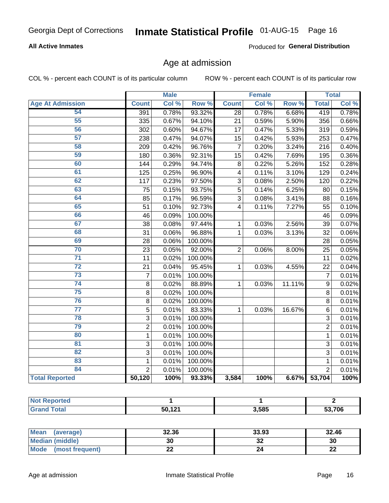### **All Active Inmates**

Produced for General Distribution

### Age at admission

COL % - percent each COUNT is of its particular column

|                         |                | <b>Male</b> |         |                         | <b>Female</b> |        |                 | <b>Total</b> |
|-------------------------|----------------|-------------|---------|-------------------------|---------------|--------|-----------------|--------------|
| <b>Age At Admission</b> | <b>Count</b>   | Col %       | Row %   | <b>Count</b>            | Col %         | Row %  | <b>Total</b>    | Col %        |
| 54                      | 391            | 0.78%       | 93.32%  | 28                      | 0.78%         | 6.68%  | 419             | 0.78%        |
| 55                      | 335            | 0.67%       | 94.10%  | 21                      | 0.59%         | 5.90%  | 356             | 0.66%        |
| 56                      | 302            | 0.60%       | 94.67%  | 17                      | 0.47%         | 5.33%  | 319             | 0.59%        |
| $\overline{57}$         | 238            | 0.47%       | 94.07%  | 15                      | 0.42%         | 5.93%  | 253             | 0.47%        |
| 58                      | 209            | 0.42%       | 96.76%  | $\overline{7}$          | 0.20%         | 3.24%  | 216             | 0.40%        |
| 59                      | 180            | 0.36%       | 92.31%  | 15                      | 0.42%         | 7.69%  | 195             | 0.36%        |
| 60                      | 144            | 0.29%       | 94.74%  | 8                       | 0.22%         | 5.26%  | 152             | 0.28%        |
| 61                      | 125            | 0.25%       | 96.90%  | $\overline{\mathbf{4}}$ | 0.11%         | 3.10%  | 129             | 0.24%        |
| 62                      | 117            | 0.23%       | 97.50%  | 3                       | 0.08%         | 2.50%  | 120             | 0.22%        |
| 63                      | 75             | 0.15%       | 93.75%  | 5                       | 0.14%         | 6.25%  | 80              | 0.15%        |
| 64                      | 85             | 0.17%       | 96.59%  | 3                       | 0.08%         | 3.41%  | 88              | 0.16%        |
| 65                      | 51             | 0.10%       | 92.73%  | $\overline{4}$          | 0.11%         | 7.27%  | 55              | 0.10%        |
| 66                      | 46             | 0.09%       | 100.00% |                         |               |        | 46              | 0.09%        |
| 67                      | 38             | 0.08%       | 97.44%  | 1                       | 0.03%         | 2.56%  | $\overline{39}$ | 0.07%        |
| 68                      | 31             | 0.06%       | 96.88%  | 1                       | 0.03%         | 3.13%  | 32              | 0.06%        |
| 69                      | 28             | 0.06%       | 100.00% |                         |               |        | 28              | 0.05%        |
| 70                      | 23             | 0.05%       | 92.00%  | $\overline{2}$          | 0.06%         | 8.00%  | 25              | 0.05%        |
| $\overline{71}$         | 11             | 0.02%       | 100.00% |                         |               |        | 11              | 0.02%        |
| $\overline{72}$         | 21             | 0.04%       | 95.45%  | 1                       | 0.03%         | 4.55%  | 22              | 0.04%        |
| $\overline{73}$         | $\overline{7}$ | 0.01%       | 100.00% |                         |               |        | $\overline{7}$  | 0.01%        |
| $\overline{74}$         | 8              | 0.02%       | 88.89%  | 1                       | 0.03%         | 11.11% | 9               | 0.02%        |
| $\overline{75}$         | 8              | 0.02%       | 100.00% |                         |               |        | 8               | 0.01%        |
| 76                      | 8              | 0.02%       | 100.00% |                         |               |        | 8               | 0.01%        |
| $\overline{77}$         | $\overline{5}$ | 0.01%       | 83.33%  | $\mathbf{1}$            | 0.03%         | 16.67% | 6               | 0.01%        |
| 78                      | $\overline{3}$ | 0.01%       | 100.00% |                         |               |        | $\overline{3}$  | 0.01%        |
| 79                      | $\overline{2}$ | 0.01%       | 100.00% |                         |               |        | $\overline{2}$  | 0.01%        |
| 80                      | $\mathbf{1}$   | 0.01%       | 100.00% |                         |               |        | $\mathbf{1}$    | 0.01%        |
| $\overline{81}$         | $\overline{3}$ | 0.01%       | 100.00% |                         |               |        | $\overline{3}$  | 0.01%        |
| 82                      | $\overline{3}$ | 0.01%       | 100.00% |                         |               |        | $\overline{3}$  | 0.01%        |
| 83                      | $\mathbf{1}$   | 0.01%       | 100.00% |                         |               |        | $\mathbf{1}$    | 0.01%        |
| 84                      | $\overline{2}$ | 0.01%       | 100.00% |                         |               |        | $\overline{2}$  | 0.01%        |
| <b>Total Reported</b>   | 50,120         | 100%        | 93.33%  | 3,584                   | 100%          | 6.67%  | 53,704          | 100%         |

| Reported<br><b>NOT</b> |        |       |               |
|------------------------|--------|-------|---------------|
| Total                  | 50,121 | 3,585 | 53,706<br>эə. |

| Mean (average)          | 32.36 | 33.93    | 32.46    |
|-------------------------|-------|----------|----------|
| Median (middle)         | 30    | ^^<br>ॐ∠ | 30       |
| Mode<br>(most frequent) | ∸∸    | 24       | ጣጣ<br>LL |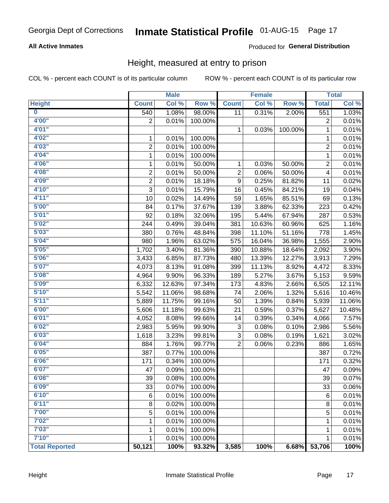### **All Active Inmates**

### Produced for General Distribution

### Height, measured at entry to prison

COL % - percent each COUNT is of its particular column

|                         |                | <b>Male</b> |         |                  | <b>Female</b> |         |                | <b>Total</b> |
|-------------------------|----------------|-------------|---------|------------------|---------------|---------|----------------|--------------|
| <b>Height</b>           | <b>Count</b>   | Col %       | Row %   | <b>Count</b>     | Col %         | Row %   | <b>Total</b>   | Col %        |
| $\overline{\mathbf{0}}$ | 540            | 1.08%       | 98.00%  | 11               | 0.31%         | 2.00%   | 551            | 1.03%        |
| 4'00"                   | $\overline{2}$ | 0.01%       | 100.00% |                  |               |         | 2              | 0.01%        |
| 4'01''                  |                |             |         | 1                | 0.03%         | 100.00% | 1              | 0.01%        |
| 4'02"                   | 1              | 0.01%       | 100.00% |                  |               |         | 1              | 0.01%        |
| 4'03"                   | $\overline{2}$ | 0.01%       | 100.00% |                  |               |         | $\overline{2}$ | 0.01%        |
| 4'04"                   | 1              | 0.01%       | 100.00% |                  |               |         | 1              | 0.01%        |
| 4'06"                   | 1              | 0.01%       | 50.00%  | 1                | 0.03%         | 50.00%  | 2              | 0.01%        |
| 4'08"                   | $\overline{2}$ | 0.01%       | 50.00%  | 2                | 0.06%         | 50.00%  | 4              | 0.01%        |
| 4'09"                   | $\overline{2}$ | 0.01%       | 18.18%  | $\boldsymbol{9}$ | 0.25%         | 81.82%  | 11             | 0.02%        |
| 4'10"                   | $\overline{3}$ | 0.01%       | 15.79%  | 16               | 0.45%         | 84.21%  | 19             | 0.04%        |
| 4'11''                  | 10             | 0.02%       | 14.49%  | 59               | 1.65%         | 85.51%  | 69             | 0.13%        |
| 5'00''                  | 84             | 0.17%       | 37.67%  | 139              | 3.88%         | 62.33%  | 223            | 0.42%        |
| 5'01''                  | 92             | 0.18%       | 32.06%  | 195              | 5.44%         | 67.94%  | 287            | 0.53%        |
| 5'02"                   | 244            | 0.49%       | 39.04%  | 381              | 10.63%        | 60.96%  | 625            | 1.16%        |
| 5'03''                  | 380            | 0.76%       | 48.84%  | 398              | 11.10%        | 51.16%  | 778            | 1.45%        |
| 5'04"                   | 980            | 1.96%       | 63.02%  | 575              | 16.04%        | 36.98%  | 1,555          | 2.90%        |
| 5'05"                   | 1,702          | 3.40%       | 81.36%  | 390              | 10.88%        | 18.64%  | 2,092          | 3.90%        |
| 5'06''                  | 3,433          | 6.85%       | 87.73%  | 480              | 13.39%        | 12.27%  | 3,913          | 7.29%        |
| 5'07''                  | 4,073          | 8.13%       | 91.08%  | 399              | 11.13%        | 8.92%   | 4,472          | 8.33%        |
| 5'08''                  | 4,964          | 9.90%       | 96.33%  | 189              | 5.27%         | 3.67%   | 5,153          | 9.59%        |
| 5'09''                  | 6,332          | 12.63%      | 97.34%  | 173              | 4.83%         | 2.66%   | 6,505          | 12.11%       |
| 5'10''                  | 5,542          | 11.06%      | 98.68%  | 74               | 2.06%         | 1.32%   | 5,616          | 10.46%       |
| 5'11"                   | 5,889          | 11.75%      | 99.16%  | 50               | 1.39%         | 0.84%   | 5,939          | 11.06%       |
| 6'00''                  | 5,606          | 11.18%      | 99.63%  | 21               | 0.59%         | 0.37%   | 5,627          | 10.48%       |
| 6'01''                  | 4,052          | 8.08%       | 99.66%  | 14               | 0.39%         | 0.34%   | 4,066          | 7.57%        |
| 6'02"                   | 2,983          | 5.95%       | 99.90%  | 3                | 0.08%         | 0.10%   | 2,986          | 5.56%        |
| 6'03''                  | 1,618          | 3.23%       | 99.81%  | 3                | 0.08%         | 0.19%   | 1,621          | 3.02%        |
| 6'04"                   | 884            | 1.76%       | 99.77%  | $\overline{2}$   | 0.06%         | 0.23%   | 886            | 1.65%        |
| 6'05"                   | 387            | 0.77%       | 100.00% |                  |               |         | 387            | 0.72%        |
| 6'06''                  | 171            | 0.34%       | 100.00% |                  |               |         | 171            | 0.32%        |
| 6'07''                  | 47             | 0.09%       | 100.00% |                  |               |         | 47             | 0.09%        |
| 6'08"                   | 39             | 0.08%       | 100.00% |                  |               |         | 39             | 0.07%        |
| 6'09''                  | 33             | 0.07%       | 100.00% |                  |               |         | 33             | 0.06%        |
| 6'10''                  | 6              | 0.01%       | 100.00% |                  |               |         | 6              | 0.01%        |
| 6'11''                  | 8              | 0.02%       | 100.00% |                  |               |         | $\bf 8$        | 0.01%        |
| 7'00"                   | 5              | 0.01%       | 100.00% |                  |               |         | 5              | 0.01%        |
| 7'02"                   | 1              | 0.01%       | 100.00% |                  |               |         | 1              | 0.01%        |
| 7'03''                  | 1              | 0.01%       | 100.00% |                  |               |         | 1              | 0.01%        |
| 7'10''                  | 1              | 0.01%       | 100.00% |                  |               |         | 1              | 0.01%        |
| <b>Total Reported</b>   | 50,121         | 100%        | 93.32%  | 3,585            | 100%          | 6.68%   | 53,706         | 100%         |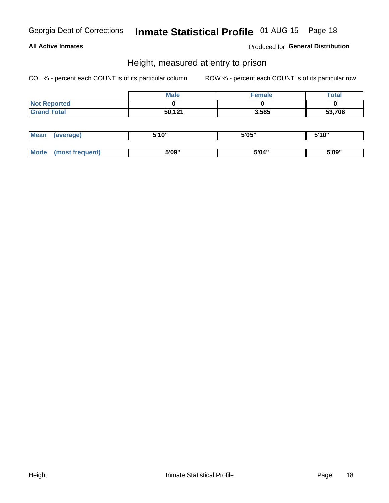### **All Active Inmates**

Produced for General Distribution

### Height, measured at entry to prison

COL % - percent each COUNT is of its particular column

|                     | <b>Male</b> | Female | Total  |
|---------------------|-------------|--------|--------|
| <b>Not Reported</b> |             |        |        |
| <b>Grand Total</b>  | 50,121      | 3,585  | 53,706 |

| <b>Mean</b> | erage) | 5'10" | 5'05" | <b>CIA AIL</b><br>. . |
|-------------|--------|-------|-------|-----------------------|
|             |        |       |       |                       |
| <b>Mode</b> |        | 5'09" | 5'04" | 5'09"                 |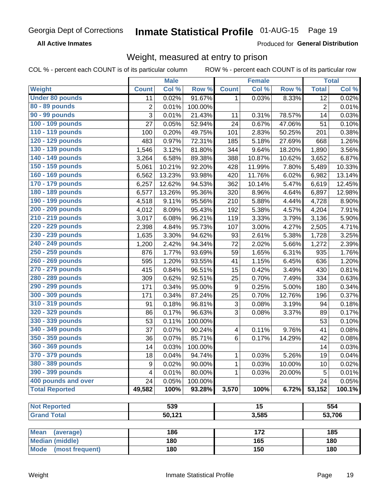**All Active Inmates** 

Produced for General Distribution

## Weight, measured at entry to prison

COL % - percent each COUNT is of its particular column

|                          |                | <b>Male</b> |         |                         | <b>Female</b>   |        |                | <b>Total</b> |
|--------------------------|----------------|-------------|---------|-------------------------|-----------------|--------|----------------|--------------|
| Weight                   | <b>Count</b>   | Col %       | Row %   | <b>Count</b>            | Col %           | Row %  | <b>Total</b>   | Col %        |
| <b>Under 80 pounds</b>   | 11             | 0.02%       | 91.67%  | 1                       | 0.03%           | 8.33%  | 12             | 0.02%        |
| 80 - 89 pounds           | $\overline{c}$ | 0.01%       | 100.00% |                         |                 |        | $\overline{c}$ | 0.01%        |
| 90 - 99 pounds           | 3              | 0.01%       | 21.43%  | 11                      | 0.31%           | 78.57% | 14             | 0.03%        |
| 100 - 109 pounds         | 27             | 0.05%       | 52.94%  | 24                      | 0.67%           | 47.06% | 51             | 0.10%        |
| 110 - 119 pounds         | 100            | 0.20%       | 49.75%  | 101                     | 2.83%           | 50.25% | 201            | 0.38%        |
| 120 - 129 pounds         | 483            | 0.97%       | 72.31%  | 185                     | 5.18%           | 27.69% | 668            | 1.26%        |
| 130 - 139 pounds         | 1,546          | 3.12%       | 81.80%  | 344                     | 9.64%           | 18.20% | 1,890          | 3.56%        |
| 140 - 149 pounds         | 3,264          | 6.58%       | 89.38%  | 388                     | 10.87%          | 10.62% | 3,652          | 6.87%        |
| 150 - 159 pounds         | 5,061          | 10.21%      | 92.20%  | 428                     | 11.99%          | 7.80%  | 5,489          | 10.33%       |
| 160 - 169 pounds         | 6,562          | 13.23%      | 93.98%  | 420                     | 11.76%          | 6.02%  | 6,982          | 13.14%       |
| 170 - 179 pounds         | 6,257          | 12.62%      | 94.53%  | 362                     | 10.14%          | 5.47%  | 6,619          | 12.45%       |
| 180 - 189 pounds         | 6,577          | 13.26%      | 95.36%  | 320                     | 8.96%           | 4.64%  | 6,897          | 12.98%       |
| 190 - 199 pounds         | 4,518          | 9.11%       | 95.56%  | 210                     | 5.88%           | 4.44%  | 4,728          | 8.90%        |
| 200 - 209 pounds         | 4,012          | 8.09%       | 95.43%  | 192                     | 5.38%           | 4.57%  | 4,204          | 7.91%        |
| 210 - 219 pounds         | 3,017          | 6.08%       | 96.21%  | 119                     | 3.33%           | 3.79%  | 3,136          | 5.90%        |
| 220 - 229 pounds         | 2,398          | 4.84%       | 95.73%  | 107                     | 3.00%           | 4.27%  | 2,505          | 4.71%        |
| 230 - 239 pounds         | 1,635          | 3.30%       | 94.62%  | 93                      | 2.61%           | 5.38%  | 1,728          | 3.25%        |
| 240 - 249 pounds         | 1,200          | 2.42%       | 94.34%  | 72                      | 2.02%           | 5.66%  | 1,272          | 2.39%        |
| 250 - 259 pounds         | 876            | 1.77%       | 93.69%  | 59                      | 1.65%           | 6.31%  | 935            | 1.76%        |
| 260 - 269 pounds         | 595            | 1.20%       | 93.55%  | 41                      | 1.15%           | 6.45%  | 636            | 1.20%        |
| 270 - 279 pounds         | 415            | 0.84%       | 96.51%  | 15                      | 0.42%           | 3.49%  | 430            | 0.81%        |
| 280 - 289 pounds         | 309            | 0.62%       | 92.51%  | 25                      | 0.70%           | 7.49%  | 334            | 0.63%        |
| 290 - 299 pounds         | 171            | 0.34%       | 95.00%  | 9                       | 0.25%           | 5.00%  | 180            | 0.34%        |
| 300 - 309 pounds         | 171            | 0.34%       | 87.24%  | 25                      | 0.70%           | 12.76% | 196            | 0.37%        |
| 310 - 319 pounds         | 91             | 0.18%       | 96.81%  | $\mathbf{3}$            | 0.08%           | 3.19%  | 94             | 0.18%        |
| 320 - 329 pounds         | 86             | 0.17%       | 96.63%  | 3                       | 0.08%           | 3.37%  | 89             | 0.17%        |
| 330 - 339 pounds         | 53             | 0.11%       | 100.00% |                         |                 |        | 53             | 0.10%        |
| 340 - 349 pounds         | 37             | 0.07%       | 90.24%  | $\overline{\mathbf{4}}$ | 0.11%           | 9.76%  | 41             | 0.08%        |
| 350 - 359 pounds         | 36             | 0.07%       | 85.71%  | 6                       | 0.17%           | 14.29% | 42             | 0.08%        |
| 360 - 369 pounds         | 14             | 0.03%       | 100.00% |                         |                 |        | 14             | 0.03%        |
| 370 - 379 pounds         | 18             | 0.04%       | 94.74%  | 1                       | 0.03%           | 5.26%  | 19             | 0.04%        |
| 380 - 389 pounds         | 9              | 0.02%       | 90.00%  | 1                       | 0.03%           | 10.00% | 10             | 0.02%        |
| 390 - 399 pounds         | 4              | 0.01%       | 80.00%  | 1                       | 0.03%           | 20.00% | 5              | 0.01%        |
| 400 pounds and over      | 24             | 0.05%       | 100.00% |                         |                 |        | 24             | 0.05%        |
| <b>Total Reported</b>    | 49,582         | 100%        | 93.28%  | 3,570                   | 100%            | 6.72%  | 53,152         | 100.1%       |
|                          |                |             |         |                         |                 |        |                |              |
| <b>Not Reported</b>      |                | 539         |         |                         | $\overline{15}$ |        |                | 554          |
| <b>Grand Total</b>       |                | 50,121      |         |                         | 3,585           |        |                | 53,706       |
|                          |                |             |         |                         |                 |        |                |              |
| <b>Mean</b><br>(average) |                | 186         |         |                         | 172             |        |                | 185          |
| <b>Median (middle)</b>   |                | 180         |         |                         | 165             |        |                | 180          |
| Mode (most frequent)     |                | 180         |         |                         | 150             |        |                | 180          |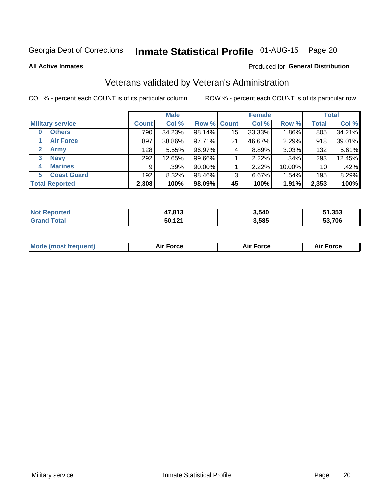## Inmate Statistical Profile 01-AUG-15 Page 20

**All Active Inmates** 

#### Produced for General Distribution

## Veterans validated by Veteran's Administration

COL % - percent each COUNT is of its particular column

|                          | <b>Male</b>  |        |             | <b>Female</b> |        |           | <b>Total</b> |        |
|--------------------------|--------------|--------|-------------|---------------|--------|-----------|--------------|--------|
| <b>Military service</b>  | <b>Count</b> | Col %  | Row % Count |               | Col %  | Row %     | <b>Total</b> | Col %  |
| <b>Others</b><br>0       | 790          | 34.23% | 98.14%      | 15            | 33.33% | 1.86%     | 805          | 34.21% |
| <b>Air Force</b>         | 897          | 38.86% | 97.71%      | 21            | 46.67% | 2.29%     | 918          | 39.01% |
| 2<br><b>Army</b>         | 128          | 5.55%  | 96.97%      | 4             | 8.89%  | 3.03%     | 132          | 5.61%  |
| <b>Navy</b><br>3         | 292          | 12.65% | 99.66%      |               | 2.22%  | .34%      | 293          | 12.45% |
| <b>Marines</b><br>4      | 9            | .39%   | 90.00%      |               | 2.22%  | $10.00\%$ | 10           | .42%   |
| <b>Coast Guard</b><br>5. | 192          | 8.32%  | 98.46%      | 3             | 6.67%  | 1.54%     | 195          | 8.29%  |
| <b>Total Reported</b>    | 2,308        | 100%   | 98.09%      | 45            | 100%   | 1.91%     | 2,353        | 100%   |

| <b>rted</b><br>NOI | 17 912<br>נוס, | 3,540 | 51,353 |
|--------------------|----------------|-------|--------|
| $\sim$             | 50,121         | 3,585 | 53,706 |

| <b>Mode (most frequent)</b><br>Force<br><b>Force</b><br>orce<br>Aır |
|---------------------------------------------------------------------|
|---------------------------------------------------------------------|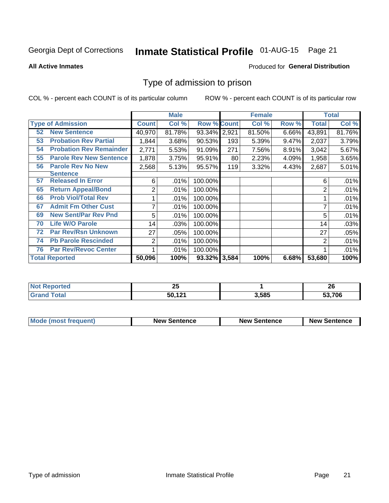## Inmate Statistical Profile 01-AUG-15 Page 21

#### **All Active Inmates**

#### Produced for General Distribution

### Type of admission to prison

COL % - percent each COUNT is of its particular column

|    |                                |                | <b>Male</b> |                    |     | <b>Female</b> |       |        | <b>Total</b> |
|----|--------------------------------|----------------|-------------|--------------------|-----|---------------|-------|--------|--------------|
|    | <b>Type of Admission</b>       | <b>Count</b>   | Col %       | <b>Row % Count</b> |     | Col %         | Row % | Total  | Col %        |
| 52 | <b>New Sentence</b>            | 40,970         | 81.78%      | 93.34% 2,921       |     | 81.50%        | 6.66% | 43,891 | 81.76%       |
| 53 | <b>Probation Rev Partial</b>   | 1,844          | 3.68%       | 90.53%             | 193 | 5.39%         | 9.47% | 2,037  | 3.79%        |
| 54 | <b>Probation Rev Remainder</b> | 2,771          | 5.53%       | 91.09%             | 271 | 7.56%         | 8.91% | 3,042  | 5.67%        |
| 55 | <b>Parole Rev New Sentence</b> | 1,878          | 3.75%       | 95.91%             | 80  | 2.23%         | 4.09% | 1,958  | 3.65%        |
| 56 | <b>Parole Rev No New</b>       | 2,568          | 5.13%       | 95.57%             | 119 | 3.32%         | 4.43% | 2,687  | 5.01%        |
|    | <b>Sentence</b>                |                |             |                    |     |               |       |        |              |
| 57 | <b>Released In Error</b>       | 6              | .01%        | 100.00%            |     |               |       | 6      | .01%         |
| 65 | <b>Return Appeal/Bond</b>      | $\overline{2}$ | .01%        | 100.00%            |     |               |       | 2      | .01%         |
| 66 | <b>Prob Viol/Total Rev</b>     |                | .01%        | 100.00%            |     |               |       |        | .01%         |
| 67 | <b>Admit Fm Other Cust</b>     | $\overline{7}$ | .01%        | 100.00%            |     |               |       | 7      | .01%         |
| 69 | <b>New Sent/Par Rev Pnd</b>    | 5              | .01%        | 100.00%            |     |               |       | 5      | .01%         |
| 70 | <b>Life W/O Parole</b>         | 14             | .03%        | 100.00%            |     |               |       | 14     | .03%         |
| 72 | <b>Par Rev/Rsn Unknown</b>     | 27             | .05%        | 100.00%            |     |               |       | 27     | .05%         |
| 74 | <b>Pb Parole Rescinded</b>     | 2              | .01%        | 100.00%            |     |               |       | 2      | .01%         |
| 76 | <b>Par Rev/Revoc Center</b>    |                | .01%        | 100.00%            |     |               |       |        | .01%         |
|    | <b>Total Reported</b>          | 50,096         | 100%        | 93.32% 3,584       |     | 100%          | 6.68% | 53,680 | 100%         |

| NO  | - -    |      | oc.    |
|-----|--------|------|--------|
| neo | ΔJ     |      | ZU     |
|     | 50,121 | .585 | 53,706 |

| <b>Mode (most frequent)</b> | <b>New Sentence</b> | <b>New Sentence</b> | <b>New Sentence</b> |
|-----------------------------|---------------------|---------------------|---------------------|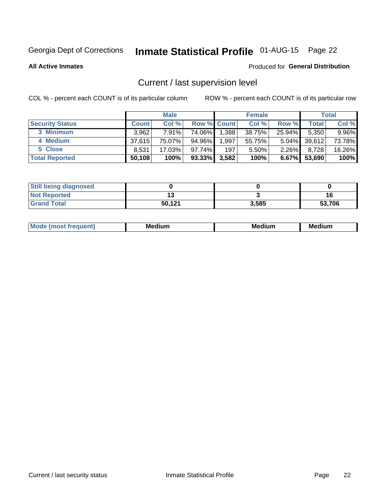## Inmate Statistical Profile 01-AUG-15 Page 22

**All Active Inmates** 

#### Produced for General Distribution

## Current / last supervision level

COL % - percent each COUNT is of its particular column

|                        |              | <b>Male</b> |                    |       | <b>Female</b> |          |        | <b>Total</b> |
|------------------------|--------------|-------------|--------------------|-------|---------------|----------|--------|--------------|
| <b>Security Status</b> | <b>Count</b> | Col %       | <b>Row % Count</b> |       | Col %         | Row %    | Total  | Col %        |
| 3 Minimum              | 3,962        | $7.91\%$    | 74.06%             | 1,388 | 38.75%        | 25.94%   | 5,350  | 9.96%        |
| 4 Medium               | 37.615       | 75.07%      | 94.96%             | 1,997 | 55.75%        | $5.04\%$ | 39,612 | 73.78%       |
| 5 Close                | 8,531        | 17.03%      | 97.74%             | 197   | 5.50%         | $2.26\%$ | 8,728  | 16.26%       |
| <b>Total Reported</b>  | 50,108       | 100%        | $93.33\%$          | 3,582 | 100%          | $6.67\%$ | 53,690 | 100%         |

| <b>Still being diagnosed</b> |        |       |        |
|------------------------------|--------|-------|--------|
| <b>Not Reported</b>          |        |       |        |
| <b>Grand Total</b>           | 50,121 | 3,585 | 53,706 |

| M | . | -- |
|---|---|----|
|   |   |    |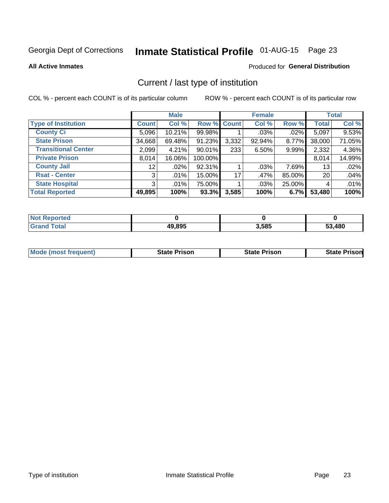## Inmate Statistical Profile 01-AUG-15 Page 23

**All Active Inmates** 

### Produced for General Distribution

## Current / last type of institution

COL % - percent each COUNT is of its particular column

|                            |                 | <b>Male</b> |             |       | <b>Female</b> |        |              | <b>Total</b> |
|----------------------------|-----------------|-------------|-------------|-------|---------------|--------|--------------|--------------|
| <b>Type of Institution</b> | <b>Count</b>    | Col %       | Row % Count |       | Col %         | Row %  | <b>Total</b> | Col %        |
| <b>County Ci</b>           | 5,096           | 10.21%      | 99.98%      |       | .03%          | .02%   | 5,097        | 9.53%        |
| <b>State Prison</b>        | 34,668          | 69.48%      | 91.23%      | 3,332 | 92.94%        | 8.77%  | 38,000       | 71.05%       |
| <b>Transitional Center</b> | 2,099           | 4.21%       | $90.01\%$   | 233   | 6.50%         | 9.99%  | 2,332        | 4.36%        |
| <b>Private Prison</b>      | 8,014           | 16.06%      | 100.00%     |       |               |        | 8,014        | 14.99%       |
| <b>County Jail</b>         | 12 <sub>1</sub> | .02%        | 92.31%      |       | .03%          | 7.69%  | 13           | .02%         |
| <b>Rsat - Center</b>       | 3               | $.01\%$     | 15.00%      | 17    | .47%          | 85.00% | 20           | .04%         |
| <b>State Hospital</b>      | 3 <sup>1</sup>  | $.01\%$     | 75.00%      |       | .03%          | 25.00% | 4            | .01%         |
| <b>Total Reported</b>      | 49,895          | 100%        | 93.3%       | 3,585 | 100%          | 6.7%   | 53,480       | 100%         |

| portea<br>NG |        |       |        |
|--------------|--------|-------|--------|
| $\sim$ 40    | 49,895 | 3,585 | 53,480 |

| <b>Mode (most frequent)</b> | <b>State Prison</b> | <b>State Prison</b> | <b>State Prison</b> |
|-----------------------------|---------------------|---------------------|---------------------|
|                             |                     |                     |                     |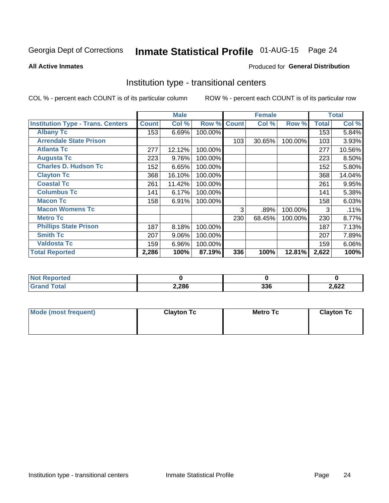## Inmate Statistical Profile 01-AUG-15 Page 24

#### **All Active Inmates**

### Produced for General Distribution

### Institution type - transitional centers

COL % - percent each COUNT is of its particular column

|                                          |              | <b>Male</b> |         |              | <b>Female</b> |         |              | <b>Total</b> |
|------------------------------------------|--------------|-------------|---------|--------------|---------------|---------|--------------|--------------|
| <b>Institution Type - Trans. Centers</b> | <b>Count</b> | Col %       | Row %   | <b>Count</b> | Col %         | Row %   | <b>Total</b> | Col %        |
| <b>Albany Tc</b>                         | 153          | 6.69%       | 100.00% |              |               |         | 153          | 5.84%        |
| <b>Arrendale State Prison</b>            |              |             |         | 103          | 30.65%        | 100.00% | 103          | 3.93%        |
| <b>Atlanta Tc</b>                        | 277          | 12.12%      | 100.00% |              |               |         | 277          | 10.56%       |
| <b>Augusta Tc</b>                        | 223          | 9.76%       | 100.00% |              |               |         | 223          | 8.50%        |
| <b>Charles D. Hudson Tc</b>              | 152          | 6.65%       | 100.00% |              |               |         | 152          | 5.80%        |
| <b>Clayton Tc</b>                        | 368          | 16.10%      | 100.00% |              |               |         | 368          | 14.04%       |
| <b>Coastal Tc</b>                        | 261          | 11.42%      | 100.00% |              |               |         | 261          | 9.95%        |
| <b>Columbus Tc</b>                       | 141          | 6.17%       | 100.00% |              |               |         | 141          | 5.38%        |
| <b>Macon Tc</b>                          | 158          | 6.91%       | 100.00% |              |               |         | 158          | 6.03%        |
| <b>Macon Womens Tc</b>                   |              |             |         | 3            | .89%          | 100.00% | 3            | .11%         |
| <b>Metro Tc</b>                          |              |             |         | 230          | 68.45%        | 100.00% | 230          | 8.77%        |
| <b>Phillips State Prison</b>             | 187          | 8.18%       | 100.00% |              |               |         | 187          | 7.13%        |
| <b>Smith Tc</b>                          | 207          | 9.06%       | 100.00% |              |               |         | 207          | 7.89%        |
| <b>Valdosta Tc</b>                       | 159          | 6.96%       | 100.00% |              |               |         | 159          | 6.06%        |
| <b>Total Reported</b>                    | 2,286        | 100%        | 87.19%  | 336          | 100%          | 12.81%  | 2,622        | 100%         |

| orted         |       |                   |       |
|---------------|-------|-------------------|-------|
| <b>c</b> otal | 2,286 | <b>220</b><br>აათ | 2,622 |

| Mode (most frequent) | <b>Clayton Tc</b> | <b>Metro Tc</b> | <b>Clayton Tc</b> |
|----------------------|-------------------|-----------------|-------------------|
|                      |                   |                 |                   |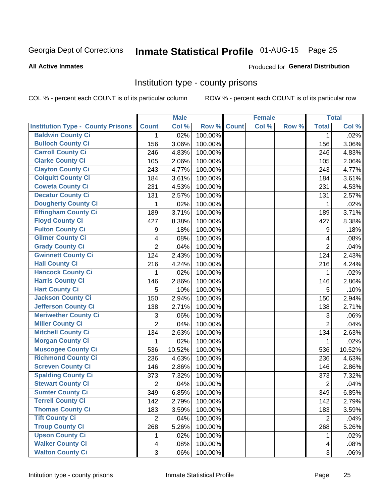## Inmate Statistical Profile 01-AUG-15 Page 25

**All Active Inmates** 

#### Produced for General Distribution

### Institution type - county prisons

COL % - percent each COUNT is of its particular column

|                                          |                         | <b>Male</b> |         |              | <b>Female</b> |       |                  | <b>Total</b> |
|------------------------------------------|-------------------------|-------------|---------|--------------|---------------|-------|------------------|--------------|
| <b>Institution Type - County Prisons</b> | <b>Count</b>            | Col %       | Row %   | <b>Count</b> | Col %         | Row % | <b>Total</b>     | Col %        |
| <b>Baldwin County Ci</b>                 | $\mathbf{1}$            | .02%        | 100.00% |              |               |       | $\mathbf 1$      | .02%         |
| <b>Bulloch County Ci</b>                 | 156                     | 3.06%       | 100.00% |              |               |       | 156              | 3.06%        |
| <b>Carroll County Ci</b>                 | 246                     | 4.83%       | 100.00% |              |               |       | 246              | 4.83%        |
| <b>Clarke County Ci</b>                  | 105                     | 2.06%       | 100.00% |              |               |       | 105              | 2.06%        |
| <b>Clayton County Ci</b>                 | 243                     | 4.77%       | 100.00% |              |               |       | 243              | 4.77%        |
| <b>Colquitt County Ci</b>                | 184                     | 3.61%       | 100.00% |              |               |       | 184              | 3.61%        |
| <b>Coweta County Ci</b>                  | 231                     | 4.53%       | 100.00% |              |               |       | 231              | 4.53%        |
| <b>Decatur County Ci</b>                 | 131                     | 2.57%       | 100.00% |              |               |       | 131              | 2.57%        |
| <b>Dougherty County Ci</b>               | 1                       | .02%        | 100.00% |              |               |       | 1                | .02%         |
| <b>Effingham County Ci</b>               | 189                     | 3.71%       | 100.00% |              |               |       | 189              | 3.71%        |
| <b>Floyd County Ci</b>                   | 427                     | 8.38%       | 100.00% |              |               |       | 427              | 8.38%        |
| <b>Fulton County Ci</b>                  | 9                       | .18%        | 100.00% |              |               |       | $\boldsymbol{9}$ | .18%         |
| <b>Gilmer County Ci</b>                  | $\overline{\mathbf{4}}$ | .08%        | 100.00% |              |               |       | 4                | .08%         |
| <b>Grady County Ci</b>                   | $\overline{c}$          | .04%        | 100.00% |              |               |       | $\overline{2}$   | .04%         |
| <b>Gwinnett County Ci</b>                | 124                     | 2.43%       | 100.00% |              |               |       | 124              | 2.43%        |
| <b>Hall County Ci</b>                    | 216                     | 4.24%       | 100.00% |              |               |       | 216              | 4.24%        |
| <b>Hancock County Ci</b>                 | 1                       | .02%        | 100.00% |              |               |       | 1                | .02%         |
| <b>Harris County Ci</b>                  | 146                     | 2.86%       | 100.00% |              |               |       | 146              | 2.86%        |
| <b>Hart County Ci</b>                    | 5                       | .10%        | 100.00% |              |               |       | 5                | .10%         |
| <b>Jackson County Ci</b>                 | 150                     | 2.94%       | 100.00% |              |               |       | 150              | 2.94%        |
| <b>Jefferson County Ci</b>               | 138                     | 2.71%       | 100.00% |              |               |       | 138              | 2.71%        |
| <b>Meriwether County Ci</b>              | 3                       | .06%        | 100.00% |              |               |       | 3                | .06%         |
| <b>Miller County Ci</b>                  | $\overline{2}$          | .04%        | 100.00% |              |               |       | $\overline{2}$   | .04%         |
| <b>Mitchell County Ci</b>                | 134                     | 2.63%       | 100.00% |              |               |       | 134              | 2.63%        |
| <b>Morgan County Ci</b>                  | $\mathbf{1}$            | .02%        | 100.00% |              |               |       | 1                | .02%         |
| <b>Muscogee County Ci</b>                | 536                     | 10.52%      | 100.00% |              |               |       | 536              | 10.52%       |
| <b>Richmond County Ci</b>                | 236                     | 4.63%       | 100.00% |              |               |       | 236              | 4.63%        |
| <b>Screven County Ci</b>                 | 146                     | 2.86%       | 100.00% |              |               |       | 146              | 2.86%        |
| <b>Spalding County Ci</b>                | 373                     | 7.32%       | 100.00% |              |               |       | 373              | 7.32%        |
| <b>Stewart County Ci</b>                 | $\mathbf 2$             | .04%        | 100.00% |              |               |       | $\overline{2}$   | .04%         |
| <b>Sumter County Ci</b>                  | 349                     | 6.85%       | 100.00% |              |               |       | 349              | 6.85%        |
| <b>Terrell County Ci</b>                 | 142                     | 2.79%       | 100.00% |              |               |       | 142              | 2.79%        |
| <b>Thomas County Ci</b>                  | 183                     | 3.59%       | 100.00% |              |               |       | 183              | 3.59%        |
| <b>Tift County Ci</b>                    | $\overline{2}$          | .04%        | 100.00% |              |               |       | 2                | .04%         |
| <b>Troup County Ci</b>                   | 268                     | 5.26%       | 100.00% |              |               |       | 268              | 5.26%        |
| <b>Upson County Ci</b>                   | 1                       | .02%        | 100.00% |              |               |       | 1                | .02%         |
| <b>Walker County Ci</b>                  | 4                       | .08%        | 100.00% |              |               |       | 4                | .08%         |
| <b>Walton County Ci</b>                  | 3                       | .06%        | 100.00% |              |               |       | 3                | .06%         |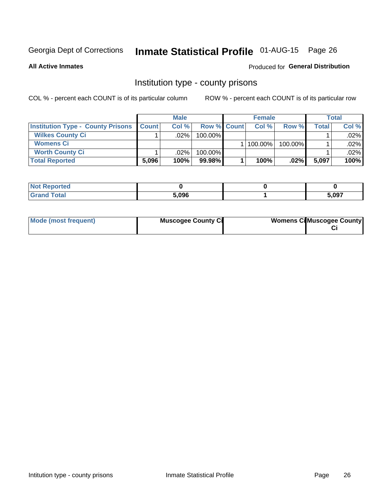## Inmate Statistical Profile 01-AUG-15 Page 26

**All Active Inmates** 

#### Produced for General Distribution

### Institution type - county prisons

COL % - percent each COUNT is of its particular column

|                                          | <b>Male</b>  |         |                    | <b>Female</b> |              |         | Total |         |
|------------------------------------------|--------------|---------|--------------------|---------------|--------------|---------|-------|---------|
| <b>Institution Type - County Prisons</b> | <b>Count</b> | Col%    | <b>Row % Count</b> |               | Col%         | Row %   | Total | Col %   |
| <b>Wilkes County Ci</b>                  |              | $.02\%$ | 100.00%            |               |              |         |       | $.02\%$ |
| <b>Womens Ci</b>                         |              |         |                    |               | $ 100.00\% $ | 100.00% |       | .02%    |
| <b>Worth County Ci</b>                   |              | $.02\%$ | 100.00%            |               |              |         |       | .02% l  |
| <b>Total Reported</b>                    | 5,096        | 100%    | $99.98\%$          |               | 100%         | $.02\%$ | 5,097 | 100%    |

| τeα |       |       |
|-----|-------|-------|
| .   | 5,096 | 5,097 |

| Mode (most frequent) | <b>Muscogee County Ci</b> | <b>Womens Ci</b> Muscogee County |
|----------------------|---------------------------|----------------------------------|
|----------------------|---------------------------|----------------------------------|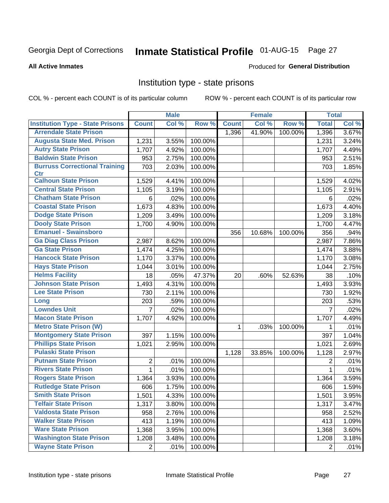## Inmate Statistical Profile 01-AUG-15 Page 27

#### **All Active Inmates**

#### Produced for General Distribution

### Institution type - state prisons

COL % - percent each COUNT is of its particular column

|                                         |                | <b>Male</b> |         |              | <b>Female</b> |         | <b>Total</b> |       |
|-----------------------------------------|----------------|-------------|---------|--------------|---------------|---------|--------------|-------|
| <b>Institution Type - State Prisons</b> | <b>Count</b>   | Col %       | Row %   | <b>Count</b> | Col %         | Row %   | <b>Total</b> | Col % |
| <b>Arrendale State Prison</b>           |                |             |         | 1,396        | 41.90%        | 100.00% | 1,396        | 3.67% |
| <b>Augusta State Med. Prison</b>        | 1,231          | 3.55%       | 100.00% |              |               |         | 1,231        | 3.24% |
| <b>Autry State Prison</b>               | 1,707          | 4.92%       | 100.00% |              |               |         | 1,707        | 4.49% |
| <b>Baldwin State Prison</b>             | 953            | 2.75%       | 100.00% |              |               |         | 953          | 2.51% |
| <b>Burruss Correctional Training</b>    | 703            | 2.03%       | 100.00% |              |               |         | 703          | 1.85% |
| <b>Ctr</b>                              |                |             |         |              |               |         |              |       |
| <b>Calhoun State Prison</b>             | 1,529          | 4.41%       | 100.00% |              |               |         | 1,529        | 4.02% |
| <b>Central State Prison</b>             | 1,105          | 3.19%       | 100.00% |              |               |         | 1,105        | 2.91% |
| <b>Chatham State Prison</b>             | 6              | .02%        | 100.00% |              |               |         | 6            | .02%  |
| <b>Coastal State Prison</b>             | 1,673          | 4.83%       | 100.00% |              |               |         | 1,673        | 4.40% |
| <b>Dodge State Prison</b>               | 1,209          | 3.49%       | 100.00% |              |               |         | 1,209        | 3.18% |
| <b>Dooly State Prison</b>               | 1,700          | 4.90%       | 100.00% |              |               |         | 1,700        | 4.47% |
| <b>Emanuel - Swainsboro</b>             |                |             |         | 356          | 10.68%        | 100.00% | 356          | .94%  |
| <b>Ga Diag Class Prison</b>             | 2,987          | 8.62%       | 100.00% |              |               |         | 2,987        | 7.86% |
| <b>Ga State Prison</b>                  | 1,474          | 4.25%       | 100.00% |              |               |         | 1,474        | 3.88% |
| <b>Hancock State Prison</b>             | 1,170          | 3.37%       | 100.00% |              |               |         | 1,170        | 3.08% |
| <b>Hays State Prison</b>                | 1,044          | 3.01%       | 100.00% |              |               |         | 1,044        | 2.75% |
| <b>Helms Facility</b>                   | 18             | .05%        | 47.37%  | 20           | .60%          | 52.63%  | 38           | .10%  |
| <b>Johnson State Prison</b>             | 1,493          | 4.31%       | 100.00% |              |               |         | 1,493        | 3.93% |
| <b>Lee State Prison</b>                 | 730            | 2.11%       | 100.00% |              |               |         | 730          | 1.92% |
| Long                                    | 203            | .59%        | 100.00% |              |               |         | 203          | .53%  |
| <b>Lowndes Unit</b>                     | $\overline{7}$ | .02%        | 100.00% |              |               |         | 7            | .02%  |
| <b>Macon State Prison</b>               | 1,707          | 4.92%       | 100.00% |              |               |         | 1,707        | 4.49% |
| <b>Metro State Prison (W)</b>           |                |             |         | $\mathbf 1$  | .03%          | 100.00% | 1            | .01%  |
| <b>Montgomery State Prison</b>          | 397            | 1.15%       | 100.00% |              |               |         | 397          | 1.04% |
| <b>Phillips State Prison</b>            | 1,021          | 2.95%       | 100.00% |              |               |         | 1,021        | 2.69% |
| <b>Pulaski State Prison</b>             |                |             |         | 1,128        | 33.85%        | 100.00% | 1,128        | 2.97% |
| <b>Putnam State Prison</b>              | 2              | .01%        | 100.00% |              |               |         | 2            | .01%  |
| <b>Rivers State Prison</b>              | $\mathbf{1}$   | .01%        | 100.00% |              |               |         | 1            | .01%  |
| <b>Rogers State Prison</b>              | 1,364          | 3.93%       | 100.00% |              |               |         | 1,364        | 3.59% |
| <b>Rutledge State Prison</b>            | 606            | 1.75%       | 100.00% |              |               |         | 606          | 1.59% |
| <b>Smith State Prison</b>               | 1,501          | 4.33%       | 100.00% |              |               |         | 1,501        | 3.95% |
| <b>Telfair State Prison</b>             | 1,317          | 3.80%       | 100.00% |              |               |         | 1,317        | 3.47% |
| <b>Valdosta State Prison</b>            | 958            | 2.76%       | 100.00% |              |               |         | 958          | 2.52% |
| <b>Walker State Prison</b>              | 413            | 1.19%       | 100.00% |              |               |         | 413          | 1.09% |
| <b>Ware State Prison</b>                | 1,368          | 3.95%       | 100.00% |              |               |         | 1,368        | 3.60% |
| <b>Washington State Prison</b>          | 1,208          | 3.48%       | 100.00% |              |               |         | 1,208        | 3.18% |
| <b>Wayne State Prison</b>               | $\overline{2}$ | .01%        | 100.00% |              |               |         | 2            | .01%  |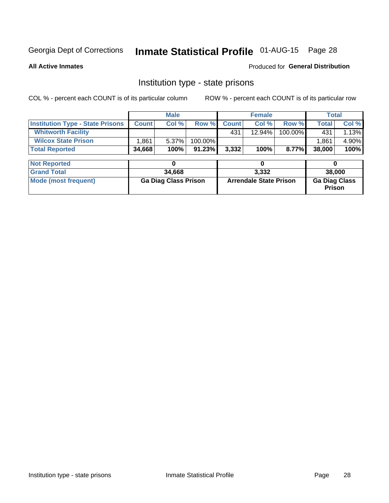## Inmate Statistical Profile 01-AUG-15 Page 28

**All Active Inmates** 

#### Produced for General Distribution

### Institution type - state prisons

COL % - percent each COUNT is of its particular column

|                                         | <b>Male</b>                 |        |         | <b>Female</b>                 |        |         | <b>Total</b>                   |       |
|-----------------------------------------|-----------------------------|--------|---------|-------------------------------|--------|---------|--------------------------------|-------|
| <b>Institution Type - State Prisons</b> | <b>Count</b>                | Col %  | Row %   | <b>Count</b>                  | Col %  | Row %   | <b>Total</b>                   | Col % |
| <b>Whitworth Facility</b>               |                             |        |         | 431                           | 12.94% | 100.00% | 431                            | 1.13% |
| <b>Wilcox State Prison</b>              | l.861                       | 5.37%  | 100.00% |                               |        |         | 1.861                          | 4.90% |
| <b>Total Reported</b>                   | 34,668                      | 100%   | 91.23%  | 3,332                         | 100%   | 8.77%   | 38,000                         | 100%  |
|                                         |                             |        |         |                               |        |         |                                |       |
| <b>Not Reported</b>                     |                             | 0      |         |                               | 0      |         | 0                              |       |
| <b>Grand Total</b>                      |                             | 34,668 |         | 3,332                         |        |         | 38,000                         |       |
| <b>Mode (most frequent)</b>             | <b>Ga Diag Class Prison</b> |        |         | <b>Arrendale State Prison</b> |        |         | <b>Ga Diag Class</b><br>Prison |       |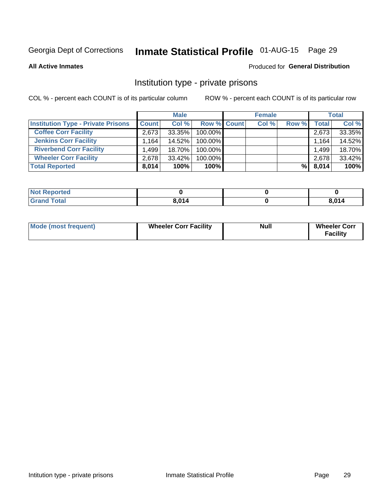## Inmate Statistical Profile 01-AUG-15 Page 29

**All Active Inmates** 

#### Produced for General Distribution

## Institution type - private prisons

COL % - percent each COUNT is of its particular column

|                                           | <b>Male</b>          |           |                    | <b>Female</b> |       |       | <b>Total</b> |        |
|-------------------------------------------|----------------------|-----------|--------------------|---------------|-------|-------|--------------|--------|
| <b>Institution Type - Private Prisons</b> | <b>Count</b>         | Col %     | <b>Row % Count</b> |               | Col % | Row % | Total        | Col %  |
| <b>Coffee Corr Facility</b>               | 2,673                | 33.35%    | 100.00%            |               |       |       | 2,673        | 33.35% |
| <b>Jenkins Corr Facility</b>              | $1.164$ <sup>1</sup> | 14.52%    | 100.00%            |               |       |       | 1,164        | 14.52% |
| <b>Riverbend Corr Facility</b>            | .499                 | $18.70\%$ | 100.00%            |               |       |       | 1,499        | 18.70% |
| <b>Wheeler Corr Facility</b>              | 2.678                | $33.42\%$ | 100.00%            |               |       |       | 2,678        | 33.42% |
| <b>Total Reported</b>                     | 8,014                | 100%      | $100\%$            |               |       | %Ⅰ    | 8,014        | 100%   |

| 'Noi<br><b>Reported</b> |       |       |
|-------------------------|-------|-------|
| <b>otal</b>             | R N14 | 0.011 |

| <b>Mode (most frequent)</b> | <b>Wheeler Corr Facility</b> | <b>Null</b> | <b>Wheeler Corr</b><br><b>Facility</b> |
|-----------------------------|------------------------------|-------------|----------------------------------------|
|-----------------------------|------------------------------|-------------|----------------------------------------|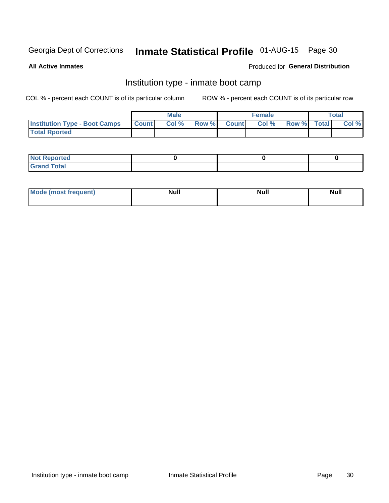## Inmate Statistical Profile 01-AUG-15 Page 30

**All Active Inmates** 

### Produced for General Distribution

## Institution type - inmate boot camp

COL % - percent each COUNT is of its particular column

|                                      |              | <b>Male</b> |               |              | <b>Female</b> |             | <b>Total</b> |
|--------------------------------------|--------------|-------------|---------------|--------------|---------------|-------------|--------------|
| <b>Institution Type - Boot Camps</b> | <b>Count</b> | Col %       | <b>Row %I</b> | <b>Count</b> | Col %         | Row % Total | Col %        |
| <b>Total Rported</b>                 |              |             |               |              |               |             |              |

| <b>Not Reported</b>            |  |  |
|--------------------------------|--|--|
| <b>Total</b><br>C <sub>r</sub> |  |  |

| Mod<br>uamo | Nul.<br>$- - - - - -$ | <b>Null</b> | <br>uu.<br>------ |
|-------------|-----------------------|-------------|-------------------|
|             |                       |             |                   |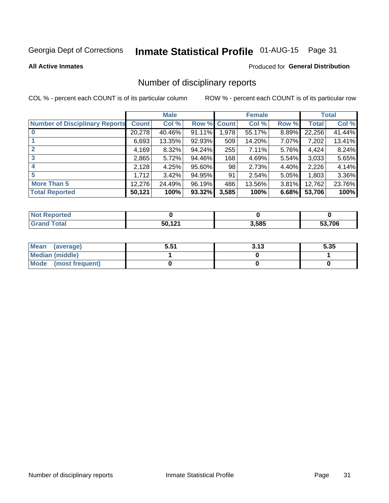## Inmate Statistical Profile 01-AUG-15 Page 31

#### **All Active Inmates**

#### Produced for General Distribution

## Number of disciplinary reports

COL % - percent each COUNT is of its particular column

|                                       |              | <b>Male</b> |             |       | <b>Female</b> |       |        | <b>Total</b> |
|---------------------------------------|--------------|-------------|-------------|-------|---------------|-------|--------|--------------|
| <b>Number of Disciplinary Reports</b> | <b>Count</b> | Col %       | Row % Count |       | Col %         | Row % | Total  | Col %        |
|                                       | 20,278       | 40.46%      | $91.11\%$   | 1,978 | 55.17%        | 8.89% | 22,256 | 41.44%       |
|                                       | 6,693        | 13.35%      | $92.93\%$   | 509   | 14.20%        | 7.07% | 7,202  | 13.41%       |
|                                       | 4,169        | 8.32%       | 94.24%      | 255   | 7.11%         | 5.76% | 4,424  | 8.24%        |
| 3                                     | 2,865        | 5.72%       | 94.46%      | 168   | 4.69%         | 5.54% | 3,033  | 5.65%        |
|                                       | 2,128        | 4.25%       | 95.60%      | 98    | 2.73%         | 4.40% | 2,226  | 4.14%        |
| 5                                     | 1.712        | 3.42%       | 94.95%      | 91    | 2.54%         | 5.05% | 1,803  | 3.36%        |
| <b>More Than 5</b>                    | 12,276       | 24.49%      | 96.19%      | 486   | 13.56%        | 3.81% | 12,762 | 23.76%       |
| <b>Total Reported</b>                 | 50,121       | 100%        | 93.32%      | 3,585 | 100%          | 6.68% | 53,706 | 100%         |

| วrted<br>NO  |        |       |        |
|--------------|--------|-------|--------|
| <b>Total</b> | 50 121 | 3,585 | 53.706 |

| Mean (average)       | 5.51 | 3.13 | 5.35 |
|----------------------|------|------|------|
| Median (middle)      |      |      |      |
| Mode (most frequent) |      |      |      |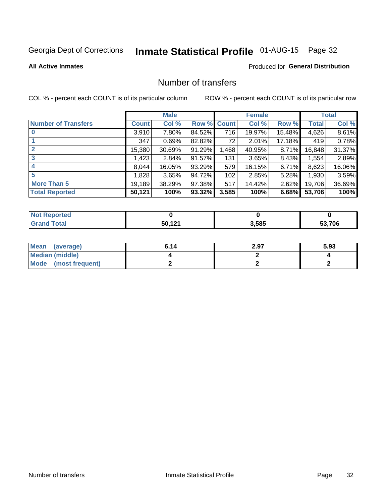## Inmate Statistical Profile 01-AUG-15 Page 32

### **All Active Inmates**

#### Produced for General Distribution

## Number of transfers

COL % - percent each COUNT is of its particular column

|                            |         | <b>Male</b> |        |              | <b>Female</b> |          |              | <b>Total</b> |
|----------------------------|---------|-------------|--------|--------------|---------------|----------|--------------|--------------|
| <b>Number of Transfers</b> | Count l | Col %       | Row %  | <b>Count</b> | Col %         | Row %    | <b>Total</b> | Col %        |
|                            | 3,910   | 7.80%       | 84.52% | 716          | 19.97%        | 15.48%   | 4,626        | 8.61%        |
|                            | 347     | 0.69%       | 82.82% | 72           | 2.01%         | 17.18%   | 419          | 0.78%        |
| $\mathbf{2}$               | 15,380  | 30.69%      | 91.29% | 1,468        | 40.95%        | $8.71\%$ | 16,848       | 31.37%       |
| 3                          | 1,423   | 2.84%       | 91.57% | 131          | 3.65%         | $8.43\%$ | 1,554        | 2.89%        |
| 4                          | 8.044   | 16.05%      | 93.29% | 579          | 16.15%        | $6.71\%$ | 8,623        | 16.06%       |
| 5                          | 1,828   | 3.65%       | 94.72% | 102          | 2.85%         | 5.28%    | 1,930        | 3.59%        |
| <b>More Than 5</b>         | 19,189  | 38.29%      | 97.38% | 517          | 14.42%        | 2.62%    | 19,706       | 36.69%       |
| <b>Total Reported</b>      | 50,121  | 100%        | 93.32% | 3,585        | 100%          | 6.68%    | 53,706       | 100%         |

| วrted<br>NO1 |        |       |        |
|--------------|--------|-------|--------|
| <b>Total</b> | 50 121 | 3,585 | 53.706 |

| Mean (average)       | 6.14 | 2.97 | 5.93 |
|----------------------|------|------|------|
| Median (middle)      |      |      |      |
| Mode (most frequent) |      |      |      |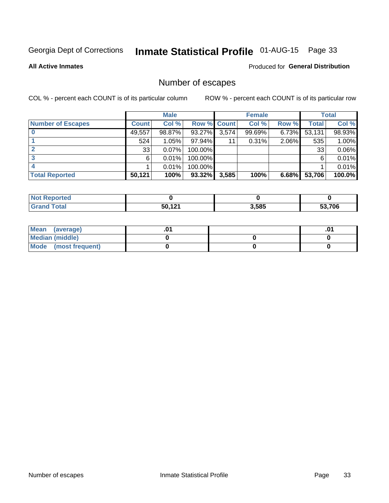## Inmate Statistical Profile 01-AUG-15 Page 33

**All Active Inmates** 

#### Produced for General Distribution

## Number of escapes

COL % - percent each COUNT is of its particular column

|                          | <b>Male</b>  |        | <b>Female</b> |       |        | <b>Total</b> |        |        |
|--------------------------|--------------|--------|---------------|-------|--------|--------------|--------|--------|
| <b>Number of Escapes</b> | <b>Count</b> | Col %  | Row % Count   |       | Col %  | Row %        | Total  | Col %  |
|                          | 49,557       | 98.87% | 93.27%        | 3,574 | 99.69% | 6.73%        | 53,131 | 98.93% |
|                          | 524          | 1.05%  | 97.94%        | 11    | 0.31%  | 2.06%        | 535    | 1.00%  |
| 2                        | 33           | 0.07%  | 100.00%       |       |        |              | 33     | 0.06%  |
|                          | 6            | 0.01%  | 100.00%       |       |        |              | 6      | 0.01%  |
|                          |              | 0.01%  | 100.00%       |       |        |              |        | 0.01%  |
| <b>Total Reported</b>    | 50,121       | 100%   | $93.32\%$     | 3,585 | 100%   | 6.68%        | 53,706 | 100.0% |

| ported<br>NOT. |        |       |        |
|----------------|--------|-------|--------|
| <b>Total</b>   | EN 191 | 3,585 | 53,706 |

| Mean (average)       |  | ו ש. |
|----------------------|--|------|
| Median (middle)      |  |      |
| Mode (most frequent) |  |      |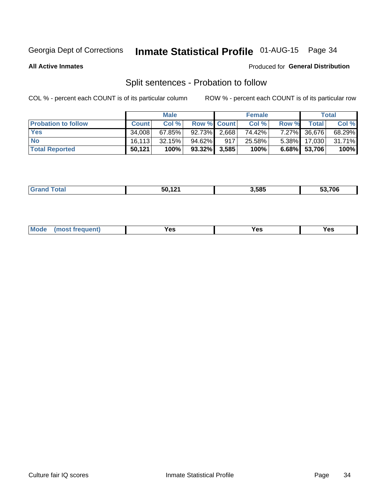## Inmate Statistical Profile 01-AUG-15 Page 34

**All Active Inmates** 

### Produced for General Distribution

## Split sentences - Probation to follow

COL % - percent each COUNT is of its particular column

|                            | <b>Male</b>  |           |                 | <b>Female</b> |        |       | <b>Total</b>      |        |
|----------------------------|--------------|-----------|-----------------|---------------|--------|-------|-------------------|--------|
| <b>Probation to follow</b> | <b>Count</b> | Col%      | Row % Count     |               | Col %  | Row % | <b>Total</b>      | Col %  |
| <b>Yes</b>                 | 34.008       | $67.85\%$ | $92.73\%$ 2,668 |               | 74.42% |       | 7.27% 36,676      | 68.29% |
| <b>No</b>                  | 16.113       | 32.15%    | 94.62%          | 917           | 25.58% |       | $5.38\%$   17,030 | 31.71% |
| <b>Total Reported</b>      | 50,121       | 100%      | $93.32\%$ 3,585 |               | 100%   |       | $6.68\%$ 53,706   | 100%   |

| ________ | $   -$<br>. —<br>$\sim$ | 3.585 | - - - - - |
|----------|-------------------------|-------|-----------|
|          |                         |       |           |

| $Moo$<br>requent<br>′es<br>Yes<br><b>YAC</b><br>. |
|---------------------------------------------------|
|---------------------------------------------------|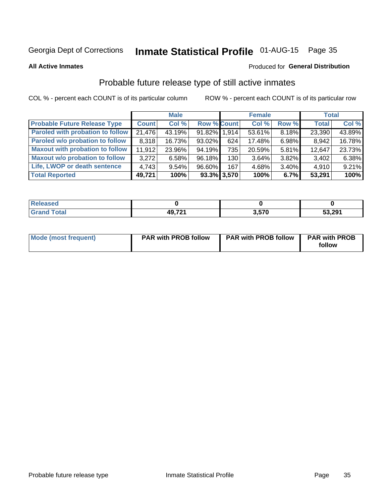## Inmate Statistical Profile 01-AUG-15 Page 35

**All Active Inmates** 

#### Produced for General Distribution

## Probable future release type of still active inmates

COL % - percent each COUNT is of its particular column

|                                         |              | <b>Male</b> |                    |                | <b>Female</b> |          | <b>Total</b> |        |
|-----------------------------------------|--------------|-------------|--------------------|----------------|---------------|----------|--------------|--------|
| <b>Probable Future Release Type</b>     | <b>Count</b> | Col %       | <b>Row % Count</b> |                | Col %         | Row %    | <b>Total</b> | Col %  |
| <b>Paroled with probation to follow</b> | 21,476       | 43.19%      | 91.82% 1,914       |                | 53.61%        | 8.18%    | 23,390       | 43.89% |
| Paroled w/o probation to follow         | 8,318        | 16.73%      | $93.02\%$          | 624            | 17.48%        | 6.98%    | 8,942        | 16.78% |
| <b>Maxout with probation to follow</b>  | 11.912       | 23.96%      | 94.19%             | 735            | 20.59%        | $5.81\%$ | 12,647       | 23.73% |
| <b>Maxout w/o probation to follow</b>   | 3,272        | 6.58%       | 96.18%             | 130            | 3.64%         | 3.82%    | 3,402        | 6.38%  |
| Life, LWOP or death sentence            | 4,743        | 9.54%       | 96.60%             | 167            | 4.68%         | 3.40%    | 4,910        | 9.21%  |
| <b>Total Reported</b>                   | 49,721       | 100%        |                    | $93.3\%$ 3,570 | 100%          | 6.7%     | 53,291       | 100%   |

| eleased     |                    |      |        |
|-------------|--------------------|------|--------|
| <b>otal</b> | 10.72 <sup>4</sup> | .570 | 53,291 |

| <b>Mode (most frequent)</b> | <b>PAR with PROB follow</b> | <b>PAR with PROB follow</b> | <b>PAR with PROB</b> |
|-----------------------------|-----------------------------|-----------------------------|----------------------|
|                             |                             |                             | follow               |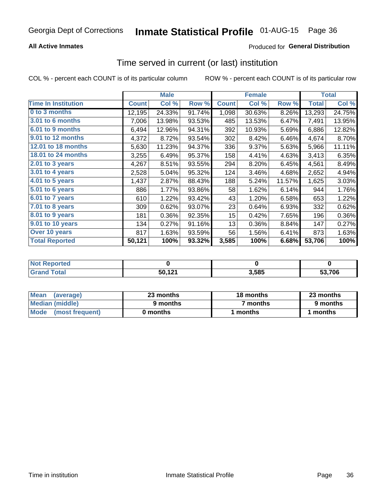### **All Active Inmates**

### **Produced for General Distribution**

### Time served in current (or last) institution

COL % - percent each COUNT is of its particular column

|                              |              | <b>Male</b> |        |              | <b>Female</b> |        |              | <b>Total</b> |
|------------------------------|--------------|-------------|--------|--------------|---------------|--------|--------------|--------------|
| <b>Time In Institution</b>   | <b>Count</b> | Col %       | Row %  | <b>Count</b> | Col %         | Row %  | <b>Total</b> | Col %        |
| 0 to 3 months                | 12,195       | 24.33%      | 91.74% | 1,098        | 30.63%        | 8.26%  | 13,293       | 24.75%       |
| <b>3.01 to 6 months</b>      | 7,006        | 13.98%      | 93.53% | 485          | 13.53%        | 6.47%  | 7,491        | 13.95%       |
| 6.01 to 9 months             | 6,494        | 12.96%      | 94.31% | 392          | 10.93%        | 5.69%  | 6,886        | 12.82%       |
| 9.01 to 12 months            | 4,372        | 8.72%       | 93.54% | 302          | 8.42%         | 6.46%  | 4,674        | 8.70%        |
| 12.01 to 18 months           | 5,630        | 11.23%      | 94.37% | 336          | 9.37%         | 5.63%  | 5,966        | 11.11%       |
| <b>18.01 to 24 months</b>    | 3,255        | 6.49%       | 95.37% | 158          | 4.41%         | 4.63%  | 3,413        | 6.35%        |
| 2.01 to 3 years              | 4,267        | 8.51%       | 93.55% | 294          | 8.20%         | 6.45%  | 4,561        | 8.49%        |
| $3.01$ to 4 years            | 2,528        | 5.04%       | 95.32% | 124          | 3.46%         | 4.68%  | 2,652        | 4.94%        |
| 4.01 to 5 years              | 1,437        | 2.87%       | 88.43% | 188          | 5.24%         | 11.57% | 1,625        | 3.03%        |
| $\overline{5.01}$ to 6 years | 886          | 1.77%       | 93.86% | 58           | 1.62%         | 6.14%  | 944          | 1.76%        |
| 6.01 to 7 years              | 610          | 1.22%       | 93.42% | 43           | 1.20%         | 6.58%  | 653          | 1.22%        |
| 7.01 to 8 years              | 309          | 0.62%       | 93.07% | 23           | 0.64%         | 6.93%  | 332          | 0.62%        |
| 8.01 to 9 years              | 181          | 0.36%       | 92.35% | 15           | 0.42%         | 7.65%  | 196          | 0.36%        |
| 9.01 to 10 years             | 134          | 0.27%       | 91.16% | 13           | 0.36%         | 8.84%  | 147          | 0.27%        |
| Over 10 years                | 817          | 1.63%       | 93.59% | 56           | 1.56%         | 6.41%  | 873          | 1.63%        |
| <b>Total Reported</b>        | 50,121       | 100%        | 93.32% | 3,585        | 100%          | 6.68%  | 53,706       | 100%         |

| orted<br>Not |           |       |        |
|--------------|-----------|-------|--------|
| $ofa$        | 101<br>50 | 3,585 | 53.706 |

| <b>Mean</b><br>(average) | 23 months | 18 months | 23 months |
|--------------------------|-----------|-----------|-----------|
| Median (middle)          | 9 months  | 7 months  | 9 months  |
| Mode (most frequent)     | 0 months  | months    | l months  |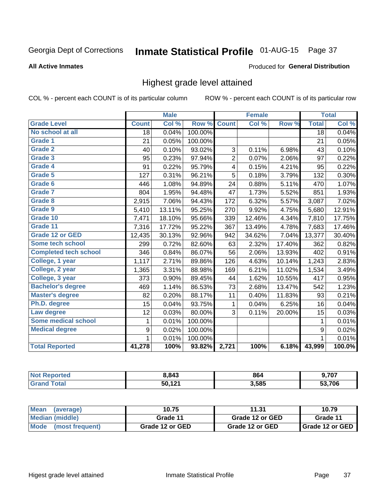# Inmate Statistical Profile 01-AUG-15 Page 37

#### **All Active Inmates**

#### Produced for General Distribution

### Highest grade level attained

COL % - percent each COUNT is of its particular column

|                              |                 | <b>Male</b> |         |                         | <b>Female</b> |                  |                  | <b>Total</b> |
|------------------------------|-----------------|-------------|---------|-------------------------|---------------|------------------|------------------|--------------|
| <b>Grade Level</b>           | <b>Count</b>    | Col %       | Row %   | <b>Count</b>            | Col %         | Row <sub>%</sub> | <b>Total</b>     | Col %        |
| No school at all             | $\overline{18}$ | 0.04%       | 100.00% |                         |               |                  | $\overline{18}$  | 0.04%        |
| <b>Grade 1</b>               | 21              | 0.05%       | 100.00% |                         |               |                  | 21               | 0.05%        |
| <b>Grade 2</b>               | 40              | 0.10%       | 93.02%  | 3                       | 0.11%         | 6.98%            | 43               | 0.10%        |
| Grade 3                      | 95              | 0.23%       | 97.94%  | $\overline{2}$          | 0.07%         | 2.06%            | 97               | 0.22%        |
| <b>Grade 4</b>               | 91              | 0.22%       | 95.79%  | $\overline{\mathbf{4}}$ | 0.15%         | 4.21%            | 95               | 0.22%        |
| Grade 5                      | 127             | 0.31%       | 96.21%  | 5                       | 0.18%         | 3.79%            | 132              | 0.30%        |
| Grade 6                      | 446             | 1.08%       | 94.89%  | 24                      | 0.88%         | 5.11%            | 470              | 1.07%        |
| <b>Grade 7</b>               | 804             | 1.95%       | 94.48%  | 47                      | 1.73%         | 5.52%            | 851              | 1.93%        |
| Grade 8                      | 2,915           | 7.06%       | 94.43%  | 172                     | 6.32%         | 5.57%            | 3,087            | 7.02%        |
| Grade 9                      | 5,410           | 13.11%      | 95.25%  | 270                     | 9.92%         | 4.75%            | 5,680            | 12.91%       |
| Grade 10                     | 7,471           | 18.10%      | 95.66%  | 339                     | 12.46%        | 4.34%            | 7,810            | 17.75%       |
| Grade 11                     | 7,316           | 17.72%      | 95.22%  | 367                     | 13.49%        | 4.78%            | 7,683            | 17.46%       |
| <b>Grade 12 or GED</b>       | 12,435          | 30.13%      | 92.96%  | 942                     | 34.62%        | 7.04%            | 13,377           | 30.40%       |
| <b>Some tech school</b>      | 299             | 0.72%       | 82.60%  | 63                      | 2.32%         | 17.40%           | 362              | 0.82%        |
| <b>Completed tech school</b> | 346             | 0.84%       | 86.07%  | 56                      | 2.06%         | 13.93%           | 402              | 0.91%        |
| College, 1 year              | 1,117           | 2.71%       | 89.86%  | 126                     | 4.63%         | 10.14%           | 1,243            | 2.83%        |
| College, 2 year              | 1,365           | 3.31%       | 88.98%  | 169                     | 6.21%         | 11.02%           | 1,534            | 3.49%        |
| College, 3 year              | 373             | 0.90%       | 89.45%  | 44                      | 1.62%         | 10.55%           | 417              | 0.95%        |
| <b>Bachelor's degree</b>     | 469             | 1.14%       | 86.53%  | 73                      | 2.68%         | 13.47%           | 542              | 1.23%        |
| <b>Master's degree</b>       | 82              | 0.20%       | 88.17%  | 11                      | 0.40%         | 11.83%           | 93               | 0.21%        |
| Ph.D. degree                 | 15              | 0.04%       | 93.75%  | $\mathbf{1}$            | 0.04%         | 6.25%            | 16               | 0.04%        |
| Law degree                   | 12              | 0.03%       | 80.00%  | 3                       | 0.11%         | 20.00%           | 15               | 0.03%        |
| <b>Some medical school</b>   | 1               | 0.01%       | 100.00% |                         |               |                  | 1                | 0.01%        |
| <b>Medical degree</b>        | 9               | 0.02%       | 100.00% |                         |               |                  | $\boldsymbol{9}$ | 0.02%        |
|                              | 1               | 0.01%       | 100.00% |                         |               |                  | $\mathbf{1}$     | 0.01%        |
| <b>Total Reported</b>        | 41,278          | 100%        | 93.82%  | 2,721                   | 100%          | 6.18%            | 43,999           | 100.0%       |

| 8.843  | 864   | 3,707 |
|--------|-------|-------|
| ED 404 | 3.585 | 70c   |

| Mean<br>(average)       | 10.75           | 11.31           | 10.79           |  |
|-------------------------|-----------------|-----------------|-----------------|--|
| Median (middle)         | Grade 11        | Grade 12 or GED | Grade 11        |  |
| Mode<br>(most frequent) | Grade 12 or GED | Grade 12 or GED | Grade 12 or GED |  |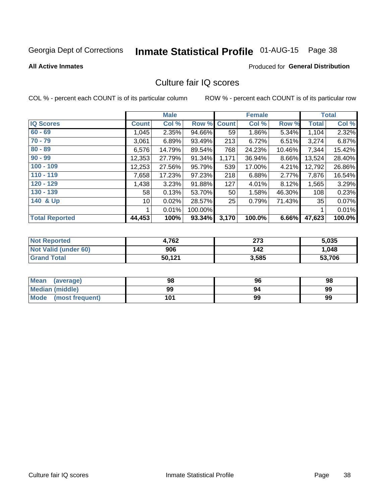# Inmate Statistical Profile 01-AUG-15 Page 38

#### **All Active Inmates**

#### Produced for General Distribution

### Culture fair IQ scores

COL % - percent each COUNT is of its particular column

|                       |              | <b>Male</b> |         |              | <b>Female</b> |        |              | <b>Total</b> |
|-----------------------|--------------|-------------|---------|--------------|---------------|--------|--------------|--------------|
| <b>IQ Scores</b>      | <b>Count</b> | Col %       | Row %   | <b>Count</b> | Col %         | Row %  | <b>Total</b> | Col %        |
| $60 - 69$             | 1,045        | 2.35%       | 94.66%  | 59           | 1.86%         | 5.34%  | 1,104        | 2.32%        |
| $70 - 79$             | 3,061        | 6.89%       | 93.49%  | 213          | 6.72%         | 6.51%  | 3,274        | 6.87%        |
| $80 - 89$             | 6,576        | 14.79%      | 89.54%  | 768          | 24.23%        | 10.46% | 7,344        | 15.42%       |
| $90 - 99$             | 12,353       | 27.79%      | 91.34%  | 1,171        | 36.94%        | 8.66%  | 13,524       | 28.40%       |
| $100 - 109$           | 12,253       | 27.56%      | 95.79%  | 539          | 17.00%        | 4.21%  | 12,792       | 26.86%       |
| $110 - 119$           | 7,658        | 17.23%      | 97.23%  | 218          | 6.88%         | 2.77%  | 7,876        | 16.54%       |
| 120 - 129             | 1,438        | 3.23%       | 91.88%  | 127          | 4.01%         | 8.12%  | 1,565        | 3.29%        |
| 130 - 139             | 58           | 0.13%       | 53.70%  | 50           | 1.58%         | 46.30% | 108          | 0.23%        |
| 140 & Up              | 10           | 0.02%       | 28.57%  | 25           | 0.79%         | 71.43% | 35           | 0.07%        |
|                       |              | 0.01%       | 100.00% |              |               |        | 1            | 0.01%        |
| <b>Total Reported</b> | 44,453       | 100%        | 93.34%  | 3,170        | 100.0%        | 6.66%  | 47,623       | 100.0%       |

| <b>Not Reported</b>  | 4,762  | 273   | 5,035  |
|----------------------|--------|-------|--------|
| Not Valid (under 60) | 906    | 142   | 1,048  |
| Grand Total          | 50,121 | 3,585 | 53,706 |

| Mean<br>(average)    | 98  | 96 | 98 |
|----------------------|-----|----|----|
| Median (middle)      | 99  | 94 | 99 |
| Mode (most frequent) | 101 | 99 | 99 |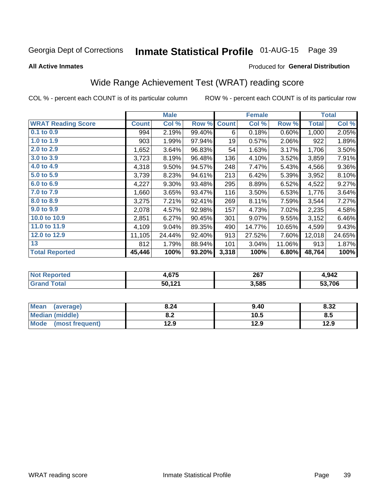# Inmate Statistical Profile 01-AUG-15 Page 39

**All Active Inmates** 

#### Produced for General Distribution

## Wide Range Achievement Test (WRAT) reading score

COL % - percent each COUNT is of its particular column

|                           |              | <b>Male</b> |        |              | <b>Female</b> |        |              | <b>Total</b> |
|---------------------------|--------------|-------------|--------|--------------|---------------|--------|--------------|--------------|
| <b>WRAT Reading Score</b> | <b>Count</b> | Col %       | Row %  | <b>Count</b> | Col %         | Row %  | <b>Total</b> | Col %        |
| 0.1 to 0.9                | 994          | 2.19%       | 99.40% | 6            | 0.18%         | 0.60%  | 1,000        | 2.05%        |
| 1.0 to 1.9                | 903          | 1.99%       | 97.94% | 19           | 0.57%         | 2.06%  | 922          | 1.89%        |
| 2.0 to 2.9                | 1,652        | 3.64%       | 96.83% | 54           | 1.63%         | 3.17%  | 1,706        | 3.50%        |
| 3.0 to 3.9                | 3,723        | 8.19%       | 96.48% | 136          | 4.10%         | 3.52%  | 3,859        | 7.91%        |
| 4.0 to 4.9                | 4,318        | 9.50%       | 94.57% | 248          | 7.47%         | 5.43%  | 4,566        | $9.36\%$     |
| 5.0 to 5.9                | 3,739        | 8.23%       | 94.61% | 213          | 6.42%         | 5.39%  | 3,952        | 8.10%        |
| 6.0 to 6.9                | 4,227        | 9.30%       | 93.48% | 295          | 8.89%         | 6.52%  | 4,522        | 9.27%        |
| 7.0 to 7.9                | 1,660        | 3.65%       | 93.47% | 116          | 3.50%         | 6.53%  | 1,776        | 3.64%        |
| 8.0 to 8.9                | 3,275        | 7.21%       | 92.41% | 269          | 8.11%         | 7.59%  | 3,544        | 7.27%        |
| 9.0 to 9.9                | 2,078        | 4.57%       | 92.98% | 157          | 4.73%         | 7.02%  | 2,235        | 4.58%        |
| 10.0 to 10.9              | 2,851        | 6.27%       | 90.45% | 301          | 9.07%         | 9.55%  | 3,152        | 6.46%        |
| 11.0 to 11.9              | 4,109        | 9.04%       | 89.35% | 490          | 14.77%        | 10.65% | 4,599        | 9.43%        |
| 12.0 to 12.9              | 11,105       | 24.44%      | 92.40% | 913          | 27.52%        | 7.60%  | 12,018       | 24.65%       |
| 13                        | 812          | 1.79%       | 88.94% | 101          | 3.04%         | 11.06% | 913          | 1.87%        |
| <b>Total Reported</b>     | 45,446       | 100%        | 93.20% | 3,318        | 100%          | 6.80%  | 48,764       | 100%         |

| NO | .675           | 267<br>___ | 1,942  |
|----|----------------|------------|--------|
|    | 50,121<br>14 L | 3,585      | 53.706 |

| <b>Mean</b><br>(average)       | 8.24       | 9.40 | 8.32 |
|--------------------------------|------------|------|------|
| <b>Median (middle)</b>         | י ה<br>0.Z | 10.5 | 8.5  |
| <b>Mode</b><br>(most frequent) | 12.9       | 12.9 | 12.9 |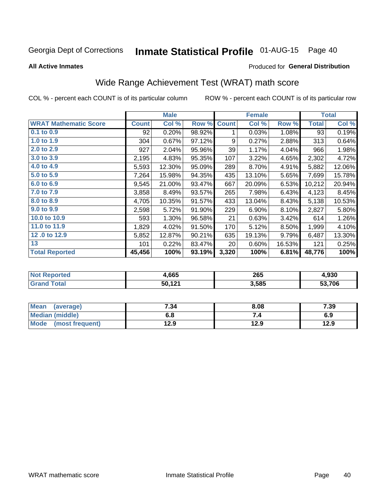# Inmate Statistical Profile 01-AUG-15 Page 40

**All Active Inmates** 

#### Produced for General Distribution

## Wide Range Achievement Test (WRAT) math score

COL % - percent each COUNT is of its particular column

|                              |              | <b>Male</b> |        |              | <b>Female</b> |        |              | <b>Total</b> |
|------------------------------|--------------|-------------|--------|--------------|---------------|--------|--------------|--------------|
| <b>WRAT Mathematic Score</b> | <b>Count</b> | Col %       | Row %  | <b>Count</b> | Col %         | Row %  | <b>Total</b> | Col %        |
| 0.1 to 0.9                   | 92           | 0.20%       | 98.92% | 1            | 0.03%         | 1.08%  | 93           | 0.19%        |
| 1.0 to 1.9                   | 304          | 0.67%       | 97.12% | 9            | 0.27%         | 2.88%  | 313          | 0.64%        |
| 2.0 to 2.9                   | 927          | 2.04%       | 95.96% | 39           | 1.17%         | 4.04%  | 966          | 1.98%        |
| 3.0 to 3.9                   | 2,195        | 4.83%       | 95.35% | 107          | 3.22%         | 4.65%  | 2,302        | 4.72%        |
| 4.0 to 4.9                   | 5,593        | 12.30%      | 95.09% | 289          | 8.70%         | 4.91%  | 5,882        | 12.06%       |
| 5.0 to 5.9                   | 7,264        | 15.98%      | 94.35% | 435          | 13.10%        | 5.65%  | 7,699        | 15.78%       |
| 6.0 to 6.9                   | 9,545        | 21.00%      | 93.47% | 667          | 20.09%        | 6.53%  | 10,212       | 20.94%       |
| 7.0 to 7.9                   | 3,858        | 8.49%       | 93.57% | 265          | 7.98%         | 6.43%  | 4,123        | 8.45%        |
| 8.0 to 8.9                   | 4,705        | 10.35%      | 91.57% | 433          | 13.04%        | 8.43%  | 5,138        | 10.53%       |
| 9.0 to 9.9                   | 2,598        | 5.72%       | 91.90% | 229          | 6.90%         | 8.10%  | 2,827        | 5.80%        |
| 10.0 to 10.9                 | 593          | 1.30%       | 96.58% | 21           | 0.63%         | 3.42%  | 614          | 1.26%        |
| 11.0 to 11.9                 | 1,829        | 4.02%       | 91.50% | 170          | 5.12%         | 8.50%  | 1,999        | 4.10%        |
| 12.0 to 12.9                 | 5,852        | 12.87%      | 90.21% | 635          | 19.13%        | 9.79%  | 6,487        | 13.30%       |
| 13                           | 101          | 0.22%       | 83.47% | 20           | 0.60%         | 16.53% | 121          | 0.25%        |
| <b>Total Reported</b>        | 45,456       | 100%        | 93.19% | 3,320        | 100%          | 6.81%  | 48,776       | 100%         |

| rteo<br>NO | .,665  | 265   | 4,930  |
|------------|--------|-------|--------|
|            | 50,121 | 3,585 | 53.706 |

| <b>Mean</b><br>(average) | 7.34 | 8.08 | 7.39 |
|--------------------------|------|------|------|
| Median (middle)          | o.o  | ۰.,  | 6.9  |
| Mode<br>(most frequent)  | 12.9 | 12.9 | 12.9 |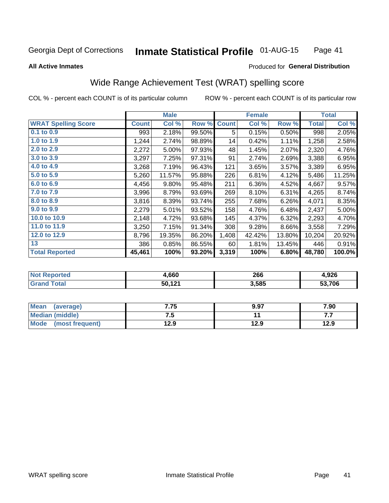#### **Inmate Statistical Profile 01-AUG-15** Page 41

#### **All Active Inmates**

### Produced for General Distribution

### Wide Range Achievement Test (WRAT) spelling score

COL % - percent each COUNT is of its particular column

|                            |              | <b>Male</b> |        |              | <b>Female</b> |        |              | <b>Total</b> |
|----------------------------|--------------|-------------|--------|--------------|---------------|--------|--------------|--------------|
| <b>WRAT Spelling Score</b> | <b>Count</b> | Col %       | Row %  | <b>Count</b> | Col %         | Row %  | <b>Total</b> | Col %        |
| $0.1$ to $0.9$             | 993          | 2.18%       | 99.50% | 5            | 0.15%         | 0.50%  | 998          | 2.05%        |
| 1.0 to 1.9                 | 1,244        | 2.74%       | 98.89% | 14           | 0.42%         | 1.11%  | 1,258        | 2.58%        |
| 2.0 to 2.9                 | 2,272        | 5.00%       | 97.93% | 48           | 1.45%         | 2.07%  | 2,320        | 4.76%        |
| 3.0 to 3.9                 | 3,297        | 7.25%       | 97.31% | 91           | 2.74%         | 2.69%  | 3,388        | 6.95%        |
| 4.0 to 4.9                 | 3,268        | 7.19%       | 96.43% | 121          | 3.65%         | 3.57%  | 3,389        | 6.95%        |
| 5.0 to 5.9                 | 5,260        | 11.57%      | 95.88% | 226          | 6.81%         | 4.12%  | 5,486        | 11.25%       |
| 6.0 to 6.9                 | 4,456        | 9.80%       | 95.48% | 211          | 6.36%         | 4.52%  | 4,667        | 9.57%        |
| 7.0 to 7.9                 | 3,996        | 8.79%       | 93.69% | 269          | 8.10%         | 6.31%  | 4,265        | 8.74%        |
| 8.0 to 8.9                 | 3,816        | 8.39%       | 93.74% | 255          | 7.68%         | 6.26%  | 4,071        | 8.35%        |
| 9.0 to 9.9                 | 2,279        | 5.01%       | 93.52% | 158          | 4.76%         | 6.48%  | 2,437        | 5.00%        |
| 10.0 to 10.9               | 2,148        | 4.72%       | 93.68% | 145          | 4.37%         | 6.32%  | 2,293        | 4.70%        |
| 11.0 to 11.9               | 3,250        | 7.15%       | 91.34% | 308          | 9.28%         | 8.66%  | 3,558        | 7.29%        |
| 12.0 to 12.9               | 8,796        | 19.35%      | 86.20% | 1,408        | 42.42%        | 13.80% | 10,204       | 20.92%       |
| 13                         | 386          | 0.85%       | 86.55% | 60           | 1.81%         | 13.45% | 446          | 0.91%        |
| <b>Total Reported</b>      | 45,461       | 100%        | 93.20% | 3,319        | 100%          | 6.80%  | 48,780       | 100.0%       |

| тес.<br>NO | .660   | 266   | റാഭ<br>סגע.ו |
|------------|--------|-------|--------------|
| $\sim$     | 50,121 | 3,585 | 53.706       |

| <b>Mean</b><br>(average) | 7.75 | 9.97 | 7.90 |
|--------------------------|------|------|------|
| Median (middle)          | ن. ا |      | .    |
| Mode (most frequent)     | 12.9 | 12.9 | 12.9 |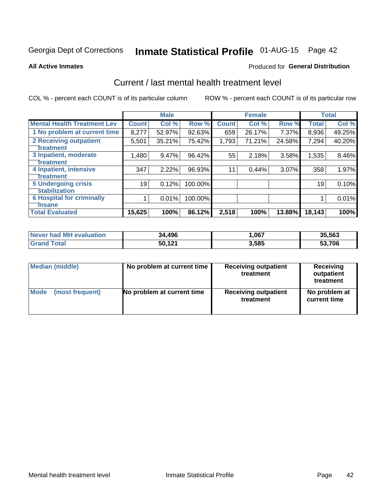# Inmate Statistical Profile 01-AUG-15 Page 42

#### **All Active Inmates**

#### Produced for General Distribution

### Current / last mental health treatment level

COL % - percent each COUNT is of its particular column

|                                    |              | <b>Male</b> |         |              | <b>Female</b> |        |              | <b>Total</b> |
|------------------------------------|--------------|-------------|---------|--------------|---------------|--------|--------------|--------------|
| <b>Mental Health Treatment Lev</b> | <b>Count</b> | Col %       | Row %   | <b>Count</b> | Col %         | Row %  | <b>Total</b> | Col %        |
| 1 No problem at current time       | 8,277        | 52.97%      | 92.63%  | 659          | 26.17%        | 7.37%  | 8,936        | 49.25%       |
| 2 Receiving outpatient             | 5,501        | 35.21%      | 75.42%  | 1,793        | 71.21%        | 24.58% | 7,294        | 40.20%       |
| <b>Treatment</b>                   |              |             |         |              |               |        |              |              |
| 3 Inpatient, moderate              | 1,480        | 9.47%       | 96.42%  | 55           | 2.18%         | 3.58%  | 1,535        | 8.46%        |
| Treatment                          |              |             |         |              |               |        |              |              |
| 4 Inpatient, intensive             | 347          | 2.22%       | 96.93%  | 11           | 0.44%         | 3.07%  | 358          | 1.97%        |
| <b>Treatment</b>                   |              |             |         |              |               |        |              |              |
| 5 Undergoing crisis                | 19           | 0.12%       | 100.00% |              |               |        | 19           | 0.10%        |
| <b>stabilization</b>               |              |             |         |              |               |        |              |              |
| <b>6 Hospital for criminally</b>   |              | 0.01%       | 100.00% |              |               |        |              | 0.01%        |
| <b>Tinsane</b>                     |              |             |         |              |               |        |              |              |
| <b>Total Evaluated</b>             | 15,625       | 100%        | 86.12%  | 2,518        | 100%          | 13.88% | 18,143       | 100%         |

| <b>Never had MH evaluation</b> | 34,496 | ,067  | 35,563 |
|--------------------------------|--------|-------|--------|
| <b>Total</b><br>' Grand        | 50,121 | 3,585 | 53,706 |

| Median (middle) | No problem at current time | <b>Receiving outpatient</b><br>treatment | <b>Receiving</b><br>outpatient<br>treatment |  |  |
|-----------------|----------------------------|------------------------------------------|---------------------------------------------|--|--|
| <b>Mode</b>     | No problem at current time | <b>Receiving outpatient</b>              | No problem at                               |  |  |
| (most frequent) |                            | treatment                                | current time                                |  |  |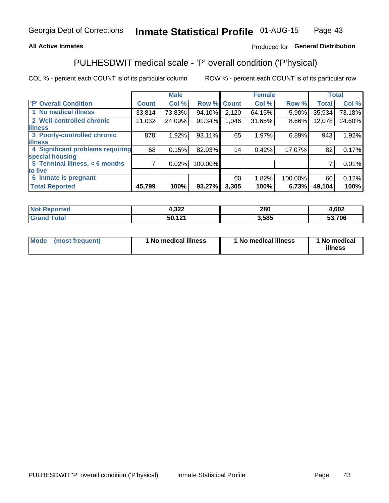#### **All Active Inmates**

### Produced for General Distribution

## PULHESDWIT medical scale - 'P' overall condition ('P'hysical)

COL % - percent each COUNT is of its particular column

|                                    |              | <b>Male</b> |         |              | <b>Female</b> |         |              | <b>Total</b> |
|------------------------------------|--------------|-------------|---------|--------------|---------------|---------|--------------|--------------|
| 'P' Overall Condition              | <b>Count</b> | Col %       | Row %   | <b>Count</b> | Col %         | Row %   | <b>Total</b> | Col %        |
| 1 No medical illness               | 33,814       | 73.83%      | 94.10%  | 2,120        | 64.15%        | 5.90%   | 35,934       | 73.18%       |
| 2 Well-controlled chronic          | 11,032       | 24.09%      | 91.34%  | 1,046        | 31.65%        | 8.66%   | 12,078       | 24.60%       |
| <b>lillness</b>                    |              |             |         |              |               |         |              |              |
| 3 Poorly-controlled chronic        | 878          | 1.92%       | 93.11%  | 65           | 1.97%         | 6.89%   | 943          | 1.92%        |
| <b>lillness</b>                    |              |             |         |              |               |         |              |              |
| 4 Significant problems requiring   | 68           | 0.15%       | 82.93%  | 14           | 0.42%         | 17.07%  | 82           | 0.17%        |
| special housing                    |              |             |         |              |               |         |              |              |
| 5 Terminal illness, $\lt 6$ months | 7            | 0.02%       | 100.00% |              |               |         | 7            | 0.01%        |
| to live                            |              |             |         |              |               |         |              |              |
| 6 Inmate is pregnant               |              |             |         | 60           | 1.82%         | 100.00% | 60           | 0.12%        |
| <b>Total Reported</b>              | 45,799       | 100%        | 93.27%  | 3,305        | 100%          | 6.73%   | 49,104       | 100%         |

| uec | החפ"ג<br>4,JZZ        | 280 | ,602       |
|-----|-----------------------|-----|------------|
|     | $\overline{A}$<br>cn. | 585 | .706<br>-^ |

| Mode | (most frequent) | 1 No medical illness | 1 No medical illness | 1 No medical<br>illness |
|------|-----------------|----------------------|----------------------|-------------------------|
|------|-----------------|----------------------|----------------------|-------------------------|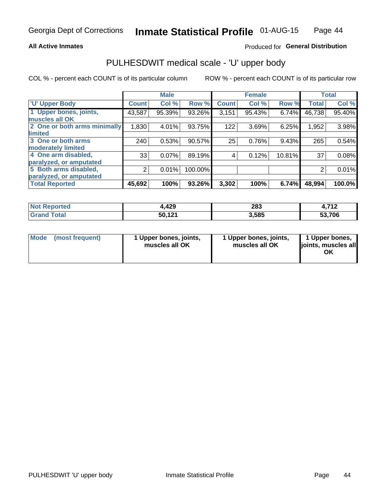#### **All Active Inmates**

### Produced for General Distribution

## PULHESDWIT medical scale - 'U' upper body

COL % - percent each COUNT is of its particular column

|                              |                | <b>Male</b> |         |              | <b>Female</b> |        |              | <b>Total</b> |
|------------------------------|----------------|-------------|---------|--------------|---------------|--------|--------------|--------------|
| <b>U' Upper Body</b>         | <b>Count</b>   | Col %       | Row %   | <b>Count</b> | Col %         | Row %  | <b>Total</b> | Col %        |
| 1 Upper bones, joints,       | 43,587         | 95.39%      | 93.26%  | 3,151        | 95.43%        | 6.74%  | 46,738       | 95.40%       |
| muscles all OK               |                |             |         |              |               |        |              |              |
| 2 One or both arms minimally | 1,830          | 4.01%       | 93.75%  | 122          | 3.69%         | 6.25%  | 1,952        | 3.98%        |
| limited                      |                |             |         |              |               |        |              |              |
| 3 One or both arms           | 240            | 0.53%       | 90.57%  | 25           | 0.76%         | 9.43%  | 265          | 0.54%        |
| <b>moderately limited</b>    |                |             |         |              |               |        |              |              |
| 4 One arm disabled,          | 33             | 0.07%       | 89.19%  | 4            | 0.12%         | 10.81% | 37           | 0.08%        |
| paralyzed, or amputated      |                |             |         |              |               |        |              |              |
| 5 Both arms disabled,        | $\overline{2}$ | 0.01%       | 100.00% |              |               |        | 2            | 0.01%        |
| paralyzed, or amputated      |                |             |         |              |               |        |              |              |
| <b>Total Reported</b>        | 45,692         | 100%        | 93.26%  | 3,302        | 100%          | 6.74%  | 48,994       | 100.0%       |

| <b>Not Reported</b>   | 4,429  | 283   | <b>740</b><br>$\overline{\phantom{a}}$ |
|-----------------------|--------|-------|----------------------------------------|
| <b>Total</b><br>Grand | 50,121 | 3,585 | 53,706                                 |

| Mode (most frequent) | 1 Upper bones, joints,<br>muscles all OK | 1 Upper bones, joints,<br>muscles all OK | 1 Upper bones,<br>joints, muscles all<br>ΟK |
|----------------------|------------------------------------------|------------------------------------------|---------------------------------------------|
|----------------------|------------------------------------------|------------------------------------------|---------------------------------------------|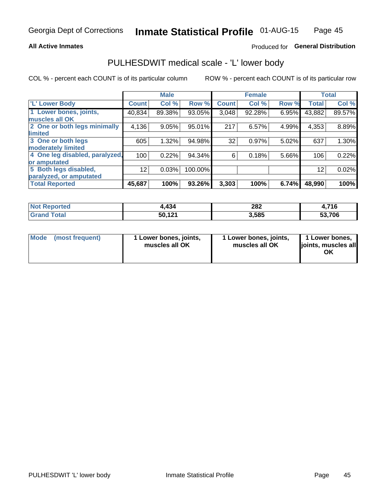#### **All Active Inmates**

### Produced for General Distribution

### PULHESDWIT medical scale - 'L' lower body

COL % - percent each COUNT is of its particular column

|                                |              | <b>Male</b> |         |              | <b>Female</b> |       |              | <b>Total</b> |
|--------------------------------|--------------|-------------|---------|--------------|---------------|-------|--------------|--------------|
| 'L' Lower Body                 | <b>Count</b> | Col %       | Row %   | <b>Count</b> | Col %         | Row % | <b>Total</b> | Col %        |
| 1 Lower bones, joints,         | 40,834       | 89.38%      | 93.05%  | 3,048        | 92.28%        | 6.95% | 43,882       | 89.57%       |
| muscles all OK                 |              |             |         |              |               |       |              |              |
| 2 One or both legs minimally   | 4,136        | 9.05%       | 95.01%  | 217          | 6.57%         | 4.99% | 4,353        | 8.89%        |
| limited                        |              |             |         |              |               |       |              |              |
| 3 One or both legs             | 605          | 1.32%       | 94.98%  | 32           | 0.97%         | 5.02% | 637          | 1.30%        |
| moderately limited             |              |             |         |              |               |       |              |              |
| 4 One leg disabled, paralyzed, | 100          | 0.22%       | 94.34%  | 6            | 0.18%         | 5.66% | 106          | 0.22%        |
| or amputated                   |              |             |         |              |               |       |              |              |
| 5 Both legs disabled,          | 12           | 0.03%       | 100.00% |              |               |       | 12           | 0.02%        |
| paralyzed, or amputated        |              |             |         |              |               |       |              |              |
| <b>Total Reported</b>          | 45,687       | 100%        | 93.26%  | 3,303        | 100%          | 6.74% | 48,990       | 100%         |

| <b>Not Reported</b> | .434   | 282   | 716    |
|---------------------|--------|-------|--------|
| <b>Total</b>        | 50,121 | 3,585 | 53,706 |

| Mode (most frequent) | 1 Lower bones, joints,<br>muscles all OK | 1 Lower bones, joints,<br>muscles all OK | 1 Lower bones,<br>joints, muscles all<br>ΟK |
|----------------------|------------------------------------------|------------------------------------------|---------------------------------------------|
|----------------------|------------------------------------------|------------------------------------------|---------------------------------------------|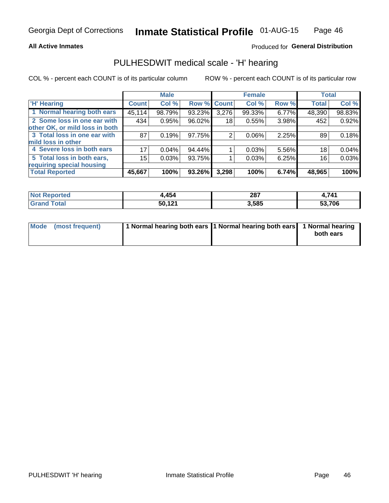#### **All Active Inmates**

### Produced for General Distribution

### PULHESDWIT medical scale - 'H' hearing

COL % - percent each COUNT is of its particular column

|                                |              | <b>Male</b> |             |       | <b>Female</b> |       | <b>Total</b> |        |
|--------------------------------|--------------|-------------|-------------|-------|---------------|-------|--------------|--------|
| <b>'H' Hearing</b>             | <b>Count</b> | Col %       | Row % Count |       | Col %         | Row % | <b>Total</b> | Col %  |
| 1 Normal hearing both ears     | 45, 114      | 98.79%      | 93.23%      | 3,276 | 99.33%        | 6.77% | 48,390       | 98.83% |
| 2 Some loss in one ear with    | 434          | 0.95%       | 96.02%      | 18    | 0.55%         | 3.98% | 452          | 0.92%  |
| other OK, or mild loss in both |              |             |             |       |               |       |              |        |
| 3 Total loss in one ear with   | 87           | 0.19%       | 97.75%      | 2     | 0.06%         | 2.25% | 89           | 0.18%  |
| mild loss in other             |              |             |             |       |               |       |              |        |
| 4 Severe loss in both ears     | 17           | 0.04%       | $94.44\%$   |       | 0.03%         | 5.56% | 18           | 0.04%  |
| 5 Total loss in both ears,     | 15           | 0.03%       | 93.75%      |       | 0.03%         | 6.25% | 16           | 0.03%  |
| requiring special housing      |              |             |             |       |               |       |              |        |
| <b>Total Reported</b>          | 45,667       | 100%        | 93.26%      | 3,298 | 100%          | 6.74% | 48,965       | 100%   |

| 'Not<br>ాorted | .454   | 207<br>20 I | .741   |
|----------------|--------|-------------|--------|
| Total          | 50,121 | 3,585       | 53,706 |

| Mode (most frequent) | 1 Normal hearing both ears 11 Normal hearing both ears 1 Normal hearing | both ears |
|----------------------|-------------------------------------------------------------------------|-----------|
|                      |                                                                         |           |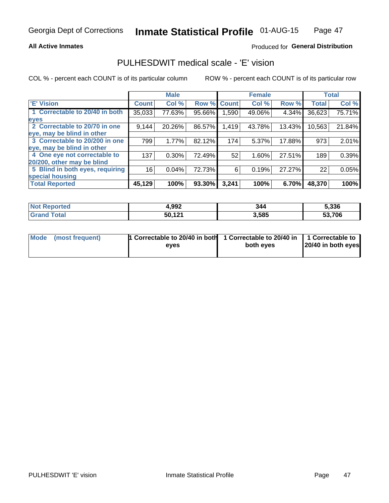#### **All Active Inmates**

### Produced for General Distribution

### PULHESDWIT medical scale - 'E' vision

COL % - percent each COUNT is of its particular column

|                                 |                    | <b>Male</b> |        |              | <b>Female</b> |        |              | <b>Total</b> |
|---------------------------------|--------------------|-------------|--------|--------------|---------------|--------|--------------|--------------|
| 'E' Vision                      | Count <sup>'</sup> | Col %       | Row %  | <b>Count</b> | Col %         | Row %  | <b>Total</b> | Col %        |
| 1 Correctable to 20/40 in both  | 35,033             | 77.63%      | 95.66% | .590         | 49.06%        | 4.34%  | 36,623       | 75.71%       |
| eyes                            |                    |             |        |              |               |        |              |              |
| 2 Correctable to 20/70 in one   | 9,144              | 20.26%      | 86.57% | 1,419        | 43.78%        | 13.43% | 10,563       | 21.84%       |
| eye, may be blind in other      |                    |             |        |              |               |        |              |              |
| 3 Correctable to 20/200 in one  | 799                | 1.77%       | 82.12% | 174          | 5.37%         | 17.88% | 973          | 2.01%        |
| leye, may be blind in other     |                    |             |        |              |               |        |              |              |
| 4 One eye not correctable to    | 137                | 0.30%       | 72.49% | 52           | 1.60%         | 27.51% | 189          | 0.39%        |
| 20/200, other may be blind      |                    |             |        |              |               |        |              |              |
| 5 Blind in both eyes, requiring | 16                 | 0.04%       | 72.73% | 6            | 0.19%         | 27.27% | 22           | 0.05%        |
| special housing                 |                    |             |        |              |               |        |              |              |
| <b>Total Reported</b>           | 45,129             | 100%        | 93.30% | 3,241        | 100%          | 6.70%  | 48,370       | 100%         |

| <b>Not Reported</b> | 4,992  | 344   | 5,336  |
|---------------------|--------|-------|--------|
| <b>fota</b>         | 50,121 | 3,585 | 53,706 |

| Mode (most frequent) | 1 Correctable to 20/40 in both<br>eves | 1 Correctable to 20/40 in   1 Correctable to  <br>both eves | 20/40 in both eyes |
|----------------------|----------------------------------------|-------------------------------------------------------------|--------------------|
|                      |                                        |                                                             |                    |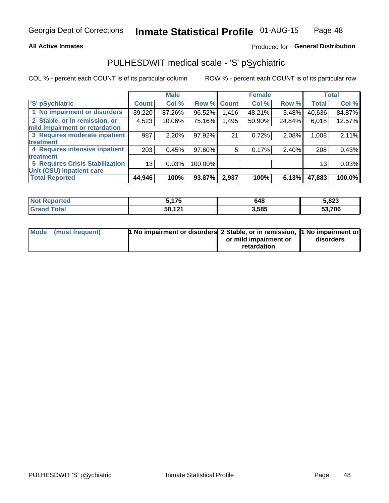#### **All Active Inmates**

### Produced for General Distribution

## PULHESDWIT medical scale - 'S' pSychiatric

COL % - percent each COUNT is of its particular column

|                                        |              | <b>Male</b> |         |              | <b>Female</b> |        |              | <b>Total</b> |
|----------------------------------------|--------------|-------------|---------|--------------|---------------|--------|--------------|--------------|
| 'S' pSychiatric                        | <b>Count</b> | Col %       | Row %   | <b>Count</b> | Col %         | Row %  | <b>Total</b> | Col %        |
| 1 No impairment or disorders           | 39,220       | 87.26%      | 96.52%  | 1,416        | 48.21%        | 3.48%  | 40,636       | 84.87%       |
| 2 Stable, or in remission, or          | 4,523        | 10.06%      | 75.16%  | 1,495        | 50.90%        | 24.84% | 6,018        | 12.57%       |
| mild impairment or retardation         |              |             |         |              |               |        |              |              |
| 3 Requires moderate inpatient          | 987          | 2.20%       | 97.92%  | 21           | 0.72%         | 2.08%  | 1,008        | 2.11%        |
| <b>treatment</b>                       |              |             |         |              |               |        |              |              |
| 4 Requires intensive inpatient         | 203          | 0.45%       | 97.60%  | 5            | 0.17%         | 2.40%  | 208          | 0.43%        |
| treatment                              |              |             |         |              |               |        |              |              |
| <b>5 Requires Crisis Stabilization</b> | 13           | 0.03%       | 100.00% |              |               |        | 13           | 0.03%        |
| Unit (CSU) inpatient care              |              |             |         |              |               |        |              |              |
| <b>Total Reported</b>                  | 44,946       | 100%        | 93.87%  | 2,937        | 100%          | 6.13%  | 47,883       | 100.0%       |

| <b>Not Reported</b>   | 175<br>J. I I J | 648   | 5,823  |
|-----------------------|-----------------|-------|--------|
| Total<br><b>Grand</b> | 50,121          | 3,585 | 53,706 |

| Mode (most frequent) | <b>t No impairment or disorders 2 Stable, or in remission, 1 No impairment or</b> |                       |           |
|----------------------|-----------------------------------------------------------------------------------|-----------------------|-----------|
|                      |                                                                                   | or mild impairment or | disorders |
|                      |                                                                                   | retardation           |           |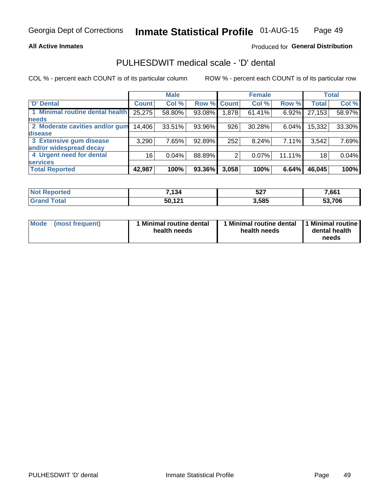#### **All Active Inmates**

### Produced for General Distribution

## PULHESDWIT medical scale - 'D' dental

COL % - percent each COUNT is of its particular column

|                                 |              | <b>Male</b> |        |              | <b>Female</b> |          |              | <b>Total</b> |
|---------------------------------|--------------|-------------|--------|--------------|---------------|----------|--------------|--------------|
| <b>D'</b> Dental                | <b>Count</b> | Col %       | Row %  | <b>Count</b> | Col %         | Row %    | <b>Total</b> | Col %        |
| 1 Minimal routine dental health | 25,275       | 58.80%      | 93.08% | 1,878        | 61.41%        | 6.92%    | 27,153       | 58.97%       |
| <b>needs</b>                    |              |             |        |              |               |          |              |              |
| 2 Moderate cavities and/or gum  | 14,406       | 33.51%      | 93.96% | 926          | 30.28%        | $6.04\%$ | 15,332       | 33.30%       |
| disease                         |              |             |        |              |               |          |              |              |
| 3 Extensive gum disease         | 3,290        | 7.65%       | 92.89% | 252          | 8.24%         | 7.11%    | 3,542        | 7.69%        |
| and/or widespread decay         |              |             |        |              |               |          |              |              |
| 4 Urgent need for dental        | 16           | 0.04%       | 88.89% |              | 0.07%         | 11.11%   | 18           | 0.04%        |
| <b>services</b>                 |              |             |        |              |               |          |              |              |
| <b>Total Reported</b>           | 42,987       | 100%        | 93.36% | 3,058        | 100%          | 6.64%    | 46,045       | 100%         |

| Reported<br>NO. | 7,134          | 527   | 7,661  |
|-----------------|----------------|-------|--------|
| `otal           | 121<br>50<br>. | 3,585 | 53,706 |

| Mode | (most frequent) | <b>Minimal routine dental</b><br>health needs | 1 Minimal routine dental 1 Minimal routine<br>health needs | dental health<br>needs |
|------|-----------------|-----------------------------------------------|------------------------------------------------------------|------------------------|
|------|-----------------|-----------------------------------------------|------------------------------------------------------------|------------------------|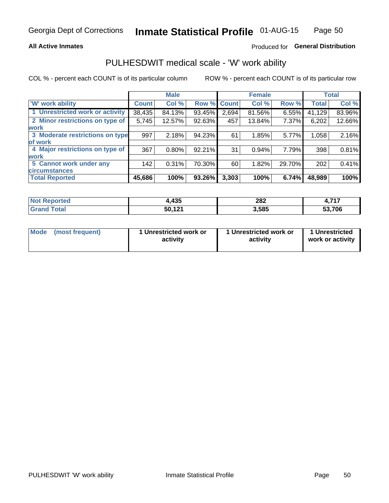#### **All Active Inmates**

### Produced for General Distribution

### PULHESDWIT medical scale - 'W' work ability

COL % - percent each COUNT is of its particular column

|                                 |              | <b>Male</b> |        |                    | <b>Female</b> |          |              | <b>Total</b> |
|---------------------------------|--------------|-------------|--------|--------------------|---------------|----------|--------------|--------------|
| 'W' work ability                | <b>Count</b> | Col %       |        | <b>Row % Count</b> | Col %         | Row %    | <b>Total</b> | Col %        |
| 1 Unrestricted work or activity | 38,435       | 84.13%      | 93.45% | 2,694              | 81.56%        | $6.55\%$ | 41,129       | 83.96%       |
| 2 Minor restrictions on type of | 5,745        | 12.57%      | 92.63% | 457                | 13.84%        | 7.37%    | 6,202        | 12.66%       |
| <b>work</b>                     |              |             |        |                    |               |          |              |              |
| 3 Moderate restrictions on type | 997          | 2.18%       | 94.23% | 61                 | 1.85%         | 5.77%    | 1,058        | 2.16%        |
| of work                         |              |             |        |                    |               |          |              |              |
| 4 Major restrictions on type of | 367          | 0.80%       | 92.21% | 31                 | 0.94%         | 7.79%    | 398          | 0.81%        |
| <b>work</b>                     |              |             |        |                    |               |          |              |              |
| 5 Cannot work under any         | 142          | 0.31%       | 70.30% | 60                 | 1.82%         | 29.70%   | 202          | 0.41%        |
| <b>circumstances</b>            |              |             |        |                    |               |          |              |              |
| <b>Total Reported</b>           | 45,686       | 100%        | 93.26% | 3,303              | 100%          | 6.74%    | 48,989       | 100%         |

| <b>Not Reported</b> | ,435   | 282   | フィフ<br>. . |
|---------------------|--------|-------|------------|
| Total<br>Gran       | 50,121 | 3,585 | 53,706     |

| Mode            | 1 Unrestricted work or | 1 Unrestricted work or | 1 Unrestricted   |
|-----------------|------------------------|------------------------|------------------|
| (most frequent) | activity               | activity               | work or activity |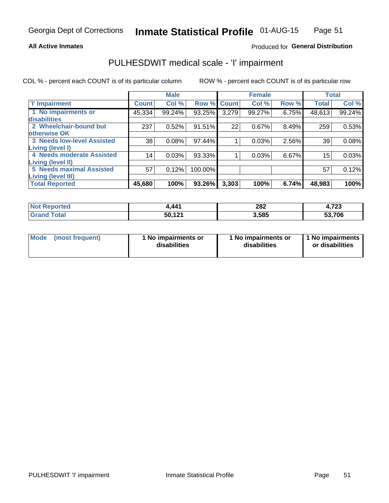#### **All Active Inmates**

### Produced for General Distribution

## PULHESDWIT medical scale - 'I' impairment

COL % - percent each COUNT is of its particular column ROW % - percent each COUNT is of its particular row

|                                 |              | <b>Male</b> |             |       | <b>Female</b> |       |              | <b>Total</b> |
|---------------------------------|--------------|-------------|-------------|-------|---------------|-------|--------------|--------------|
| <b>T</b> Impairment             | <b>Count</b> | Col %       | Row % Count |       | Col %         | Row % | <b>Total</b> | Col %        |
| 1 No impairments or             | 45,334       | 99.24%      | 93.25%      | 3,279 | 99.27%        | 6.75% | 48,613       | 99.24%       |
| disabilities                    |              |             |             |       |               |       |              |              |
| 2 Wheelchair-bound but          | 237          | 0.52%       | 91.51%      | 22    | 0.67%         | 8.49% | 259          | 0.53%        |
| otherwise OK                    |              |             |             |       |               |       |              |              |
| 3 Needs low-level Assisted      | 38           | 0.08%       | 97.44%      |       | 0.03%         | 2.56% | 39           | 0.08%        |
| Living (level I)                |              |             |             |       |               |       |              |              |
| 4 Needs moderate Assisted       | 14           | 0.03%       | 93.33%      |       | 0.03%         | 6.67% | 15           | 0.03%        |
| Living (level II)               |              |             |             |       |               |       |              |              |
| <b>5 Needs maximal Assisted</b> | 57           | 0.12%       | 100.00%     |       |               |       | 57           | 0.12%        |
| <b>Living (level III)</b>       |              |             |             |       |               |       |              |              |
| <b>Total Reported</b>           | 45,680       | 100%        | 93.26%      | 3,303 | 100%          | 6.74% | 48,983       | 100%         |

| าorted | .441   | 282                  | 700           |
|--------|--------|----------------------|---------------|
|        | - - -  | $\sim$ $\sim$ $\sim$ | 4,7 ZJ        |
| ™otai  | 50,121 | 3,585                | 53,706<br>ნა. |

| Mode | (most frequent) | 1 No impairments or<br>disabilities | 1 No impairments or<br>disabilities | 1 No impairments<br>or disabilities |
|------|-----------------|-------------------------------------|-------------------------------------|-------------------------------------|
|------|-----------------|-------------------------------------|-------------------------------------|-------------------------------------|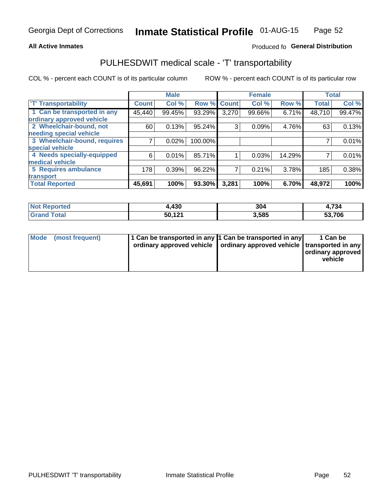#### **All Active Inmates**

### Produced fo General Distribution

### PULHESDWIT medical scale - 'T' transportability

COL % - percent each COUNT is of its particular column

|                              |              | <b>Male</b> |         |              | <b>Female</b> |        |              | <b>Total</b> |
|------------------------------|--------------|-------------|---------|--------------|---------------|--------|--------------|--------------|
| <b>T' Transportability</b>   | <b>Count</b> | Col %       | Row %   | <b>Count</b> | Col %         | Row %  | <b>Total</b> | Col %        |
| 1 Can be transported in any  | 45,440       | 99.45%      | 93.29%  | 3,270        | 99.66%        | 6.71%  | 48,710       | 99.47%       |
| ordinary approved vehicle    |              |             |         |              |               |        |              |              |
| 2 Wheelchair-bound, not      | 60           | 0.13%       | 95.24%  | 3            | 0.09%         | 4.76%  | 63           | 0.13%        |
| needing special vehicle      |              |             |         |              |               |        |              |              |
| 3 Wheelchair-bound, requires |              | 0.02%       | 100.00% |              |               |        |              | 0.01%        |
| special vehicle              |              |             |         |              |               |        |              |              |
| 4 Needs specially-equipped   | 6            | 0.01%       | 85.71%  |              | 0.03%         | 14.29% |              | 0.01%        |
| medical vehicle              |              |             |         |              |               |        |              |              |
| <b>5 Requires ambulance</b>  | 178          | 0.39%       | 96.22%  | 7            | 0.21%         | 3.78%  | 185          | 0.38%        |
| transport                    |              |             |         |              |               |        |              |              |
| <b>Total Reported</b>        | 45,691       | 100%        | 93.30%  | 3,281        | 100%          | 6.70%  | 48,972       | 100%         |

| orted | 4,430  | 304   | 4,734                      |
|-------|--------|-------|----------------------------|
|       | 50,121 | 3,585 | ,706<br>E0.<br><u>ეკ.,</u> |

|  | Mode (most frequent) | 1 Can be transported in any 1 Can be transported in any<br>ordinary approved vehicle   ordinary approved vehicle   transported in any |  | 1 Can be<br>  ordinary approved  <br>vehicle |
|--|----------------------|---------------------------------------------------------------------------------------------------------------------------------------|--|----------------------------------------------|
|--|----------------------|---------------------------------------------------------------------------------------------------------------------------------------|--|----------------------------------------------|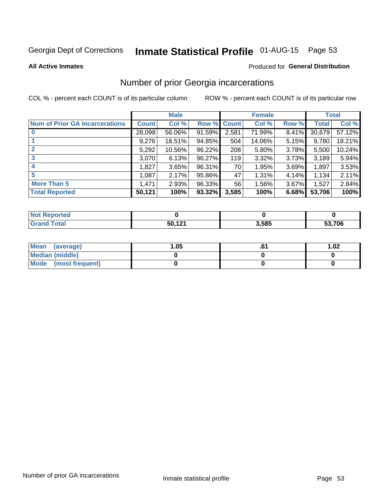# Inmate Statistical Profile 01-AUG-15 Page 53

#### **All Active Inmates**

### **Produced for General Distribution**

### Number of prior Georgia incarcerations

COL % - percent each COUNT is of its particular column

|                                       |              | <b>Male</b> |                    |       | <b>Female</b> |       |        | <b>Total</b> |
|---------------------------------------|--------------|-------------|--------------------|-------|---------------|-------|--------|--------------|
| <b>Num of Prior GA Incarcerations</b> | <b>Count</b> | Col %       | <b>Row % Count</b> |       | Col %         | Row % | Total  | Col %        |
| $\bf{0}$                              | 28,098       | 56.06%      | 91.59%             | 2,581 | 71.99%        | 8.41% | 30,679 | 57.12%       |
|                                       | 9,276        | 18.51%      | 94.85%             | 504   | 14.06%        | 5.15% | 9,780  | 18.21%       |
|                                       | 5,292        | 10.56%      | 96.22%             | 208   | 5.80%         | 3.78% | 5,500  | 10.24%       |
| 3                                     | 3,070        | 6.13%       | 96.27%             | 119   | 3.32%         | 3.73% | 3,189  | 5.94%        |
| 4                                     | 1,827        | 3.65%       | 96.31%             | 70    | 1.95%         | 3.69% | 1,897  | 3.53%        |
| 5                                     | 1,087        | 2.17%       | 95.86%             | 47    | 1.31%         | 4.14% | 1,134  | 2.11%        |
| <b>More Than 5</b>                    | 1,471        | 2.93%       | 96.33%             | 56    | 1.56%         | 3.67% | 1,527  | 2.84%        |
| <b>Total Reported</b>                 | 50,121       | 100%        | 93.32%             | 3,585 | 100%          | 6.68% | 53,706 | 100%         |

| eported<br>NO |        |       |        |
|---------------|--------|-------|--------|
| Total         | 50,121 | 3,585 | 53,706 |

| Mean (average)         | .05 | 1.02 |
|------------------------|-----|------|
| <b>Median (middle)</b> |     |      |
| Mode (most frequent)   |     |      |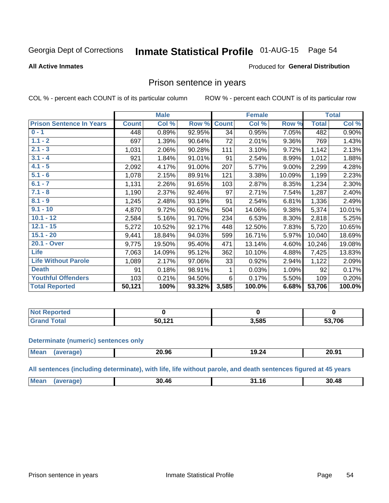#### **Inmate Statistical Profile 01-AUG-15** Page 54

#### **All Active Inmates**

#### Produced for General Distribution

### Prison sentence in years

COL % - percent each COUNT is of its particular column

ROW % - percent each COUNT is of its particular row

|                                 |              | <b>Male</b> |        |              | <b>Female</b> |          |              | <b>Total</b> |
|---------------------------------|--------------|-------------|--------|--------------|---------------|----------|--------------|--------------|
| <b>Prison Sentence In Years</b> | <b>Count</b> | Col %       | Row %  | <b>Count</b> | Col %         | Row %    | <b>Total</b> | Col %        |
| $0 - 1$                         | 448          | 0.89%       | 92.95% | 34           | 0.95%         | 7.05%    | 482          | 0.90%        |
| $1.1 - 2$                       | 697          | 1.39%       | 90.64% | 72           | 2.01%         | $9.36\%$ | 769          | 1.43%        |
| $2.1 - 3$                       | 1,031        | 2.06%       | 90.28% | 111          | 3.10%         | 9.72%    | 1,142        | 2.13%        |
| $3.1 - 4$                       | 921          | 1.84%       | 91.01% | 91           | 2.54%         | 8.99%    | 1,012        | 1.88%        |
| $4.1 - 5$                       | 2,092        | 4.17%       | 91.00% | 207          | 5.77%         | $9.00\%$ | 2,299        | 4.28%        |
| $5.1 - 6$                       | 1,078        | 2.15%       | 89.91% | 121          | 3.38%         | 10.09%   | 1,199        | 2.23%        |
| $6.1 - 7$                       | 1,131        | 2.26%       | 91.65% | 103          | 2.87%         | 8.35%    | 1,234        | 2.30%        |
| $7.1 - 8$                       | 1,190        | 2.37%       | 92.46% | 97           | 2.71%         | 7.54%    | 1,287        | 2.40%        |
| $8.1 - 9$                       | 1,245        | 2.48%       | 93.19% | 91           | 2.54%         | 6.81%    | 1,336        | 2.49%        |
| $9.1 - 10$                      | 4,870        | 9.72%       | 90.62% | 504          | 14.06%        | 9.38%    | 5,374        | 10.01%       |
| $10.1 - 12$                     | 2,584        | 5.16%       | 91.70% | 234          | 6.53%         | 8.30%    | 2,818        | 5.25%        |
| $12.1 - 15$                     | 5,272        | 10.52%      | 92.17% | 448          | 12.50%        | 7.83%    | 5,720        | 10.65%       |
| $15.1 - 20$                     | 9,441        | 18.84%      | 94.03% | 599          | 16.71%        | 5.97%    | 10,040       | 18.69%       |
| 20.1 - Over                     | 9,775        | 19.50%      | 95.40% | 471          | 13.14%        | 4.60%    | 10,246       | 19.08%       |
| <b>Life</b>                     | 7,063        | 14.09%      | 95.12% | 362          | 10.10%        | 4.88%    | 7,425        | 13.83%       |
| <b>Life Without Parole</b>      | 1,089        | 2.17%       | 97.06% | 33           | 0.92%         | 2.94%    | 1,122        | 2.09%        |
| <b>Death</b>                    | 91           | 0.18%       | 98.91% |              | 0.03%         | 1.09%    | 92           | 0.17%        |
| <b>Youthful Offenders</b>       | 103          | 0.21%       | 94.50% | 6            | 0.17%         | 5.50%    | 109          | 0.20%        |
| <b>Total Reported</b>           | 50,121       | 100%        | 93.32% | 3,585        | 100.0%        | 6.68%    | 53,706       | 100.0%       |

| ported<br><b>NOT</b> |           |       |             |
|----------------------|-----------|-------|-------------|
| $\sim$               | 121<br>50 | 3,585 | .706<br>EO. |

#### **Determinate (numeric) sentences only**

| <b>Mean</b> | 20.96 | 19.24 | 20.91 |
|-------------|-------|-------|-------|
|             |       |       |       |

All sentences (including determinate), with life, life without parole, and death sentences figured at 45 years

| <b>Me</b> | 30.46 | 30.48<br>ົ |
|-----------|-------|------------|
|           |       |            |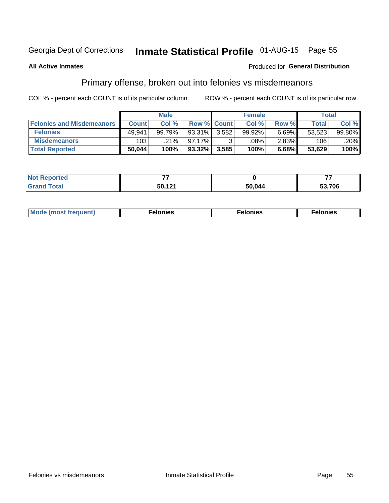## Inmate Statistical Profile 01-AUG-15 Page 55

#### **All Active Inmates**

#### Produced for General Distribution

### Primary offense, broken out into felonies vs misdemeanors

COL % - percent each COUNT is of its particular column

|                                  |              | <b>Male</b> |           |                    | <b>Female</b>      |          | Total  |        |
|----------------------------------|--------------|-------------|-----------|--------------------|--------------------|----------|--------|--------|
| <b>Felonies and Misdemeanors</b> | <b>Count</b> | Col%        |           | <b>Row % Count</b> | Col%               | Row %    | Total, | Col %  |
| <b>Felonies</b>                  | 49,941       | 99.79%      | 93.31%    | 3.582              | 99.92%             | 6.69%    | 53.523 | 99.80% |
| <b>Misdemeanors</b>              | 103          | .21%        | $97.17\%$ |                    | $.08\%$ $^{\circ}$ | $2.83\%$ | 106    | .20%   |
| <b>Total Reported</b>            | 50,044       | 100%        | $93.32\%$ | 3,585              | 100%               | 6.68%    | 53,629 | 100%   |

| <b>Not Reported</b> | --    |       |        |
|---------------------|-------|-------|--------|
| <b>Grand Total</b>  | 5012' | 0.044 | 53,706 |

| Mo | ____ | 11 C.S<br>. | onies<br>. |
|----|------|-------------|------------|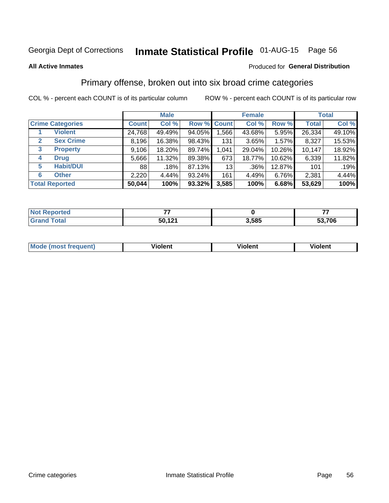## Inmate Statistical Profile 01-AUG-15 Page 56

#### **All Active Inmates**

#### Produced for General Distribution

### Primary offense, broken out into six broad crime categories

COL % - percent each COUNT is of its particular column

|                                  |              | <b>Male</b> |        |                    | <b>Female</b> |        |              | <b>Total</b> |
|----------------------------------|--------------|-------------|--------|--------------------|---------------|--------|--------------|--------------|
| <b>Crime Categories</b>          | <b>Count</b> | Col %       |        | <b>Row % Count</b> | Col %         | Row %  | <b>Total</b> | Col %        |
| <b>Violent</b>                   | 24,768       | 49.49%      | 94.05% | 1,566              | 43.68%        | 5.95%  | 26,334       | 49.10%       |
| <b>Sex Crime</b><br>$\mathbf{2}$ | 8,196        | 16.38%      | 98.43% | 131                | 3.65%         | 1.57%  | 8,327        | 15.53%       |
| $\mathbf{3}$<br><b>Property</b>  | 9,106        | 18.20%      | 89.74% | 1,041              | 29.04%        | 10.26% | 10,147       | 18.92%       |
| <b>Drug</b><br>4                 | 5,666        | 11.32%      | 89.38% | 673                | 18.77%        | 10.62% | 6,339        | 11.82%       |
| <b>Habit/DUI</b><br>5            | 88           | .18%        | 87.13% | 13                 | .36%          | 12.87% | 101          | .19%         |
| <b>Other</b><br>6                | 2,220        | 4.44%       | 93.24% | 161                | 4.49%         | 6.76%  | 2,381        | 4.44%        |
| <b>Total Reported</b>            | 50,044       | 100%        | 93.32% | 3,585              | 100%          | 6.68%  | 53,629       | 100%         |

| <b>orteg</b><br>NO |                    |       |      |
|--------------------|--------------------|-------|------|
| Eata               | 50,12 <sup>4</sup> | 3,585 | ,706 |

| Mo<br>uent)<br>nos | .<br>/iolent | <br>Violent | - --<br><b>Tiolent</b> |
|--------------------|--------------|-------------|------------------------|
|                    |              |             |                        |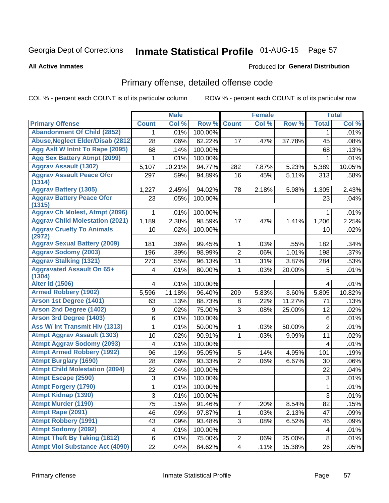# Inmate Statistical Profile 01-AUG-15 Page 57

#### **All Active Inmates**

#### Produced for General Distribution

## Primary offense, detailed offense code

COL % - percent each COUNT is of its particular column

|                                            |              | <b>Male</b> |         |                | <b>Female</b> |        |                | <b>Total</b> |
|--------------------------------------------|--------------|-------------|---------|----------------|---------------|--------|----------------|--------------|
| <b>Primary Offense</b>                     | <b>Count</b> | Col %       | Row %   | <b>Count</b>   | Col %         | Row %  | <b>Total</b>   | Col %        |
| <b>Abandonment Of Child (2852)</b>         | $\mathbf 1$  | .01%        | 100.00% |                |               |        | 1              | .01%         |
| <b>Abuse, Neglect Elder/Disab (2812)</b>   | 28           | .06%        | 62.22%  | 17             | .47%          | 37.78% | 45             | .08%         |
| Agg Aslt W Intnt To Rape (2095)            | 68           | .14%        | 100.00% |                |               |        | 68             | .13%         |
| <b>Agg Sex Battery Atmpt (2099)</b>        | 1            | .01%        | 100.00% |                |               |        | 1              | .01%         |
| <b>Aggrav Assault (1302)</b>               | 5,107        | 10.21%      | 94.77%  | 282            | 7.87%         | 5.23%  | 5,389          | 10.05%       |
| <b>Aggrav Assault Peace Ofcr</b><br>(1314) | 297          | .59%        | 94.89%  | 16             | .45%          | 5.11%  | 313            | .58%         |
| <b>Aggrav Battery (1305)</b>               | 1,227        | 2.45%       | 94.02%  | 78             | 2.18%         | 5.98%  | 1,305          | 2.43%        |
| <b>Aggrav Battery Peace Ofcr</b><br>(1315) | 23           | .05%        | 100.00% |                |               |        | 23             | .04%         |
| <b>Aggrav Ch Molest, Atmpt (2096)</b>      |              | .01%        | 100.00% |                |               |        |                | .01%         |
| <b>Aggrav Child Molestation (2021)</b>     | 1,189        | 2.38%       | 98.59%  | 17             | .47%          | 1.41%  | 1,206          | 2.25%        |
| <b>Aggrav Cruelty To Animals</b><br>(2972) | 10           | .02%        | 100.00% |                |               |        | 10             | .02%         |
| <b>Aggrav Sexual Battery (2009)</b>        | 181          | .36%        | 99.45%  | 1              | .03%          | .55%   | 182            | .34%         |
| <b>Aggrav Sodomy (2003)</b>                | 196          | .39%        | 98.99%  | $\overline{2}$ | .06%          | 1.01%  | 198            | .37%         |
| <b>Aggrav Stalking (1321)</b>              | 273          | .55%        | 96.13%  | 11             | .31%          | 3.87%  | 284            | .53%         |
| <b>Aggravated Assault On 65+</b><br>(1304) | 4            | .01%        | 80.00%  | 1              | .03%          | 20.00% | 5              | .01%         |
| <b>Alter Id (1506)</b>                     | 4            | .01%        | 100.00% |                |               |        | 4              | .01%         |
| <b>Armed Robbery (1902)</b>                | 5,596        | 11.18%      | 96.40%  | 209            | 5.83%         | 3.60%  | 5,805          | 10.82%       |
| Arson 1st Degree (1401)                    | 63           | .13%        | 88.73%  | 8              | .22%          | 11.27% | 71             | .13%         |
| <b>Arson 2nd Degree (1402)</b>             | 9            | .02%        | 75.00%  | 3              | .08%          | 25.00% | 12             | .02%         |
| <b>Arson 3rd Degree (1403)</b>             | 6            | .01%        | 100.00% |                |               |        | $\,6\,$        | .01%         |
| <b>Ass W/ Int Transmit Hiv (1313)</b>      | 1            | .01%        | 50.00%  | 1              | .03%          | 50.00% | $\overline{2}$ | .01%         |
| <b>Atmpt Aggrav Assault (1303)</b>         | 10           | .02%        | 90.91%  | $\mathbf{1}$   | .03%          | 9.09%  | 11             | .02%         |
| <b>Atmpt Aggrav Sodomy (2093)</b>          | 4            | .01%        | 100.00% |                |               |        | 4              | .01%         |
| <b>Atmpt Armed Robbery (1992)</b>          | 96           | .19%        | 95.05%  | 5              | .14%          | 4.95%  | 101            | .19%         |
| <b>Atmpt Burglary (1690)</b>               | 28           | .06%        | 93.33%  | $\overline{2}$ | .06%          | 6.67%  | 30             | .06%         |
| <b>Atmpt Child Molestation (2094)</b>      | 22           | .04%        | 100.00% |                |               |        | 22             | .04%         |
| <b>Atmpt Escape (2590)</b>                 | 3            | .01%        | 100.00% |                |               |        | 3              | .01%         |
| <b>Atmpt Forgery (1790)</b>                | 1            | .01%        | 100.00% |                |               |        | 1              | .01%         |
| <b>Atmpt Kidnap (1390)</b>                 | 3            | .01%        | 100.00% |                |               |        | $\overline{3}$ | .01%         |
| <b>Atmpt Murder (1190)</b>                 | 75           | .15%        | 91.46%  | $\overline{7}$ | .20%          | 8.54%  | 82             | .15%         |
| Atmpt Rape (2091)                          | 46           | .09%        | 97.87%  | 1.             | .03%          | 2.13%  | 47             | .09%         |
| <b>Atmpt Robbery (1991)</b>                | 43           | .09%        | 93.48%  | 3              | .08%          | 6.52%  | 46             | .09%         |
| <b>Atmpt Sodomy (2092)</b>                 | 4            | .01%        | 100.00% |                |               |        | 4              | .01%         |
| <b>Atmpt Theft By Taking (1812)</b>        | $\,6\,$      | .01%        | 75.00%  | $\overline{c}$ | .06%          | 25.00% | 8              | .01%         |
| <b>Atmpt Viol Substance Act (4090)</b>     | 22           | .04%        | 84.62%  | $\overline{4}$ | .11%          | 15.38% | 26             | .05%         |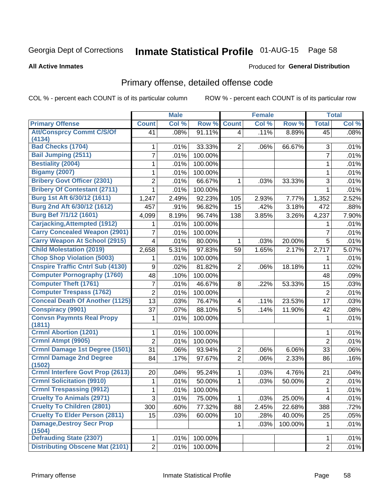# Inmate Statistical Profile 01-AUG-15 Page 58

#### **All Active Inmates**

#### **Produced for General Distribution**

### Primary offense, detailed offense code

COL % - percent each COUNT is of its particular column

|                                          |                  | <b>Male</b> |         |                         | <b>Female</b> |         |                | <b>Total</b> |
|------------------------------------------|------------------|-------------|---------|-------------------------|---------------|---------|----------------|--------------|
| <b>Primary Offense</b>                   | <b>Count</b>     | Col %       | Row %   | <b>Count</b>            | Col %         | Row %   | <b>Total</b>   | Col %        |
| <b>Att/Consprcy Commt C/S/Of</b>         | 41               | .08%        | 91.11%  | $\overline{4}$          | .11%          | 8.89%   | 45             | .08%         |
| (4134)                                   |                  |             |         |                         |               |         |                |              |
| <b>Bad Checks (1704)</b>                 | 1                | .01%        | 33.33%  | $\overline{2}$          | .06%          | 66.67%  | $\sqrt{3}$     | .01%         |
| <b>Bail Jumping (2511)</b>               | $\overline{7}$   | .01%        | 100.00% |                         |               |         | $\overline{7}$ | .01%         |
| <b>Bestiality (2004)</b>                 | 1                | .01%        | 100.00% |                         |               |         | $\mathbf{1}$   | .01%         |
| <b>Bigamy (2007)</b>                     | 1                | .01%        | 100.00% |                         |               |         | $\mathbf{1}$   | .01%         |
| <b>Bribery Govt Officer (2301)</b>       | $\boldsymbol{2}$ | .01%        | 66.67%  | 1                       | .03%          | 33.33%  | 3              | .01%         |
| <b>Bribery Of Contestant (2711)</b>      | 1                | .01%        | 100.00% |                         |               |         | $\mathbf{1}$   | .01%         |
| Burg 1st Aft 6/30/12 (1611)              | 1,247            | 2.49%       | 92.23%  | 105                     | 2.93%         | 7.77%   | 1,352          | 2.52%        |
| Burg 2nd Aft 6/30/12 (1612)              | 457              | .91%        | 96.82%  | 15                      | $-42%$        | 3.18%   | 472            | .88%         |
| Burg Bef 7/1/12 (1601)                   | 4,099            | 8.19%       | 96.74%  | 138                     | 3.85%         | 3.26%   | 4,237          | 7.90%        |
| <b>Carjacking, Attempted (1912)</b>      | 1                | .01%        | 100.00% |                         |               |         | 1              | .01%         |
| <b>Carry Concealed Weapon (2901)</b>     | 7                | .01%        | 100.00% |                         |               |         | 7              | .01%         |
| <b>Carry Weapon At School (2915)</b>     | $\overline{4}$   | .01%        | 80.00%  | 1                       | .03%          | 20.00%  | 5              | .01%         |
| <b>Child Molestation (2019)</b>          | 2,658            | 5.31%       | 97.83%  | 59                      | 1.65%         | 2.17%   | 2,717          | 5.07%        |
| <b>Chop Shop Violation (5003)</b>        | 1                | .01%        | 100.00% |                         |               |         | 1              | .01%         |
| <b>Cnspire Traffic Cntrl Sub (4130)</b>  | 9                | .02%        | 81.82%  | $\overline{2}$          | .06%          | 18.18%  | 11             | .02%         |
| <b>Computer Pornography (1760)</b>       | 48               | .10%        | 100.00% |                         |               |         | 48             | .09%         |
| <b>Computer Theft (1761)</b>             | 7                | .01%        | 46.67%  | 8                       | .22%          | 53.33%  | 15             | .03%         |
| <b>Computer Trespass (1762)</b>          | $\overline{2}$   | .01%        | 100.00% |                         |               |         | $\overline{2}$ | .01%         |
| <b>Conceal Death Of Another (1125)</b>   | 13               | .03%        | 76.47%  | $\overline{\mathbf{4}}$ | .11%          | 23.53%  | 17             | .03%         |
| <b>Conspiracy (9901)</b>                 | 37               | .07%        | 88.10%  | 5                       | .14%          | 11.90%  | 42             | .08%         |
| <b>Convsn Paymnts Real Propy</b>         | 1                | .01%        | 100.00% |                         |               |         | 1              | .01%         |
| (1811)                                   |                  |             |         |                         |               |         |                |              |
| <b>Crmnl Abortion (1201)</b>             | 1                | .01%        | 100.00% |                         |               |         | 1              | .01%         |
| Crmnl Atmpt (9905)                       | $\overline{2}$   | .01%        | 100.00% |                         |               |         | $\overline{2}$ | .01%         |
| Crmnl Damage 1st Degree (1501)           | 31               | .06%        | 93.94%  | $\mathbf{2}$            | .06%          | 6.06%   | 33             | .06%         |
| <b>Crmnl Damage 2nd Degree</b>           | 84               | .17%        | 97.67%  | $\overline{2}$          | .06%          | 2.33%   | 86             | .16%         |
| (1502)                                   |                  |             |         |                         |               |         |                |              |
| <b>Crmnl Interfere Govt Prop (2613)</b>  | 20               | .04%        | 95.24%  | 1                       | .03%          | 4.76%   | 21             | .04%         |
| <b>Crmnl Solicitation (9910)</b>         | 1                | .01%        | 50.00%  | 1                       | .03%          | 50.00%  | $\sqrt{2}$     | .01%         |
| <b>Crmnl Trespassing (9912)</b>          | 1                | .01%        | 100.00% |                         |               |         | $\mathbf{1}$   | .01%         |
| <b>Cruelty To Animals (2971)</b>         | 3                | .01%        | 75.00%  | 1.                      | .03%          | 25.00%  | 4              | .01%         |
| <b>Cruelty To Children (2801)</b>        | 300              | .60%        | 77.32%  | 88                      | 2.45%         | 22.68%  | 388            | .72%         |
| <b>Cruelty To Elder Person (2811)</b>    | 15               | .03%        | 60.00%  | 10                      | .28%          | 40.00%  | 25             | .05%         |
| <b>Damage, Destroy Secr Prop</b>         |                  |             |         |                         | .03%          | 100.00% | 1              | .01%         |
| (1504)<br><b>Defrauding State (2307)</b> |                  |             |         |                         |               |         |                |              |
|                                          | $\mathbf{1}$     | .01%        | 100.00% |                         |               |         | $\mathbf 1$    | .01%         |
| <b>Distributing Obscene Mat (2101)</b>   | $\overline{2}$   | .01%        | 100.00% |                         |               |         | $\overline{2}$ | .01%         |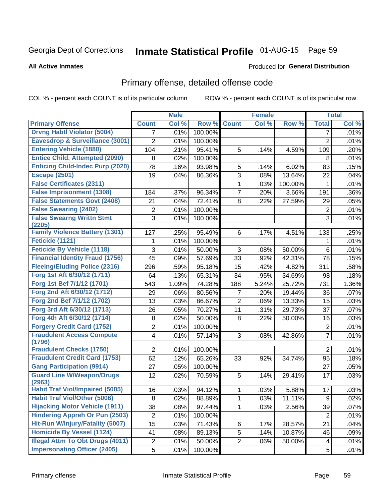# Inmate Statistical Profile 01-AUG-15 Page 59

#### **All Active Inmates**

#### Produced for General Distribution

## Primary offense, detailed offense code

COL % - percent each COUNT is of its particular column

|                                            |                  | <b>Male</b> |         |                | <b>Female</b> |         |                | <b>Total</b> |
|--------------------------------------------|------------------|-------------|---------|----------------|---------------|---------|----------------|--------------|
| <b>Primary Offense</b>                     | <b>Count</b>     | Col %       | Row %   | <b>Count</b>   | Col %         | Row %   | <b>Total</b>   | Col %        |
| <b>Drvng Habtl Violator (5004)</b>         | 7                | .01%        | 100.00% |                |               |         | 7              | .01%         |
| Eavesdrop & Surveillance (3001)            | $\overline{2}$   | .01%        | 100.00% |                |               |         | $\overline{2}$ | .01%         |
| <b>Entering Vehicle (1880)</b>             | 104              | .21%        | 95.41%  | 5              | .14%          | 4.59%   | 109            | .20%         |
| <b>Entice Child, Attempted (2090)</b>      | 8                | .02%        | 100.00% |                |               |         | 8              | .01%         |
| <b>Enticing Child-Indec Purp (2020)</b>    | 78               | .16%        | 93.98%  | 5              | .14%          | 6.02%   | 83             | .15%         |
| <b>Escape (2501)</b>                       | 19               | .04%        | 86.36%  | 3              | .08%          | 13.64%  | 22             | .04%         |
| <b>False Certificates (2311)</b>           |                  |             |         | 1              | .03%          | 100.00% | 1              | .01%         |
| <b>False Imprisonment (1308)</b>           | 184              | .37%        | 96.34%  | $\overline{7}$ | .20%          | 3.66%   | 191            | .36%         |
| <b>False Statements Govt (2408)</b>        | 21               | .04%        | 72.41%  | 8              | .22%          | 27.59%  | 29             | .05%         |
| <b>False Swearing (2402)</b>               | 2                | .01%        | 100.00% |                |               |         | $\overline{2}$ | .01%         |
| <b>False Swearng Writtn Stmt</b>           | $\overline{3}$   | .01%        | 100.00% |                |               |         | $\overline{3}$ | .01%         |
| (2205)                                     |                  |             |         |                |               |         |                |              |
| <b>Family Violence Battery (1301)</b>      | 127              | .25%        | 95.49%  | 6              | .17%          | 4.51%   | 133            | .25%         |
| Feticide (1121)                            | 1                | .01%        | 100.00% |                |               |         | 1              | .01%         |
| <b>Feticide By Vehicle (1118)</b>          | 3                | .01%        | 50.00%  | 3              | .08%          | 50.00%  | 6              | .01%         |
| <b>Financial Identity Fraud (1756)</b>     | 45               | .09%        | 57.69%  | 33             | .92%          | 42.31%  | 78             | .15%         |
| <b>Fleeing/Eluding Police (2316)</b>       | 296              | .59%        | 95.18%  | 15             | .42%          | 4.82%   | 311            | .58%         |
| Forg 1st Aft 6/30/12 (1711)                | 64               | .13%        | 65.31%  | 34             | .95%          | 34.69%  | 98             | .18%         |
| Forg 1st Bef 7/1/12 (1701)                 | 543              | 1.09%       | 74.28%  | 188            | 5.24%         | 25.72%  | 731            | 1.36%        |
| Forg 2nd Aft 6/30/12 (1712)                | 29               | .06%        | 80.56%  | 7              | .20%          | 19.44%  | 36             | .07%         |
| Forg 2nd Bef 7/1/12 (1702)                 | 13               | .03%        | 86.67%  | $\overline{c}$ | .06%          | 13.33%  | 15             | .03%         |
| Forg 3rd Aft 6/30/12 (1713)                | 26               | .05%        | 70.27%  | 11             | .31%          | 29.73%  | 37             | .07%         |
| Forg 4th Aft 6/30/12 (1714)                | 8                | .02%        | 50.00%  | 8              | .22%          | 50.00%  | 16             | .03%         |
| <b>Forgery Credit Card (1752)</b>          | $\overline{c}$   | .01%        | 100.00% |                |               |         | $\sqrt{2}$     | .01%         |
| <b>Fraudulent Access Compute</b><br>(1796) | 4                | .01%        | 57.14%  | 3              | .08%          | 42.86%  | $\overline{7}$ | .01%         |
| <b>Fraudulent Checks (1750)</b>            | $\overline{2}$   | .01%        | 100.00% |                |               |         | $\overline{2}$ | .01%         |
| <b>Fraudulent Credit Card (1753)</b>       | 62               | .12%        | 65.26%  | 33             | .92%          | 34.74%  | 95             | .18%         |
| <b>Gang Participation (9914)</b>           | 27               | .05%        | 100.00% |                |               |         | 27             | .05%         |
| <b>Guard Line W/Weapon/Drugs</b>           | 12               | .02%        | 70.59%  | 5              | .14%          | 29.41%  | 17             | .03%         |
| (2963)                                     |                  |             |         |                |               |         |                |              |
| <b>Habit Traf Viol/Impaired (5005)</b>     | 16               | .03%        | 94.12%  | 1              | .03%          | 5.88%   | 17             | .03%         |
| <b>Habit Traf Viol/Other (5006)</b>        | 8                | .02%        | 88.89%  | $\mathbf{1}$   | .03%          | 11.11%  | 9              | .02%         |
| <b>Hijacking Motor Vehicle (1911)</b>      | 38               | .08%        | 97.44%  | 1              | .03%          | 2.56%   | 39             | .07%         |
| <b>Hindering Appreh Or Pun (2503)</b>      | $\boldsymbol{2}$ | .01%        | 100.00% |                |               |         | $\overline{2}$ | .01%         |
| Hit-Run W/Injury/Fatality (5007)           | 15               | .03%        | 71.43%  | 6              | .17%          | 28.57%  | 21             | .04%         |
| <b>Homicide By Vessel (1124)</b>           | 41               | .08%        | 89.13%  | 5              | .14%          | 10.87%  | 46             | .09%         |
| <b>Illegal Attm To Obt Drugs (4011)</b>    | $\overline{c}$   | .01%        | 50.00%  | $\overline{2}$ | .06%          | 50.00%  | 4              | .01%         |
| <b>Impersonating Officer (2405)</b>        | 5                | .01%        | 100.00% |                |               |         | 5              | .01%         |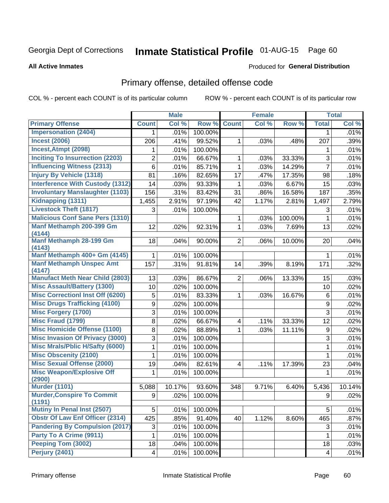# Inmate Statistical Profile 01-AUG-15 Page 60

#### **All Active Inmates**

### **Produced for General Distribution**

## Primary offense, detailed offense code

COL % - percent each COUNT is of its particular column

|                                             |                | <b>Male</b> |         |                         | <b>Female</b> |         |                | <b>Total</b> |
|---------------------------------------------|----------------|-------------|---------|-------------------------|---------------|---------|----------------|--------------|
| <b>Primary Offense</b>                      | <b>Count</b>   | Col %       | Row %   | <b>Count</b>            | Col %         | Row %   | <b>Total</b>   | Col %        |
| <b>Impersonation (2404)</b>                 | 1.             | .01%        | 100.00% |                         |               |         | 1              | .01%         |
| <b>Incest (2006)</b>                        | 206            | .41%        | 99.52%  | 1                       | .03%          | .48%    | 207            | .39%         |
| Incest, Atmpt (2098)                        | 1              | .01%        | 100.00% |                         |               |         | 1              | .01%         |
| <b>Inciting To Insurrection (2203)</b>      | $\overline{2}$ | .01%        | 66.67%  | 1                       | .03%          | 33.33%  | $\mathfrak{S}$ | .01%         |
| <b>Influencing Witness (2313)</b>           | 6              | .01%        | 85.71%  | 1                       | .03%          | 14.29%  | $\overline{7}$ | .01%         |
| <b>Injury By Vehicle (1318)</b>             | 81             | .16%        | 82.65%  | 17                      | .47%          | 17.35%  | 98             | .18%         |
| <b>Interference With Custody (1312)</b>     | 14             | .03%        | 93.33%  | 1                       | .03%          | 6.67%   | 15             | .03%         |
| <b>Involuntary Manslaughter (1103)</b>      | 156            | .31%        | 83.42%  | 31                      | .86%          | 16.58%  | 187            | .35%         |
| Kidnapping (1311)                           | 1,455          | 2.91%       | 97.19%  | 42                      | 1.17%         | 2.81%   | 1,497          | 2.79%        |
| <b>Livestock Theft (1817)</b>               | 3              | .01%        | 100.00% |                         |               |         | 3              | .01%         |
| <b>Malicious Conf Sane Pers (1310)</b>      |                |             |         | 1                       | .03%          | 100.00% | 1              | .01%         |
| Manf Methamph 200-399 Gm                    | 12             | .02%        | 92.31%  | $\mathbf{1}$            | .03%          | 7.69%   | 13             | .02%         |
| (4144)                                      |                |             |         |                         |               |         |                |              |
| <b>Manf Methamph 28-199 Gm</b><br>(4143)    | 18             | .04%        | 90.00%  | $\overline{2}$          | .06%          | 10.00%  | 20             | .04%         |
| Manf Methamph 400+ Gm (4145)                | $\mathbf{1}$   | .01%        | 100.00% |                         |               |         | 1              | .01%         |
| <b>Manf Methamph Unspec Amt</b>             | 157            | .31%        | 91.81%  | 14                      | .39%          | 8.19%   | 171            | .32%         |
| (4147)                                      |                |             |         |                         |               |         |                |              |
| <b>Manufact Meth Near Child (2803)</b>      | 13             | .03%        | 86.67%  | $\overline{2}$          | .06%          | 13.33%  | 15             | .03%         |
| <b>Misc Assault/Battery (1300)</b>          | 10             | .02%        | 100.00% |                         |               |         | 10             | .02%         |
| <b>Misc Correctionl Inst Off (6200)</b>     | 5              | .01%        | 83.33%  | $\mathbf 1$             | .03%          | 16.67%  | $\,6$          | .01%         |
| <b>Misc Drugs Trafficking (4100)</b>        | 9              | .02%        | 100.00% |                         |               |         | 9              | .02%         |
| <b>Misc Forgery (1700)</b>                  | 3              | .01%        | 100.00% |                         |               |         | 3              | .01%         |
| <b>Misc Fraud (1799)</b>                    | 8              | .02%        | 66.67%  | 4                       | .11%          | 33.33%  | 12             | .02%         |
| <b>Misc Homicide Offense (1100)</b>         | 8              | .02%        | 88.89%  | 1                       | .03%          | 11.11%  | 9              | .02%         |
| <b>Misc Invasion Of Privacy (3000)</b>      | 3              | .01%        | 100.00% |                         |               |         | 3              | .01%         |
| <b>Misc Mrals/Pblic H/Safty (6000)</b>      | 1              | .01%        | 100.00% |                         |               |         | 1              | .01%         |
| <b>Misc Obscenity (2100)</b>                | 1              | .01%        | 100.00% |                         |               |         | 1              | .01%         |
| <b>Misc Sexual Offense (2000)</b>           | 19             | .04%        | 82.61%  | $\overline{\mathbf{4}}$ | .11%          | 17.39%  | 23             | .04%         |
| <b>Misc Weapon/Explosive Off</b>            | 1              | .01%        | 100.00% |                         |               |         | 1              | .01%         |
| (2900)<br><b>Murder (1101)</b>              |                |             |         |                         |               |         |                |              |
|                                             | 5,088          | 10.17%      | 93.60%  | 348                     | 9.71%         | 6.40%   | 5,436          | 10.14%       |
| <b>Murder, Conspire To Commit</b><br>(1191) | $9^{\circ}$    | .02%        | 100.00% |                         |               |         | $9^{\circ}$    | .02%         |
| Mutiny In Penal Inst (2507)                 | 5              | .01%        | 100.00% |                         |               |         | 5              | .01%         |
| <b>Obstr Of Law Enf Officer (2314)</b>      | 425            | .85%        | 91.40%  | 40                      | 1.12%         | 8.60%   | 465            | .87%         |
| <b>Pandering By Compulsion (2017)</b>       | 3              | .01%        | 100.00% |                         |               |         | 3              | .01%         |
| Party To A Crime (9911)                     | 1              | .01%        | 100.00% |                         |               |         | 1              | .01%         |
| Peeping Tom (3002)                          | 18             | .04%        | 100.00% |                         |               |         | 18             | .03%         |
| <b>Perjury (2401)</b>                       | 4              | .01%        | 100.00% |                         |               |         | 4              | .01%         |
|                                             |                |             |         |                         |               |         |                |              |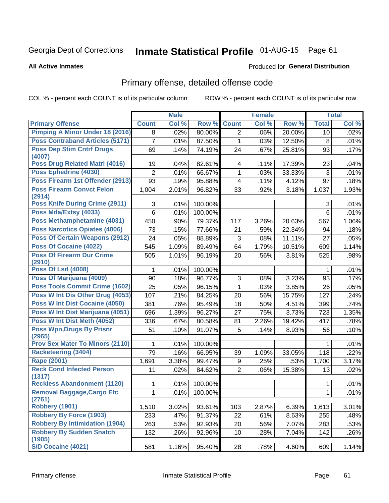# Inmate Statistical Profile 01-AUG-15 Page 61

#### **All Active Inmates**

#### **Produced for General Distribution**

### Primary offense, detailed offense code

COL % - percent each COUNT is of its particular column

|                                             |              | <b>Male</b> |         |                         | <b>Female</b> |        |              | <b>Total</b> |
|---------------------------------------------|--------------|-------------|---------|-------------------------|---------------|--------|--------------|--------------|
| <b>Primary Offense</b>                      | <b>Count</b> | Col %       | Row %   | <b>Count</b>            | Col %         | Row %  | <b>Total</b> | Col %        |
| <b>Pimping A Minor Under 18 (2016)</b>      | 8            | .02%        | 80.00%  | $\overline{2}$          | .06%          | 20.00% | 10           | .02%         |
| <b>Poss Contraband Articles (5171)</b>      | 7            | .01%        | 87.50%  | $\mathbf 1$             | .03%          | 12.50% | 8            | .01%         |
| <b>Poss Dep Stim Cntrf Drugs</b>            | 69           | .14%        | 74.19%  | 24                      | .67%          | 25.81% | 93           | .17%         |
| (4007)                                      |              |             |         |                         |               |        |              |              |
| Poss Drug Related Matrl (4016)              | 19           | .04%        | 82.61%  | 4                       | .11%          | 17.39% | 23           | .04%         |
| Poss Ephedrine (4030)                       | 2            | .01%        | 66.67%  | 1                       | .03%          | 33.33% | 3            | .01%         |
| Poss Firearm 1st Offender (2913)            | 93           | .19%        | 95.88%  | $\overline{\mathbf{4}}$ | .11%          | 4.12%  | 97           | .18%         |
| <b>Poss Firearm Convct Felon</b><br>(2914)  | 1,004        | 2.01%       | 96.82%  | 33                      | .92%          | 3.18%  | 1,037        | $1.93\%$     |
| <b>Poss Knife During Crime (2911)</b>       | 3            | .01%        | 100.00% |                         |               |        | 3            | .01%         |
| Poss Mda/Extsy (4033)                       | 6            | .01%        | 100.00% |                         |               |        | 6            | .01%         |
| Poss Methamphetamine (4031)                 | 450          | .90%        | 79.37%  | 117                     | 3.26%         | 20.63% | 567          | 1.06%        |
| <b>Poss Narcotics Opiates (4006)</b>        | 73           | .15%        | 77.66%  | 21                      | .59%          | 22.34% | 94           | .18%         |
| <b>Poss Of Certain Weapons (2912)</b>       | 24           | .05%        | 88.89%  | 3                       | .08%          | 11.11% | 27           | .05%         |
| Poss Of Cocaine (4022)                      | 545          | 1.09%       | 89.49%  | 64                      | 1.79%         | 10.51% | 609          | 1.14%        |
| <b>Poss Of Firearm Dur Crime</b><br>(2910)  | 505          | 1.01%       | 96.19%  | 20                      | .56%          | 3.81%  | 525          | .98%         |
| <b>Poss Of Lsd (4008)</b>                   | 1            | .01%        | 100.00% |                         |               |        | 1            | .01%         |
| Poss Of Marijuana (4009)                    | 90           | .18%        | 96.77%  | 3                       | .08%          | 3.23%  | 93           | .17%         |
| <b>Poss Tools Commit Crime (1602)</b>       | 25           | .05%        | 96.15%  | 1                       | .03%          | 3.85%  | 26           | .05%         |
| Poss W Int Dis Other Drug (4053)            | 107          | .21%        | 84.25%  | 20                      | .56%          | 15.75% | 127          | .24%         |
| Poss W Int Dist Cocaine (4050)              | 381          | .76%        | 95.49%  | 18                      | .50%          | 4.51%  | 399          | .74%         |
| Poss W Int Dist Marijuana (4051)            | 696          | 1.39%       | 96.27%  | 27                      | .75%          | 3.73%  | 723          | 1.35%        |
| Poss W Int Dist Meth (4052)                 | 336          | .67%        | 80.58%  | 81                      | 2.26%         | 19.42% | 417          | .78%         |
| <b>Poss Wpn, Drugs By Prisnr</b>            | 51           | .10%        | 91.07%  | 5                       | .14%          | 8.93%  | 56           | .10%         |
| (2965)                                      |              |             |         |                         |               |        |              |              |
| <b>Prov Sex Mater To Minors (2110)</b>      | 1            | .01%        | 100.00% |                         |               |        | 1            | .01%         |
| <b>Racketeering (3404)</b>                  | 79           | .16%        | 66.95%  | 39                      | 1.09%         | 33.05% | 118          | .22%         |
| Rape (2001)                                 | 1,691        | 3.38%       | 99.47%  | 9                       | .25%          | .53%   | 1,700        | 3.17%        |
| <b>Reck Cond Infected Person</b><br>(1317)  | 11           | .02%        | 84.62%  | $\overline{2}$          | .06%          | 15.38% | 13           | .02%         |
| <b>Reckless Abandonment (1120)</b>          | 1            | .01%        | 100.00% |                         |               |        | 1            | .01%         |
| <b>Removal Baggage, Cargo Etc</b><br>(2761) | 1            | .01%        | 100.00% |                         |               |        | $\mathbf{1}$ | .01%         |
| Robbery (1901)                              | 1,510        | 3.02%       | 93.61%  | 103                     | 2.87%         | 6.39%  | 1,613        | 3.01%        |
| <b>Robbery By Force (1903)</b>              | 233          | .47%        | 91.37%  | 22                      | .61%          | 8.63%  | 255          | .48%         |
| <b>Robbery By Intimidation (1904)</b>       | 263          | .53%        | 92.93%  | 20                      | .56%          | 7.07%  | 283          | .53%         |
| <b>Robbery By Sudden Snatch</b><br>(1905)   | 132          | .26%        | 92.96%  | 10                      | .28%          | 7.04%  | 142          | .26%         |
| S/D Cocaine (4021)                          | 581          | 1.16%       | 95.40%  | 28                      | .78%          | 4.60%  | 609          | 1.14%        |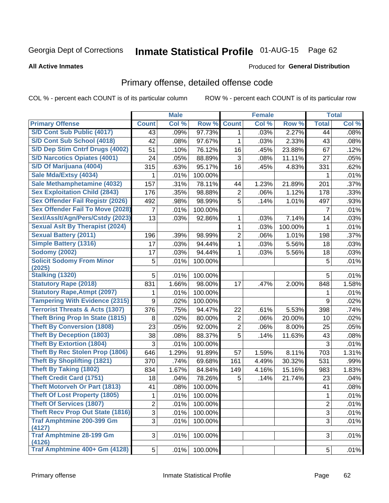# Inmate Statistical Profile 01-AUG-15 Page 62

#### **All Active Inmates**

#### Produced for General Distribution

## Primary offense, detailed offense code

COL % - percent each COUNT is of its particular column

|                                            |                | <b>Male</b> |         |                | <b>Female</b> |         |                | <b>Total</b> |
|--------------------------------------------|----------------|-------------|---------|----------------|---------------|---------|----------------|--------------|
| <b>Primary Offense</b>                     | <b>Count</b>   | Col %       | Row %   | <b>Count</b>   | Col %         | Row %   | <b>Total</b>   | Col %        |
| S/D Cont Sub Public (4017)                 | 43             | .09%        | 97.73%  | $\mathbf{1}$   | .03%          | 2.27%   | 44             | .08%         |
| S/D Cont Sub School (4018)                 | 42             | .08%        | 97.67%  | 1              | .03%          | 2.33%   | 43             | .08%         |
| S/D Dep Stim Cntrf Drugs (4002)            | 51             | .10%        | 76.12%  | 16             | .45%          | 23.88%  | 67             | .12%         |
| <b>S/D Narcotics Opiates (4001)</b>        | 24             | .05%        | 88.89%  | 3              | .08%          | 11.11%  | 27             | .05%         |
| S/D Of Marijuana (4004)                    | 315            | .63%        | 95.17%  | 16             | .45%          | 4.83%   | 331            | .62%         |
| Sale Mda/Extsy (4034)                      | 1              | .01%        | 100.00% |                |               |         | 1              | .01%         |
| Sale Methamphetamine (4032)                | 157            | .31%        | 78.11%  | 44             | 1.23%         | 21.89%  | 201            | .37%         |
| <b>Sex Exploitation Child (2843)</b>       | 176            | .35%        | 98.88%  | $\overline{2}$ | .06%          | 1.12%   | 178            | .33%         |
| <b>Sex Offender Fail Registr (2026)</b>    | 492            | .98%        | 98.99%  | 5              | .14%          | 1.01%   | 497            | .93%         |
| <b>Sex Offender Fail To Move (2028)</b>    | 7              | .01%        | 100.00% |                |               |         | $\overline{7}$ | .01%         |
| Sexl/Asslt/Agn/Pers/Cstdy (2023)           | 13             | .03%        | 92.86%  | 1              | .03%          | 7.14%   | 14             | .03%         |
| <b>Sexual Aslt By Therapist (2024)</b>     |                |             |         | 1              | .03%          | 100.00% | $\mathbf{1}$   | .01%         |
| <b>Sexual Battery (2011)</b>               | 196            | .39%        | 98.99%  | $\overline{2}$ | .06%          | 1.01%   | 198            | .37%         |
| <b>Simple Battery (1316)</b>               | 17             | .03%        | 94.44%  | 1              | .03%          | 5.56%   | 18             | .03%         |
| <b>Sodomy (2002)</b>                       | 17             | .03%        | 94.44%  | 1              | .03%          | 5.56%   | 18             | .03%         |
| <b>Solicit Sodomy From Minor</b>           | 5              | .01%        | 100.00% |                |               |         | 5              | .01%         |
| (2025)                                     |                |             |         |                |               |         |                |              |
| <b>Stalking (1320)</b>                     | 5              | .01%        | 100.00% |                |               |         | 5              | .01%         |
| <b>Statutory Rape (2018)</b>               | 831            | 1.66%       | 98.00%  | 17             | .47%          | 2.00%   | 848            | 1.58%        |
| <b>Statutory Rape, Atmpt (2097)</b>        | 1              | .01%        | 100.00% |                |               |         | 1              | .01%         |
| <b>Tampering With Evidence (2315)</b>      | 9              | .02%        | 100.00% |                |               |         | 9              | .02%         |
| <b>Terrorist Threats &amp; Acts (1307)</b> | 376            | .75%        | 94.47%  | 22             | .61%          | 5.53%   | 398            | .74%         |
| <b>Theft Bring Prop In State (1815)</b>    | 8              | .02%        | 80.00%  | $\overline{2}$ | .06%          | 20.00%  | 10             | .02%         |
| <b>Theft By Conversion (1808)</b>          | 23             | .05%        | 92.00%  | $\overline{2}$ | .06%          | 8.00%   | 25             | .05%         |
| <b>Theft By Deception (1803)</b>           | 38             | .08%        | 88.37%  | 5              | .14%          | 11.63%  | 43             | .08%         |
| <b>Theft By Extortion (1804)</b>           | 3              | .01%        | 100.00% |                |               |         | 3              | .01%         |
| <b>Theft By Rec Stolen Prop (1806)</b>     | 646            | 1.29%       | 91.89%  | 57             | 1.59%         | 8.11%   | 703            | 1.31%        |
| <b>Theft By Shoplifting (1821)</b>         | 370            | .74%        | 69.68%  | 161            | 4.49%         | 30.32%  | 531            | .99%         |
| <b>Theft By Taking (1802)</b>              | 834            | 1.67%       | 84.84%  | 149            | 4.16%         | 15.16%  | 983            | 1.83%        |
| <b>Theft Credit Card (1751)</b>            | 18             | .04%        | 78.26%  | 5              | .14%          | 21.74%  | 23             | .04%         |
| <b>Theft Motorveh Or Part (1813)</b>       | 41             | .08%        | 100.00% |                |               |         | 41             | .08%         |
| <b>Theft Of Lost Property (1805)</b>       | $\mathbf 1$    | .01%        | 100.00% |                |               |         | $\overline{1}$ | .01%         |
| <b>Theft Of Services (1807)</b>            | $\overline{2}$ | .01%        | 100.00% |                |               |         | $\overline{2}$ | .01%         |
| <b>Theft Recv Prop Out State (1816)</b>    | 3              | .01%        | 100.00% |                |               |         | $\mathfrak{S}$ | .01%         |
| <b>Traf Amphtmine 200-399 Gm</b><br>(4127) | 3              | .01%        | 100.00% |                |               |         | 3              | .01%         |
| <b>Traf Amphtmine 28-199 Gm</b><br>(4126)  | 3              | .01%        | 100.00% |                |               |         | 3              | .01%         |
| Traf Amphtmine 400+ Gm (4128)              | 5 <sup>1</sup> | .01%        | 100.00% |                |               |         | 5              | .01%         |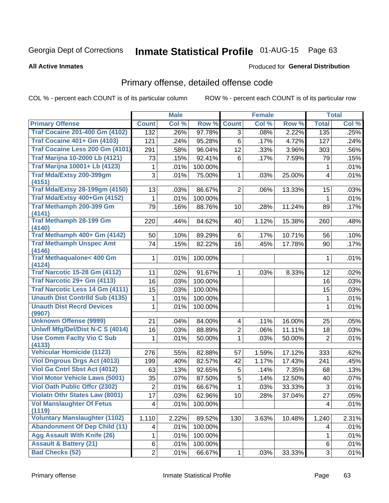# Inmate Statistical Profile 01-AUG-15 Page 63

#### **All Active Inmates**

#### Produced for General Distribution

## Primary offense, detailed offense code

COL % - percent each COUNT is of its particular column

|                                               |                         | <b>Male</b> |         |                | <b>Female</b> |        |                  | <b>Total</b> |
|-----------------------------------------------|-------------------------|-------------|---------|----------------|---------------|--------|------------------|--------------|
| <b>Primary Offense</b>                        | <b>Count</b>            | Col %       | Row %   | <b>Count</b>   | Col %         | Row %  | <b>Total</b>     | Col %        |
| <b>Traf Cocaine 201-400 Gm (4102)</b>         | 132                     | .26%        | 97.78%  | 3 <sup>1</sup> | .08%          | 2.22%  | $\overline{135}$ | .25%         |
| <b>Traf Cocaine 401+ Gm (4103)</b>            | 121                     | .24%        | 95.28%  | 6              | .17%          | 4.72%  | 127              | .24%         |
| Traf Cocaine Less 200 Gm (4101)               | 291                     | .58%        | 96.04%  | 12             | .33%          | 3.96%  | 303              | .56%         |
| <b>Traf Marijna 10-2000 Lb (4121)</b>         | 73                      | .15%        | 92.41%  | 6              | .17%          | 7.59%  | 79               | .15%         |
| <b>Traf Marijna 10001+ Lb (4123)</b>          | 1                       | .01%        | 100.00% |                |               |        | 1                | .01%         |
| Traf Mda/Extsy 200-399gm                      | 3                       | .01%        | 75.00%  | 1              | .03%          | 25.00% | $\overline{4}$   | .01%         |
| (4151)                                        |                         |             |         |                |               |        |                  |              |
| <b>Traf Mda/Extsy 28-199gm (4150)</b>         | 13                      | .03%        | 86.67%  | $\overline{2}$ | .06%          | 13.33% | 15               | .03%         |
| Traf Mda/Extsy 400+Gm (4152)                  | 1                       | .01%        | 100.00% |                |               |        | 1                | .01%         |
| Traf Methamph 200-399 Gm<br>(4141)            | 79                      | .16%        | 88.76%  | 10             | .28%          | 11.24% | 89               | .17%         |
| <b>Traf Methamph 28-199 Gm</b><br>(4140)      | 220                     | .44%        | 84.62%  | 40             | 1.12%         | 15.38% | 260              | .48%         |
| Traf Methamph 400+ Gm (4142)                  | 50                      | .10%        | 89.29%  | $6 \mid$       | .17%          | 10.71% | 56               | .10%         |
| <b>Traf Methamph Unspec Amt</b><br>(4146)     | 74                      | .15%        | 82.22%  | 16             | .45%          | 17.78% | 90               | .17%         |
| <b>Traf Methaqualone&lt; 400 Gm</b><br>(4124) | 1                       | .01%        | 100.00% |                |               |        | 1                | .01%         |
| <b>Traf Narcotic 15-28 Gm (4112)</b>          | 11                      | .02%        | 91.67%  | 1              | .03%          | 8.33%  | 12               | .02%         |
| Traf Narcotic 29+ Gm (4113)                   | 16                      | .03%        | 100.00% |                |               |        | 16               | .03%         |
| Traf Narcotic Less 14 Gm (4111)               | 15                      | .03%        | 100.00% |                |               |        | 15               | .03%         |
| <b>Unauth Dist Contrild Sub (4135)</b>        | 1                       | .01%        | 100.00% |                |               |        | 1                | .01%         |
| <b>Unauth Dist Recrd Devices</b><br>(9907)    | 1                       | .01%        | 100.00% |                |               |        | $\mathbf 1$      | .01%         |
| <b>Unknown Offense (9999)</b>                 | 21                      | .04%        | 84.00%  | 4              | .11%          | 16.00% | 25               | .05%         |
| Uniwfl Mfg/Del/Dist N-C S (4014)              | 16                      | .03%        | 88.89%  | $\overline{2}$ | .06%          | 11.11% | 18               | .03%         |
| <b>Use Comm Facity Vio C Sub</b><br>(4133)    | 1                       | .01%        | 50.00%  | 1              | .03%          | 50.00% | $\overline{2}$   | .01%         |
| <b>Vehicular Homicide (1123)</b>              | 276                     | .55%        | 82.88%  | 57             | 1.59%         | 17.12% | 333              | .62%         |
| <b>Viol Dngrous Drgs Act (4013)</b>           | 199                     | .40%        | 82.57%  | 42             | 1.17%         | 17.43% | 241              | .45%         |
| Viol Ga Cntrl Sbst Act (4012)                 | 63                      | .13%        | 92.65%  | 5              | .14%          | 7.35%  | 68               | .13%         |
| <b>Viol Motor Vehicle Laws (5001)</b>         | 35                      | .07%        | 87.50%  | 5              | .14%          | 12.50% | 40               | .07%         |
| <b>Viol Oath Public Offer (2302)</b>          | $\overline{2}$          | .01%        | 66.67%  | 1              | .03%          | 33.33% | 3                | .01%         |
| <b>Violatn Othr States Law (8001)</b>         | $\overline{17}$         | .03%        | 62.96%  | 10             | .28%          | 37.04% | $\overline{27}$  | .05%         |
| <b>Vol Manslaughter Of Fetus</b><br>(1119)    | $\overline{\mathbf{4}}$ | .01%        | 100.00% |                |               |        | 4                | .01%         |
| <b>Voluntary Manslaughter (1102)</b>          | 1,110                   | 2.22%       | 89.52%  | 130            | 3.63%         | 10.48% | 1,240            | 2.31%        |
| <b>Abandonment Of Dep Child (11)</b>          | 4                       | .01%        | 100.00% |                |               |        | 4                | .01%         |
| <b>Agg Assault With Knife (26)</b>            | 1                       | .01%        | 100.00% |                |               |        | 1                | .01%         |
| <b>Assault &amp; Battery (21)</b>             | 6                       | .01%        | 100.00% |                |               |        | 6                | .01%         |
| <b>Bad Checks (52)</b>                        | $\overline{2}$          | .01%        | 66.67%  | $\mathbf 1$    | .03%          | 33.33% | 3                | .01%         |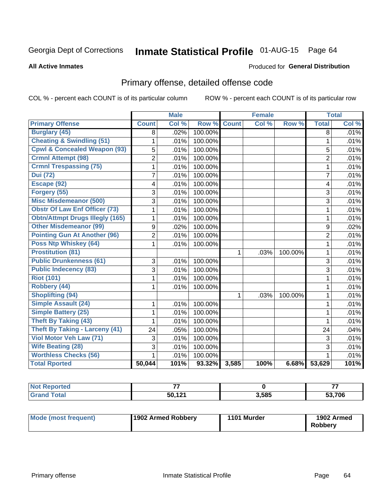## Inmate Statistical Profile 01-AUG-15 Page 64

#### **All Active Inmates**

#### Produced for General Distribution

## Primary offense, detailed offense code

COL % - percent each COUNT is of its particular column

|                                         |                | <b>Male</b> |         | <b>Female</b> |       |         | <b>Total</b>   |       |
|-----------------------------------------|----------------|-------------|---------|---------------|-------|---------|----------------|-------|
| <b>Primary Offense</b>                  | <b>Count</b>   | Col %       | Row %   | <b>Count</b>  | Col % | Row %   | <b>Total</b>   | Col % |
| <b>Burglary (45)</b>                    | 8              | .02%        | 100.00% |               |       |         | 8              | .01%  |
| <b>Cheating &amp; Swindling (51)</b>    | 1              | .01%        | 100.00% |               |       |         | $\mathbf{1}$   | .01%  |
| <b>Cpwl &amp; Concealed Weapon (93)</b> | 5              | .01%        | 100.00% |               |       |         | 5              | .01%  |
| <b>Crmnl Attempt (98)</b>               | $\overline{2}$ | .01%        | 100.00% |               |       |         | $\overline{2}$ | .01%  |
| <b>Crmnl Trespassing (75)</b>           | 1              | .01%        | 100.00% |               |       |         | $\mathbf{1}$   | .01%  |
| <b>Dui</b> (72)                         | $\overline{7}$ | .01%        | 100.00% |               |       |         | $\overline{7}$ | .01%  |
| Escape (92)                             | 4              | .01%        | 100.00% |               |       |         | $\overline{4}$ | .01%  |
| Forgery (55)                            | 3              | .01%        | 100.00% |               |       |         | 3              | .01%  |
| <b>Misc Misdemeanor (500)</b>           | 3              | .01%        | 100.00% |               |       |         | 3              | .01%  |
| <b>Obstr Of Law Enf Officer (73)</b>    | 1              | .01%        | 100.00% |               |       |         | $\mathbf{1}$   | .01%  |
| <b>Obtn/Attmpt Drugs Illegly (165)</b>  | 1              | .01%        | 100.00% |               |       |         | 1              | .01%  |
| <b>Other Misdemeanor (99)</b>           | 9              | .02%        | 100.00% |               |       |         | 9              | .02%  |
| <b>Pointing Gun At Another (96)</b>     | $\overline{2}$ | .01%        | 100.00% |               |       |         | $\overline{2}$ | .01%  |
| <b>Poss Ntp Whiskey (64)</b>            | 1              | .01%        | 100.00% |               |       |         | 1              | .01%  |
| <b>Prostitution (81)</b>                |                |             |         | $\mathbf{1}$  | .03%  | 100.00% | $\mathbf{1}$   | .01%  |
| <b>Public Drunkenness (61)</b>          | 3              | .01%        | 100.00% |               |       |         | 3              | .01%  |
| <b>Public Indecency (83)</b>            | 3              | .01%        | 100.00% |               |       |         | 3              | .01%  |
| <b>Riot (101)</b>                       | $\mathbf 1$    | .01%        | 100.00% |               |       |         | $\mathbf{1}$   | .01%  |
| Robbery (44)                            | 1              | .01%        | 100.00% |               |       |         | $\mathbf{1}$   | .01%  |
| <b>Shoplifting (94)</b>                 |                |             |         | 1             | .03%  | 100.00% | 1              | .01%  |
| <b>Simple Assault (24)</b>              | 1              | .01%        | 100.00% |               |       |         | $\mathbf{1}$   | .01%  |
| <b>Simple Battery (25)</b>              | 1              | .01%        | 100.00% |               |       |         | 1              | .01%  |
| <b>Theft By Taking (43)</b>             | 1              | .01%        | 100.00% |               |       |         | $\mathbf{1}$   | .01%  |
| <b>Theft By Taking - Larceny (41)</b>   | 24             | .05%        | 100.00% |               |       |         | 24             | .04%  |
| Viol Motor Veh Law (71)                 | 3              | .01%        | 100.00% |               |       |         | 3              | .01%  |
| <b>Wife Beating (28)</b>                | 3              | .01%        | 100.00% |               |       |         | $\overline{3}$ | .01%  |
| <b>Worthless Checks (56)</b>            | 1              | .01%        | 100.00% |               |       |         | 1              | .01%  |
| <b>Total Rported</b>                    | 50,044         | 101%        | 93.32%  | 3,585         | 100%  | 6.68%   | 53,629         | 101%  |

| <b>Not</b><br>rtea<br>**enor |                         |       | --     |
|------------------------------|-------------------------|-------|--------|
|                              | <b>EN 494</b><br>$\sim$ | 3,585 | 53.706 |

| Mode (most frequent) | 1902 Armed Robbery | 1101 Murder | 1902 Armed<br><b>Robberv</b> |
|----------------------|--------------------|-------------|------------------------------|
|----------------------|--------------------|-------------|------------------------------|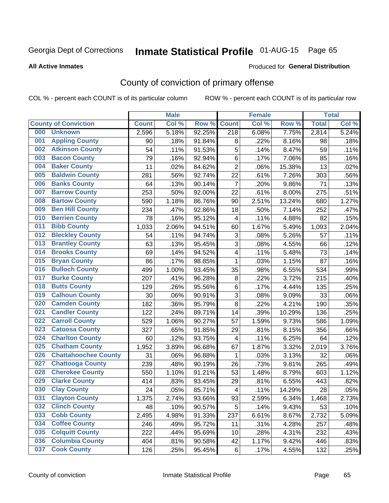# Inmate Statistical Profile 01-AUG-15 Page 65

#### **All Active Inmates**

#### Produced for General Distribution

## County of conviction of primary offense

COL % - percent each COUNT is of its particular column

|     |                             |              | <b>Male</b> |        |                           | <b>Female</b> |        |              | <b>Total</b> |
|-----|-----------------------------|--------------|-------------|--------|---------------------------|---------------|--------|--------------|--------------|
|     | <b>County of Conviction</b> | <b>Count</b> | Col %       | Row %  | <b>Count</b>              | Col %         | Row %  | <b>Total</b> | Col %        |
| 000 | <b>Unknown</b>              | 2,596        | 5.18%       | 92.25% | $\overline{218}$          | 6.08%         | 7.75%  | 2,814        | 5.24%        |
| 001 | <b>Appling County</b>       | 90           | .18%        | 91.84% | 8                         | .22%          | 8.16%  | 98           | .18%         |
| 002 | <b>Atkinson County</b>      | 54           | .11%        | 91.53% | 5                         | .14%          | 8.47%  | 59           | .11%         |
| 003 | <b>Bacon County</b>         | 79           | .16%        | 92.94% | $\,6$                     | .17%          | 7.06%  | 85           | .16%         |
| 004 | <b>Baker County</b>         | 11           | .02%        | 84.62% | $\overline{2}$            | .06%          | 15.38% | 13           | .02%         |
| 005 | <b>Baldwin County</b>       | 281          | .56%        | 92.74% | 22                        | .61%          | 7.26%  | 303          | .56%         |
| 006 | <b>Banks County</b>         | 64           | .13%        | 90.14% | $\overline{7}$            | .20%          | 9.86%  | 71           | .13%         |
| 007 | <b>Barrow County</b>        | 253          | .50%        | 92.00% | 22                        | .61%          | 8.00%  | 275          | .51%         |
| 008 | <b>Bartow County</b>        | 590          | 1.18%       | 86.76% | 90                        | 2.51%         | 13.24% | 680          | 1.27%        |
| 009 | <b>Ben Hill County</b>      | 234          | .47%        | 92.86% | 18                        | .50%          | 7.14%  | 252          | .47%         |
| 010 | <b>Berrien County</b>       | 78           | .16%        | 95.12% | $\overline{\mathbf{4}}$   | .11%          | 4.88%  | 82           | .15%         |
| 011 | <b>Bibb County</b>          | 1,033        | 2.06%       | 94.51% | 60                        | 1.67%         | 5.49%  | 1,093        | 2.04%        |
| 012 | <b>Bleckley County</b>      | 54           | .11%        | 94.74% | $\ensuremath{\mathsf{3}}$ | .08%          | 5.26%  | 57           | .11%         |
| 013 | <b>Brantley County</b>      | 63           | .13%        | 95.45% | 3                         | .08%          | 4.55%  | 66           | .12%         |
| 014 | <b>Brooks County</b>        | 69           | .14%        | 94.52% | $\overline{\mathbf{4}}$   | .11%          | 5.48%  | 73           | .14%         |
| 015 | <b>Bryan County</b>         | 86           | .17%        | 98.85% | 1                         | .03%          | 1.15%  | 87           | .16%         |
| 016 | <b>Bulloch County</b>       | 499          | 1.00%       | 93.45% | 35                        | .98%          | 6.55%  | 534          | .99%         |
| 017 | <b>Burke County</b>         | 207          | .41%        | 96.28% | 8                         | .22%          | 3.72%  | 215          | .40%         |
| 018 | <b>Butts County</b>         | 129          | .26%        | 95.56% | 6                         | .17%          | 4.44%  | 135          | .25%         |
| 019 | <b>Calhoun County</b>       | 30           | .06%        | 90.91% | 3                         | .08%          | 9.09%  | 33           | .06%         |
| 020 | <b>Camden County</b>        | 182          | .36%        | 95.79% | 8                         | .22%          | 4.21%  | 190          | .35%         |
| 021 | <b>Candler County</b>       | 122          | .24%        | 89.71% | 14                        | .39%          | 10.29% | 136          | .25%         |
| 022 | <b>Carroll County</b>       | 529          | 1.06%       | 90.27% | 57                        | 1.59%         | 9.73%  | 586          | 1.09%        |
| 023 | <b>Catoosa County</b>       | 327          | .65%        | 91.85% | 29                        | .81%          | 8.15%  | 356          | .66%         |
| 024 | <b>Charlton County</b>      | 60           | .12%        | 93.75% | 4                         | .11%          | 6.25%  | 64           | .12%         |
| 025 | <b>Chatham County</b>       | 1,952        | 3.89%       | 96.68% | 67                        | 1.87%         | 3.32%  | 2,019        | 3.76%        |
| 026 | <b>Chattahoochee County</b> | 31           | .06%        | 96.88% | 1                         | .03%          | 3.13%  | 32           | .06%         |
| 027 | <b>Chattooga County</b>     | 239          | .48%        | 90.19% | 26                        | .73%          | 9.81%  | 265          | .49%         |
| 028 | <b>Cherokee County</b>      | 550          | 1.10%       | 91.21% | 53                        | 1.48%         | 8.79%  | 603          | 1.12%        |
| 029 | <b>Clarke County</b>        | 414          | .83%        | 93.45% | 29                        | .81%          | 6.55%  | 443          | .82%         |
| 030 | <b>Clay County</b>          | 24           | .05%        | 85.71% | $\overline{\mathbf{4}}$   | .11%          | 14.29% | 28           | .05%         |
| 031 | <b>Clayton County</b>       | 1,375        | 2.74%       | 93.66% | 93                        | 2.59%         | 6.34%  | 1,468        | 2.73%        |
| 032 | <b>Clinch County</b>        | 48           | .10%        | 90.57% | 5                         | .14%          | 9.43%  | 53           | .10%         |
| 033 | <b>Cobb County</b>          | 2,495        | 4.98%       | 91.33% | 237                       | 6.61%         | 8.67%  | 2,732        | 5.09%        |
| 034 | <b>Coffee County</b>        | 246          | .49%        | 95.72% | 11                        | .31%          | 4.28%  | 257          | .48%         |
| 035 | <b>Colquitt County</b>      | 222          | .44%        | 95.69% | 10                        | .28%          | 4.31%  | 232          | .43%         |
| 036 | <b>Columbia County</b>      | 404          | .81%        | 90.58% | 42                        | 1.17%         | 9.42%  | 446          | .83%         |
| 037 | <b>Cook County</b>          | 126          | .25%        | 95.45% | 6                         | .17%          | 4.55%  | 132          | .25%         |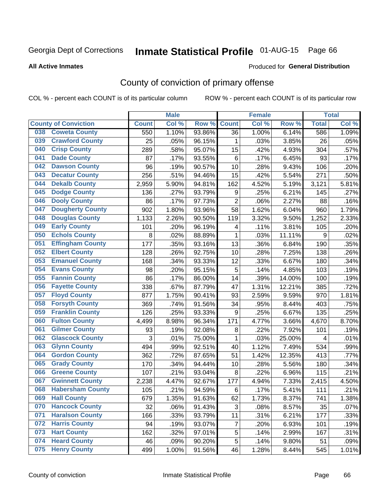## Inmate Statistical Profile 01-AUG-15 Page 66

#### **All Active Inmates**

#### Produced for General Distribution

## County of conviction of primary offense

COL % - percent each COUNT is of its particular column

|     |                             |              | <b>Male</b> |        |                | <b>Female</b> |        |              | <b>Total</b> |
|-----|-----------------------------|--------------|-------------|--------|----------------|---------------|--------|--------------|--------------|
|     | <b>County of Conviction</b> | <b>Count</b> | Col %       | Row %  | <b>Count</b>   | Col%          | Row %  | <b>Total</b> | Col %        |
| 038 | <b>Coweta County</b>        | 550          | 1.10%       | 93.86% | 36             | 1.00%         | 6.14%  | 586          | 1.09%        |
| 039 | <b>Crawford County</b>      | 25           | .05%        | 96.15% | 1              | .03%          | 3.85%  | 26           | .05%         |
| 040 | <b>Crisp County</b>         | 289          | .58%        | 95.07% | 15             | .42%          | 4.93%  | 304          | .57%         |
| 041 | <b>Dade County</b>          | 87           | .17%        | 93.55% | 6              | .17%          | 6.45%  | 93           | .17%         |
| 042 | <b>Dawson County</b>        | 96           | .19%        | 90.57% | 10             | .28%          | 9.43%  | 106          | .20%         |
| 043 | <b>Decatur County</b>       | 256          | .51%        | 94.46% | 15             | .42%          | 5.54%  | 271          | .50%         |
| 044 | <b>Dekalb County</b>        | 2,959        | 5.90%       | 94.81% | 162            | 4.52%         | 5.19%  | 3,121        | 5.81%        |
| 045 | <b>Dodge County</b>         | 136          | .27%        | 93.79% | 9              | .25%          | 6.21%  | 145          | .27%         |
| 046 | <b>Dooly County</b>         | 86           | .17%        | 97.73% | $\overline{2}$ | .06%          | 2.27%  | 88           | .16%         |
| 047 | <b>Dougherty County</b>     | 902          | 1.80%       | 93.96% | 58             | 1.62%         | 6.04%  | 960          | 1.79%        |
| 048 | <b>Douglas County</b>       | 1,133        | 2.26%       | 90.50% | 119            | 3.32%         | 9.50%  | 1,252        | 2.33%        |
| 049 | <b>Early County</b>         | 101          | .20%        | 96.19% | 4              | .11%          | 3.81%  | 105          | .20%         |
| 050 | <b>Echols County</b>        | 8            | .02%        | 88.89% | $\mathbf{1}$   | .03%          | 11.11% | 9            | .02%         |
| 051 | <b>Effingham County</b>     | 177          | .35%        | 93.16% | 13             | .36%          | 6.84%  | 190          | .35%         |
| 052 | <b>Elbert County</b>        | 128          | .26%        | 92.75% | 10             | .28%          | 7.25%  | 138          | .26%         |
| 053 | <b>Emanuel County</b>       | 168          | .34%        | 93.33% | 12             | .33%          | 6.67%  | 180          | .34%         |
| 054 | <b>Evans County</b>         | 98           | .20%        | 95.15% | 5              | .14%          | 4.85%  | 103          | .19%         |
| 055 | <b>Fannin County</b>        | 86           | .17%        | 86.00% | 14             | .39%          | 14.00% | 100          | .19%         |
| 056 | <b>Fayette County</b>       | 338          | .67%        | 87.79% | 47             | 1.31%         | 12.21% | 385          | .72%         |
| 057 | <b>Floyd County</b>         | 877          | 1.75%       | 90.41% | 93             | 2.59%         | 9.59%  | 970          | 1.81%        |
| 058 | <b>Forsyth County</b>       | 369          | .74%        | 91.56% | 34             | .95%          | 8.44%  | 403          | .75%         |
| 059 | <b>Franklin County</b>      | 126          | .25%        | 93.33% | 9              | .25%          | 6.67%  | 135          | .25%         |
| 060 | <b>Fulton County</b>        | 4,499        | 8.98%       | 96.34% | 171            | 4.77%         | 3.66%  | 4,670        | 8.70%        |
| 061 | <b>Gilmer County</b>        | 93           | .19%        | 92.08% | 8              | .22%          | 7.92%  | 101          | .19%         |
| 062 | <b>Glascock County</b>      | 3            | .01%        | 75.00% | $\mathbf{1}$   | .03%          | 25.00% | 4            | .01%         |
| 063 | <b>Glynn County</b>         | 494          | .99%        | 92.51% | 40             | 1.12%         | 7.49%  | 534          | .99%         |
| 064 | <b>Gordon County</b>        | 362          | .72%        | 87.65% | 51             | 1.42%         | 12.35% | 413          | .77%         |
| 065 | <b>Grady County</b>         | 170          | .34%        | 94.44% | 10             | .28%          | 5.56%  | 180          | .34%         |
| 066 | <b>Greene County</b>        | 107          | .21%        | 93.04% | 8              | .22%          | 6.96%  | 115          | .21%         |
| 067 | <b>Gwinnett County</b>      | 2,238        | 4.47%       | 92.67% | 177            | 4.94%         | 7.33%  | 2,415        | 4.50%        |
| 068 | <b>Habersham County</b>     | 105          | .21%        | 94.59% | 6              | .17%          | 5.41%  | 111          | .21%         |
| 069 | <b>Hall County</b>          | 679          | 1.35%       | 91.63% | 62             | 1.73%         | 8.37%  | 741          | 1.38%        |
| 070 | <b>Hancock County</b>       | 32           | .06%        | 91.43% | 3              | .08%          | 8.57%  | 35           | .07%         |
| 071 | <b>Haralson County</b>      | 166          | .33%        | 93.79% | 11             | .31%          | 6.21%  | 177          | .33%         |
| 072 | <b>Harris County</b>        | 94           | .19%        | 93.07% | 7              | .20%          | 6.93%  | 101          | .19%         |
| 073 | <b>Hart County</b>          | 162          | .32%        | 97.01% | 5              | .14%          | 2.99%  | 167          | .31%         |
| 074 | <b>Heard County</b>         | 46           | .09%        | 90.20% | 5              | .14%          | 9.80%  | 51           | .09%         |
| 075 | <b>Henry County</b>         | 499          | 1.00%       | 91.56% | 46             | 1.28%         | 8.44%  | 545          | 1.01%        |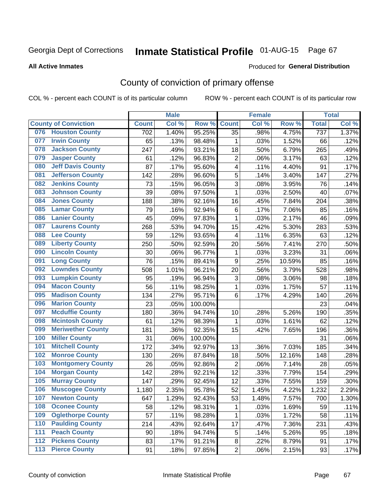# Inmate Statistical Profile 01-AUG-15 Page 67

#### **All Active Inmates**

#### Produced for General Distribution

## County of conviction of primary offense

COL % - percent each COUNT is of its particular column

|     |                             |              | <b>Male</b> |         |                 | <b>Female</b> |        |              | <b>Total</b> |
|-----|-----------------------------|--------------|-------------|---------|-----------------|---------------|--------|--------------|--------------|
|     | <b>County of Conviction</b> | <b>Count</b> | Col %       | Row %   | <b>Count</b>    | Col %         | Row %  | <b>Total</b> | Col %        |
| 076 | <b>Houston County</b>       | 702          | 1.40%       | 95.25%  | $\overline{35}$ | .98%          | 4.75%  | 737          | 1.37%        |
| 077 | <b>Irwin County</b>         | 65           | .13%        | 98.48%  | 1               | .03%          | 1.52%  | 66           | .12%         |
| 078 | <b>Jackson County</b>       | 247          | .49%        | 93.21%  | 18              | .50%          | 6.79%  | 265          | .49%         |
| 079 | <b>Jasper County</b>        | 61           | .12%        | 96.83%  | $\overline{2}$  | .06%          | 3.17%  | 63           | .12%         |
| 080 | <b>Jeff Davis County</b>    | 87           | .17%        | 95.60%  | 4               | .11%          | 4.40%  | 91           | .17%         |
| 081 | <b>Jefferson County</b>     | 142          | .28%        | 96.60%  | 5               | .14%          | 3.40%  | 147          | .27%         |
| 082 | <b>Jenkins County</b>       | 73           | .15%        | 96.05%  | 3               | .08%          | 3.95%  | 76           | .14%         |
| 083 | <b>Johnson County</b>       | 39           | .08%        | 97.50%  | $\mathbf{1}$    | .03%          | 2.50%  | 40           | .07%         |
| 084 | <b>Jones County</b>         | 188          | .38%        | 92.16%  | 16              | .45%          | 7.84%  | 204          | .38%         |
| 085 | <b>Lamar County</b>         | 79           | .16%        | 92.94%  | 6               | .17%          | 7.06%  | 85           | .16%         |
| 086 | <b>Lanier County</b>        | 45           | .09%        | 97.83%  | $\mathbf{1}$    | .03%          | 2.17%  | 46           | .09%         |
| 087 | <b>Laurens County</b>       | 268          | .53%        | 94.70%  | 15              | .42%          | 5.30%  | 283          | .53%         |
| 088 | <b>Lee County</b>           | 59           | .12%        | 93.65%  | 4               | .11%          | 6.35%  | 63           | .12%         |
| 089 | <b>Liberty County</b>       | 250          | .50%        | 92.59%  | 20              | .56%          | 7.41%  | 270          | .50%         |
| 090 | <b>Lincoln County</b>       | 30           | .06%        | 96.77%  | 1               | .03%          | 3.23%  | 31           | .06%         |
| 091 | <b>Long County</b>          | 76           | .15%        | 89.41%  | 9               | .25%          | 10.59% | 85           | .16%         |
| 092 | <b>Lowndes County</b>       | 508          | 1.01%       | 96.21%  | 20              | .56%          | 3.79%  | 528          | .98%         |
| 093 | <b>Lumpkin County</b>       | 95           | .19%        | 96.94%  | 3               | .08%          | 3.06%  | 98           | .18%         |
| 094 | <b>Macon County</b>         | 56           | .11%        | 98.25%  | $\mathbf{1}$    | .03%          | 1.75%  | 57           | .11%         |
| 095 | <b>Madison County</b>       | 134          | .27%        | 95.71%  | 6               | .17%          | 4.29%  | 140          | .26%         |
| 096 | <b>Marion County</b>        | 23           | .05%        | 100.00% |                 |               |        | 23           | .04%         |
| 097 | <b>Mcduffie County</b>      | 180          | .36%        | 94.74%  | 10              | .28%          | 5.26%  | 190          | .35%         |
| 098 | <b>Mcintosh County</b>      | 61           | .12%        | 98.39%  | $\mathbf 1$     | .03%          | 1.61%  | 62           | .12%         |
| 099 | <b>Meriwether County</b>    | 181          | .36%        | 92.35%  | 15              | .42%          | 7.65%  | 196          | .36%         |
| 100 | <b>Miller County</b>        | 31           | .06%        | 100.00% |                 |               |        | 31           | .06%         |
| 101 | <b>Mitchell County</b>      | 172          | .34%        | 92.97%  | 13              | .36%          | 7.03%  | 185          | .34%         |
| 102 | <b>Monroe County</b>        | 130          | .26%        | 87.84%  | 18              | .50%          | 12.16% | 148          | .28%         |
| 103 | <b>Montgomery County</b>    | 26           | .05%        | 92.86%  | $\overline{2}$  | .06%          | 7.14%  | 28           | .05%         |
| 104 | <b>Morgan County</b>        | 142          | .28%        | 92.21%  | 12              | .33%          | 7.79%  | 154          | .29%         |
| 105 | <b>Murray County</b>        | 147          | .29%        | 92.45%  | 12              | .33%          | 7.55%  | 159          | .30%         |
| 106 | <b>Muscogee County</b>      | 1,180        | 2.35%       | 95.78%  | 52              | 1.45%         | 4.22%  | 1,232        | 2.29%        |
| 107 | <b>Newton County</b>        | 647          | 1.29%       | 92.43%  | 53              | 1.48%         | 7.57%  | 700          | 1.30%        |
| 108 | <b>Oconee County</b>        | 58           | .12%        | 98.31%  | 1               | .03%          | 1.69%  | 59           | .11%         |
| 109 | <b>Oglethorpe County</b>    | 57           | .11%        | 98.28%  | 1               | .03%          | 1.72%  | 58           | .11%         |
| 110 | <b>Paulding County</b>      | 214          | .43%        | 92.64%  | 17              | .47%          | 7.36%  | 231          | .43%         |
| 111 | <b>Peach County</b>         | 90           | .18%        | 94.74%  | 5               | .14%          | 5.26%  | 95           | .18%         |
| 112 | <b>Pickens County</b>       | 83           | .17%        | 91.21%  | 8               | .22%          | 8.79%  | 91           | .17%         |
| 113 | <b>Pierce County</b>        | 91           | .18%        | 97.85%  | $\overline{c}$  | .06%          | 2.15%  | 93           | .17%         |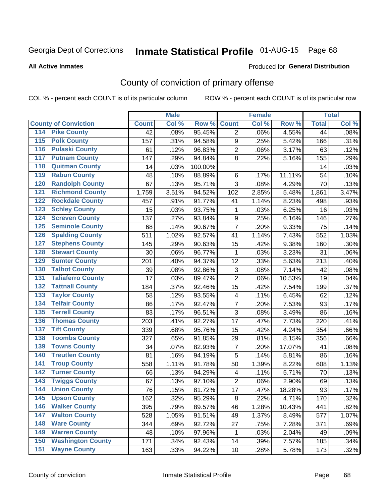# Inmate Statistical Profile 01-AUG-15 Page 68

#### **All Active Inmates**

#### Produced for General Distribution

## County of conviction of primary offense

COL % - percent each COUNT is of its particular column

|                                        |              | <b>Male</b> |         |                  | <b>Female</b> |        |                 | <b>Total</b> |
|----------------------------------------|--------------|-------------|---------|------------------|---------------|--------|-----------------|--------------|
| <b>County of Conviction</b>            | <b>Count</b> | Col %       | Row %   | <b>Count</b>     | Col %         | Row %  | <b>Total</b>    | Col %        |
| <b>Pike County</b><br>114              | 42           | .08%        | 95.45%  | $\overline{2}$   | .06%          | 4.55%  | $\overline{44}$ | .08%         |
| <b>Polk County</b><br>$\overline{115}$ | 157          | .31%        | 94.58%  | 9                | .25%          | 5.42%  | 166             | .31%         |
| <b>Pulaski County</b><br>116           | 61           | .12%        | 96.83%  | $\overline{2}$   | .06%          | 3.17%  | 63              | .12%         |
| <b>Putnam County</b><br>117            | 147          | .29%        | 94.84%  | 8                | .22%          | 5.16%  | 155             | .29%         |
| 118<br><b>Quitman County</b>           | 14           | .03%        | 100.00% |                  |               |        | 14              | .03%         |
| <b>Rabun County</b><br>119             | 48           | .10%        | 88.89%  | 6                | .17%          | 11.11% | 54              | .10%         |
| <b>Randolph County</b><br>120          | 67           | .13%        | 95.71%  | 3                | .08%          | 4.29%  | 70              | .13%         |
| <b>Richmond County</b><br>121          | 1,759        | 3.51%       | 94.52%  | 102              | 2.85%         | 5.48%  | 1,861           | 3.47%        |
| <b>Rockdale County</b><br>122          | 457          | .91%        | 91.77%  | 41               | 1.14%         | 8.23%  | 498             | .93%         |
| <b>Schley County</b><br>123            | 15           | .03%        | 93.75%  | 1                | .03%          | 6.25%  | 16              | .03%         |
| <b>Screven County</b><br>124           | 137          | .27%        | 93.84%  | $\boldsymbol{9}$ | .25%          | 6.16%  | 146             | .27%         |
| <b>Seminole County</b><br>125          | 68           | .14%        | 90.67%  | $\overline{7}$   | .20%          | 9.33%  | 75              | .14%         |
| 126<br><b>Spalding County</b>          | 511          | 1.02%       | 92.57%  | 41               | 1.14%         | 7.43%  | 552             | 1.03%        |
| 127<br><b>Stephens County</b>          | 145          | .29%        | 90.63%  | 15               | .42%          | 9.38%  | 160             | .30%         |
| <b>Stewart County</b><br>128           | 30           | .06%        | 96.77%  | 1                | .03%          | 3.23%  | 31              | .06%         |
| <b>Sumter County</b><br>129            | 201          | .40%        | 94.37%  | 12               | .33%          | 5.63%  | 213             | .40%         |
| <b>Talbot County</b><br>130            | 39           | .08%        | 92.86%  | 3                | .08%          | 7.14%  | 42              | .08%         |
| <b>Taliaferro County</b><br>131        | 17           | .03%        | 89.47%  | $\overline{2}$   | .06%          | 10.53% | 19              | .04%         |
| <b>Tattnall County</b><br>132          | 184          | .37%        | 92.46%  | 15               | .42%          | 7.54%  | 199             | .37%         |
| <b>Taylor County</b><br>133            | 58           | .12%        | 93.55%  | 4                | .11%          | 6.45%  | 62              | .12%         |
| <b>Telfair County</b><br>134           | 86           | .17%        | 92.47%  | $\overline{7}$   | .20%          | 7.53%  | 93              | .17%         |
| <b>Terrell County</b><br>135           | 83           | .17%        | 96.51%  | $\overline{3}$   | .08%          | 3.49%  | 86              | .16%         |
| <b>Thomas County</b><br>136            | 203          | .41%        | 92.27%  | 17               | .47%          | 7.73%  | 220             | .41%         |
| <b>Tift County</b><br>137              | 339          | .68%        | 95.76%  | 15               | .42%          | 4.24%  | 354             | .66%         |
| <b>Toombs County</b><br>138            | 327          | .65%        | 91.85%  | 29               | .81%          | 8.15%  | 356             | .66%         |
| <b>Towns County</b><br>139             | 34           | .07%        | 82.93%  | $\overline{7}$   | .20%          | 17.07% | 41              | .08%         |
| <b>Treutlen County</b><br>140          | 81           | .16%        | 94.19%  | 5                | .14%          | 5.81%  | 86              | .16%         |
| <b>Troup County</b><br>141             | 558          | 1.11%       | 91.78%  | 50               | 1.39%         | 8.22%  | 608             | 1.13%        |
| <b>Turner County</b><br>142            | 66           | .13%        | 94.29%  | 4                | .11%          | 5.71%  | 70              | .13%         |
| <b>Twiggs County</b><br>143            | 67           | .13%        | 97.10%  | $\overline{2}$   | .06%          | 2.90%  | 69              | .13%         |
| <b>Union County</b><br>144             | 76           | .15%        | 81.72%  | 17               | .47%          | 18.28% | 93              | .17%         |
| 145<br><b>Upson County</b>             | 162          | .32%        | 95.29%  | 8                | .22%          | 4.71%  | 170             | .32%         |
| <b>Walker County</b><br>146            | 395          | .79%        | 89.57%  | 46               | 1.28%         | 10.43% | 441             | .82%         |
| <b>Walton County</b><br>147            | 528          | 1.05%       | 91.51%  | 49               | 1.37%         | 8.49%  | 577             | 1.07%        |
| <b>Ware County</b><br>148              | 344          | .69%        | 92.72%  | 27               | .75%          | 7.28%  | 371             | .69%         |
| <b>Warren County</b><br>149            | 48           | .10%        | 97.96%  | 1                | .03%          | 2.04%  | 49              | .09%         |
| <b>Washington County</b><br>150        | 171          | .34%        | 92.43%  | 14               | .39%          | 7.57%  | 185             | .34%         |
| <b>Wayne County</b><br>151             | 163          | .33%        | 94.22%  | 10               | .28%          | 5.78%  | 173             | .32%         |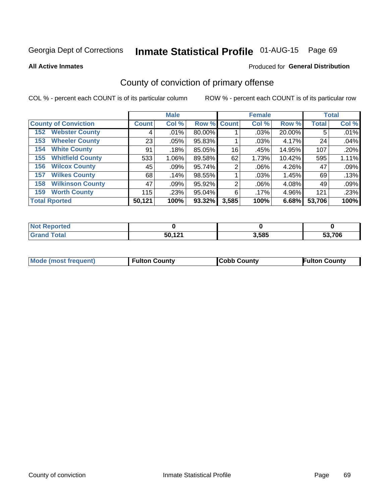# Inmate Statistical Profile 01-AUG-15 Page 69

**All Active Inmates** 

#### Produced for General Distribution

## County of conviction of primary offense

COL % - percent each COUNT is of its particular column

|                                | <b>Male</b>  |         |             | <b>Female</b> |       |        | <b>Total</b> |       |
|--------------------------------|--------------|---------|-------------|---------------|-------|--------|--------------|-------|
| <b>County of Conviction</b>    | <b>Count</b> | Col %   | Row % Count |               | Col % | Row %  | <b>Total</b> | Col % |
| <b>Webster County</b><br>152   | 4            | .01%    | 80.00%      |               | .03%  | 20.00% | 5            | .01%  |
| <b>Wheeler County</b><br>153   | 23           | .05%    | 95.83%      |               | .03%  | 4.17%  | 24           | .04%  |
| <b>White County</b><br>154     | 91           | .18%    | 85.05%      | 16            | .45%  | 14.95% | 107          | .20%  |
| <b>Whitfield County</b><br>155 | 533          | 1.06%   | 89.58%      | 62            | 1.73% | 10.42% | 595          | 1.11% |
| <b>Wilcox County</b><br>156    | 45           | $.09\%$ | 95.74%      | 2             | .06%  | 4.26%  | 47           | .09%  |
| <b>Wilkes County</b><br>157    | 68           | .14%    | 98.55%      |               | .03%  | 1.45%  | 69           | .13%  |
| <b>Wilkinson County</b><br>158 | 47           | .09%    | 95.92%      | 2             | .06%  | 4.08%  | 49           | .09%  |
| <b>Worth County</b><br>159     | 115          | .23%    | 95.04%      | 6             | .17%  | 4.96%  | 121          | .23%  |
| <b>Total Rported</b>           | 50,121       | 100%    | 93.32%      | 3,585         | 100%  | 6.68%  | 53,706       | 100%  |

| <b>Not Reported</b> |                  |       |        |  |
|---------------------|------------------|-------|--------|--|
| <b>Total</b>        | 50,121<br>$\sim$ | 3,585 | 53,706 |  |

| <b>Mode (most frequent)</b> | <b>Fulton County</b> | <b>ICobb County</b> | <b>Fulton County</b> |
|-----------------------------|----------------------|---------------------|----------------------|
|                             |                      |                     |                      |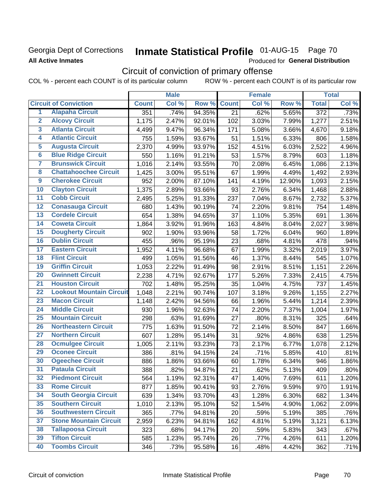### Georgia Dept of Corrections **All Active Inmates**

# Inmate Statistical Profile 01-AUG-15 Page 70

Produced for General Distribution

## Circuit of conviction of primary offense

COL % - percent each COUNT is of its particular column ROW % - percent each COUNT is of its particular row

|                         |                                 |              | <b>Male</b> |        |                 | <b>Female</b> |        |                  | <b>Total</b> |
|-------------------------|---------------------------------|--------------|-------------|--------|-----------------|---------------|--------|------------------|--------------|
|                         | <b>Circuit of Conviction</b>    | <b>Count</b> | Col %       | Row %  | <b>Count</b>    | Col %         | Row %  | <b>Total</b>     | Col %        |
| 1                       | <b>Alapaha Circuit</b>          | 351          | .74%        | 94.35% | $\overline{21}$ | .62%          | 5.65%  | $\overline{372}$ | .73%         |
| $\overline{2}$          | <b>Alcovy Circuit</b>           | 1,175        | 2.47%       | 92.01% | 102             | 3.03%         | 7.99%  | 1,277            | 2.51%        |
| $\overline{\mathbf{3}}$ | <b>Atlanta Circuit</b>          | 4,499        | 9.47%       | 96.34% | 171             | 5.08%         | 3.66%  | 4,670            | 9.18%        |
| 4                       | <b>Atlantic Circuit</b>         | 755          | 1.59%       | 93.67% | 51              | 1.51%         | 6.33%  | 806              | 1.58%        |
| 5                       | <b>Augusta Circuit</b>          | 2,370        | 4.99%       | 93.97% | 152             | 4.51%         | 6.03%  | 2,522            | 4.96%        |
| $\overline{6}$          | <b>Blue Ridge Circuit</b>       | 550          | 1.16%       | 91.21% | 53              | 1.57%         | 8.79%  | 603              | 1.18%        |
| 7                       | <b>Brunswick Circuit</b>        | 1,016        | 2.14%       | 93.55% | 70              | 2.08%         | 6.45%  | 1,086            | 2.13%        |
| 8                       | <b>Chattahoochee Circuit</b>    | 1,425        | 3.00%       | 95.51% | 67              | 1.99%         | 4.49%  | 1,492            | 2.93%        |
| 9                       | <b>Cherokee Circuit</b>         | 952          | 2.00%       | 87.10% | 141             | 4.19%         | 12.90% | 1,093            | 2.15%        |
| 10                      | <b>Clayton Circuit</b>          | 1,375        | 2.89%       | 93.66% | 93              | 2.76%         | 6.34%  | 1,468            | 2.88%        |
| $\overline{11}$         | <b>Cobb Circuit</b>             | 2,495        | 5.25%       | 91.33% | 237             | 7.04%         | 8.67%  | 2,732            | 5.37%        |
| 12                      | <b>Conasauga Circuit</b>        | 680          | 1.43%       | 90.19% | 74              | 2.20%         | 9.81%  | 754              | 1.48%        |
| 13                      | <b>Cordele Circuit</b>          | 654          | 1.38%       | 94.65% | 37              | 1.10%         | 5.35%  | 691              | 1.36%        |
| $\overline{14}$         | <b>Coweta Circuit</b>           | 1,864        | 3.92%       | 91.96% | 163             | 4.84%         | 8.04%  | 2,027            | 3.98%        |
| 15                      | <b>Dougherty Circuit</b>        | 902          | 1.90%       | 93.96% | 58              | 1.72%         | 6.04%  | 960              | 1.89%        |
| 16                      | <b>Dublin Circuit</b>           | 455          | .96%        | 95.19% | 23              | .68%          | 4.81%  | 478              | .94%         |
| 17                      | <b>Eastern Circuit</b>          | 1,952        | 4.11%       | 96.68% | 67              | 1.99%         | 3.32%  | 2,019            | 3.97%        |
| 18                      | <b>Flint Circuit</b>            | 499          | 1.05%       | 91.56% | 46              | 1.37%         | 8.44%  | 545              | 1.07%        |
| 19                      | <b>Griffin Circuit</b>          | 1,053        | 2.22%       | 91.49% | 98              | 2.91%         | 8.51%  | 1,151            | 2.26%        |
| 20                      | <b>Gwinnett Circuit</b>         | 2,238        | 4.71%       | 92.67% | 177             | 5.26%         | 7.33%  | 2,415            | 4.75%        |
| $\overline{21}$         | <b>Houston Circuit</b>          | 702          | 1.48%       | 95.25% | 35              | 1.04%         | 4.75%  | 737              | 1.45%        |
| $\overline{22}$         | <b>Lookout Mountain Circuit</b> | 1,048        | 2.21%       | 90.74% | 107             | 3.18%         | 9.26%  | 1,155            | 2.27%        |
| 23                      | <b>Macon Circuit</b>            | 1,148        | 2.42%       | 94.56% | 66              | 1.96%         | 5.44%  | 1,214            | 2.39%        |
| 24                      | <b>Middle Circuit</b>           | 930          | 1.96%       | 92.63% | 74              | 2.20%         | 7.37%  | 1,004            | 1.97%        |
| $\overline{25}$         | <b>Mountain Circuit</b>         | 298          | .63%        | 91.69% | 27              | .80%          | 8.31%  | 325              | .64%         |
| 26                      | <b>Northeastern Circuit</b>     | 775          | 1.63%       | 91.50% | 72              | 2.14%         | 8.50%  | 847              | 1.66%        |
| $\overline{27}$         | <b>Northern Circuit</b>         | 607          | 1.28%       | 95.14% | 31              | .92%          | 4.86%  | 638              | 1.25%        |
| 28                      | <b>Ocmulgee Circuit</b>         | 1,005        | 2.11%       | 93.23% | 73              | 2.17%         | 6.77%  | 1,078            | 2.12%        |
| 29                      | <b>Oconee Circuit</b>           | 386          | .81%        | 94.15% | 24              | .71%          | 5.85%  | 410              | .81%         |
| 30                      | <b>Ogeechee Circuit</b>         | 886          | 1.86%       | 93.66% | 60              | 1.78%         | 6.34%  | 946              | 1.86%        |
| $\overline{31}$         | <b>Pataula Circuit</b>          | 388          | .82%        | 94.87% | 21              | .62%          | 5.13%  | 409              | .80%         |
| 32                      | <b>Piedmont Circuit</b>         | 564          | 1.19%       | 92.31% | 47              | 1.40%         | 7.69%  | 611              | 1.20%        |
| 33                      | <b>Rome Circuit</b>             | 877          | 1.85%       | 90.41% | 93              | 2.76%         | 9.59%  | 970              | 1.91%        |
| 34                      | <b>South Georgia Circuit</b>    | 639          | 1.34%       | 93.70% | 43              | 1.28%         | 6.30%  | 682              | 1.34%        |
| 35                      | <b>Southern Circuit</b>         | 1,010        | 2.13%       | 95.10% | 52              | 1.54%         | 4.90%  | 1,062            | 2.09%        |
| 36                      | <b>Southwestern Circuit</b>     | 365          | .77%        | 94.81% | 20              | .59%          | 5.19%  | 385              | .76%         |
| 37                      | <b>Stone Mountain Circuit</b>   | 2,959        | 6.23%       | 94.81% | 162             | 4.81%         | 5.19%  | 3,121            | 6.13%        |
| 38                      | <b>Tallapoosa Circuit</b>       | 323          | .68%        | 94.17% | 20              | .59%          | 5.83%  | 343              | .67%         |
| 39                      | <b>Tifton Circuit</b>           | 585          | 1.23%       | 95.74% | 26              | .77%          | 4.26%  | 611              | 1.20%        |
| 40                      | <b>Toombs Circuit</b>           | 346          | .73%        | 95.58% | 16              | .48%          | 4.42%  | 362              | .71%         |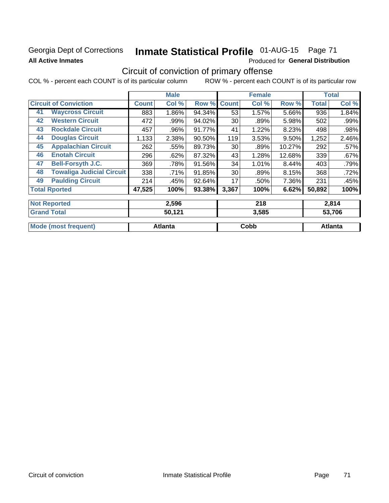### Georgia Dept of Corrections **All Active Inmates**

# Inmate Statistical Profile 01-AUG-15 Page 71

Produced for General Distribution

## Circuit of conviction of primary offense

COL % - percent each COUNT is of its particular column ROW % - percent each COUNT is of its particular row

|                                        |              | <b>Male</b> |        |              | <b>Female</b> |        |              | <b>Total</b> |
|----------------------------------------|--------------|-------------|--------|--------------|---------------|--------|--------------|--------------|
| <b>Circuit of Conviction</b>           | <b>Count</b> | Col %       | Row %  | <b>Count</b> | Col %         | Row %  | <b>Total</b> | Col %        |
| <b>Waycross Circuit</b><br>41          | 883          | 1.86%       | 94.34% | 53           | 1.57%         | 5.66%  | 936          | 1.84%        |
| <b>Western Circuit</b><br>42           | 472          | .99%        | 94.02% | 30           | .89%          | 5.98%  | 502          | .99%         |
| <b>Rockdale Circuit</b><br>43          | 457          | .96%        | 91.77% | 41           | 1.22%         | 8.23%  | 498          | .98%         |
| <b>Douglas Circuit</b><br>44           | 1,133        | 2.38%       | 90.50% | 119          | 3.53%         | 9.50%  | 1,252        | 2.46%        |
| <b>Appalachian Circuit</b><br>45       | 262          | .55%        | 89.73% | 30           | .89%          | 10.27% | 292          | .57%         |
| <b>Enotah Circuit</b><br>46            | 296          | .62%        | 87.32% | 43           | 1.28%         | 12.68% | 339          | .67%         |
| 47<br><b>Bell-Forsyth J.C.</b>         | 369          | .78%        | 91.56% | 34           | 1.01%         | 8.44%  | 403          | .79%         |
| <b>Towaliga Judicial Circuit</b><br>48 | 338          | .71%        | 91.85% | 30           | .89%          | 8.15%  | 368          | .72%         |
| <b>Paulding Circuit</b><br>49          | 214          | .45%        | 92.64% | 17           | .50%          | 7.36%  | 231          | .45%         |
| <b>Total Rported</b>                   | 47,525       | 100%        | 93.38% | 3,367        | 100%          | 6.62%  | 50,892       | 100%         |
|                                        |              |             |        |              |               |        |              |              |
| <b>Not Reported</b>                    |              | 2,596       |        |              | 218           |        |              | 2,814        |
| <b>Grand Total</b>                     |              | 50,121      |        |              | 3,585         |        |              | 53,706       |

| Mode (most frequent) | <b>Atlanta</b> | Cobb | Atlanta |
|----------------------|----------------|------|---------|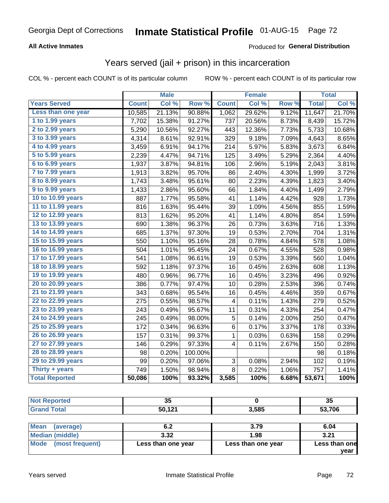## Georgia Dept of Corrections **Inmate Statistical Profile** 01-AUG-15 Page 72

### **All Active Inmates**

### Produced for **General Distribution**

### Years served (jail + prison) in this incarceration

COL % - percent each COUNT is of its particular column ROW % - percent each COUNT is of its particular row

|                        |              | <b>Male</b> |         |                | <b>Female</b> |                  |              | <b>Total</b> |
|------------------------|--------------|-------------|---------|----------------|---------------|------------------|--------------|--------------|
| <b>Years Served</b>    | <b>Count</b> | Col %       | Row %   | <b>Count</b>   | Col %         | Row <sub>%</sub> | <b>Total</b> | Col %        |
| Less than one year     | 10,585       | 21.13%      | 90.88%  | 1,062          | 29.62%        | 9.12%            | 11,647       | 21.70%       |
| 1 to 1.99 years        | 7,702        | 15.38%      | 91.27%  | 737            | 20.56%        | 8.73%            | 8,439        | 15.72%       |
| 2 to 2.99 years        | 5,290        | 10.56%      | 92.27%  | 443            | 12.36%        | 7.73%            | 5,733        | 10.68%       |
| 3 to 3.99 years        | 4,314        | 8.61%       | 92.91%  | 329            | 9.18%         | 7.09%            | 4,643        | 8.65%        |
| 4 to 4.99 years        | 3,459        | 6.91%       | 94.17%  | 214            | 5.97%         | 5.83%            | 3,673        | 6.84%        |
| 5 to 5.99 years        | 2,239        | 4.47%       | 94.71%  | 125            | 3.49%         | 5.29%            | 2,364        | 4.40%        |
| 6 to 6.99 years        | 1,937        | 3.87%       | 94.81%  | 106            | 2.96%         | 5.19%            | 2,043        | 3.81%        |
| 7 to 7.99 years        | 1,913        | 3.82%       | 95.70%  | 86             | 2.40%         | 4.30%            | 1,999        | 3.72%        |
| <b>8 to 8.99 years</b> | 1,743        | 3.48%       | 95.61%  | 80             | 2.23%         | 4.39%            | 1,823        | 3.40%        |
| 9 to 9.99 years        | 1,433        | 2.86%       | 95.60%  | 66             | 1.84%         | 4.40%            | 1,499        | 2.79%        |
| 10 to 10.99 years      | 887          | 1.77%       | 95.58%  | 41             | 1.14%         | 4.42%            | 928          | 1.73%        |
| 11 to 11.99 years      | 816          | 1.63%       | 95.44%  | 39             | 1.09%         | 4.56%            | 855          | 1.59%        |
| 12 to 12.99 years      | 813          | 1.62%       | 95.20%  | 41             | 1.14%         | 4.80%            | 854          | 1.59%        |
| 13 to 13.99 years      | 690          | 1.38%       | 96.37%  | 26             | 0.73%         | 3.63%            | 716          | 1.33%        |
| 14 to 14.99 years      | 685          | 1.37%       | 97.30%  | 19             | 0.53%         | 2.70%            | 704          | 1.31%        |
| 15 to 15.99 years      | 550          | 1.10%       | 95.16%  | 28             | 0.78%         | 4.84%            | 578          | 1.08%        |
| 16 to 16.99 years      | 504          | 1.01%       | 95.45%  | 24             | 0.67%         | 4.55%            | 528          | 0.98%        |
| 17 to 17.99 years      | 541          | 1.08%       | 96.61%  | 19             | 0.53%         | 3.39%            | 560          | 1.04%        |
| 18 to 18.99 years      | 592          | 1.18%       | 97.37%  | 16             | 0.45%         | 2.63%            | 608          | 1.13%        |
| 19 to 19.99 years      | 480          | 0.96%       | 96.77%  | 16             | 0.45%         | 3.23%            | 496          | 0.92%        |
| 20 to 20.99 years      | 386          | 0.77%       | 97.47%  | 10             | 0.28%         | 2.53%            | 396          | 0.74%        |
| 21 to 21.99 years      | 343          | 0.68%       | 95.54%  | 16             | 0.45%         | 4.46%            | 359          | 0.67%        |
| 22 to 22.99 years      | 275          | 0.55%       | 98.57%  | 4              | 0.11%         | 1.43%            | 279          | 0.52%        |
| 23 to 23.99 years      | 243          | 0.49%       | 95.67%  | 11             | 0.31%         | 4.33%            | 254          | 0.47%        |
| 24 to 24.99 years      | 245          | 0.49%       | 98.00%  | 5              | 0.14%         | 2.00%            | 250          | 0.47%        |
| 25 to 25.99 years      | 172          | 0.34%       | 96.63%  | 6              | 0.17%         | 3.37%            | 178          | 0.33%        |
| 26 to 26.99 years      | 157          | 0.31%       | 99.37%  | $\mathbf 1$    | 0.03%         | 0.63%            | 158          | 0.29%        |
| 27 to 27.99 years      | 146          | 0.29%       | 97.33%  | 4              | 0.11%         | 2.67%            | 150          | 0.28%        |
| 28 to 28.99 years      | 98           | 0.20%       | 100.00% |                |               |                  | 98           | 0.18%        |
| 29 to 29.99 years      | 99           | 0.20%       | 97.06%  | 3              | 0.08%         | 2.94%            | 102          | 0.19%        |
| Thirty + years         | 749          | 1.50%       | 98.94%  | $\overline{8}$ | 0.22%         | 1.06%            | 757          | 1.41%        |
| <b>Total Reported</b>  | 50,086       | 100%        | 93.32%  | 3,585          | 100%          | 6.68%            | 53,671       | 100%         |

| - -<br>◡                                       |       | ৩৩   |
|------------------------------------------------|-------|------|
| 4.04<br>50,<br>the contract of the contract of | 3,585 | .706 |

| <b>Mean</b><br>(average) | 6.2                | 3.79               | 6.04          |
|--------------------------|--------------------|--------------------|---------------|
| Median (middle)          | 3.32               | 1.98               | 3.21          |
| Mode (most frequent)     | Less than one year | Less than one year | Less than one |
|                          |                    |                    | vear          |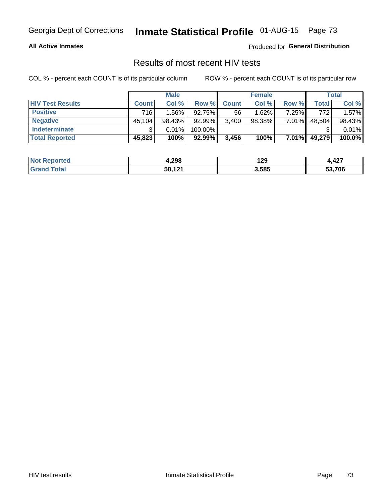### **All Active Inmates**

Produced for **General Distribution**

### Results of most recent HIV tests

|                         | <b>Male</b>  |          |         | <b>Female</b> |           |          | Total  |        |
|-------------------------|--------------|----------|---------|---------------|-----------|----------|--------|--------|
| <b>HIV Test Results</b> | <b>Count</b> | Col%     | Row %I  | <b>Count</b>  | Col %     | Row %    | Total  | Col %  |
| <b>Positive</b>         | 716          | $1.56\%$ | 92.75%  | 56            | 1.62%     | 7.25%    | 772    | 1.57%  |
| <b>Negative</b>         | 45,104       | 98.43%   | 92.99%  | 3,400         | $98.38\%$ | 7.01%    | 48,504 | 98.43% |
| <b>Indeterminate</b>    | ີ            | 0.01%    | 100.00% |               |           |          |        | 0.01%  |
| <b>Total Reported</b>   | 45,823       | 100%     | 92.99%  | 3,456         | 100%      | $7.01\%$ | 49,279 | 100.0% |

| <b>Not Reported</b> | 4,298  | 129   | 107<br>1.467 |
|---------------------|--------|-------|--------------|
| `otal               | 50,121 | 3,585 | 53,706       |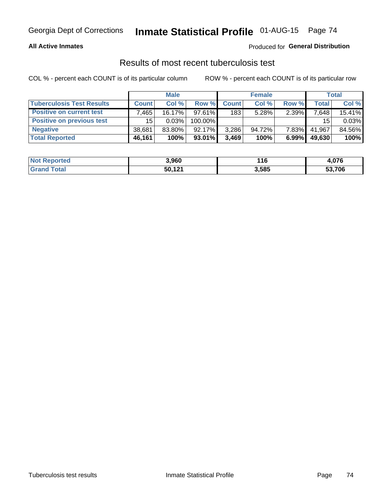### **All Active Inmates**

### Produced for **General Distribution**

### Results of most recent tuberculosis test

|                                  | <b>Male</b>  |           |           | <b>Female</b> |           |          | Total  |        |
|----------------------------------|--------------|-----------|-----------|---------------|-----------|----------|--------|--------|
| <b>Tuberculosis Test Results</b> | <b>Count</b> | Col%      | Row %     | <b>Count</b>  | Col %     | Row %    | Total  | Col %  |
| <b>Positive on current test</b>  | .465         | $16.17\%$ | $97.61\%$ | 183           | 5.28%     | 2.39%    | 7,648  | 15.41% |
| <b>Positive on previous test</b> | 15           | 0.03%     | 100.00%   |               |           |          | 15     | 0.03%  |
| <b>Negative</b>                  | 38,681       | $83.80\%$ | $92.17\%$ | 3,286         | $94.72\%$ | $7.83\%$ | 41.967 | 84.56% |
| <b>Total Reported</b>            | 46,161       | 100%      | $93.01\%$ | 3.469         | 100%      | 6.99%    | 49,630 | 100%   |

| <b>Not Reported</b> | 3,960                  | 116   | 07C<br>7.v/v |
|---------------------|------------------------|-------|--------------|
| Total<br>Gran       | 50,121<br>$\mathbf{r}$ | 3,585 | 53,706       |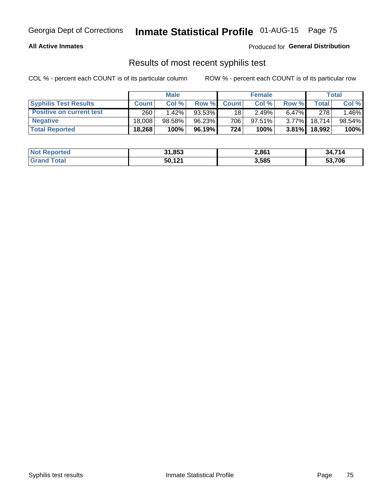### **All Active Inmates**

Produced for **General Distribution**

### Results of most recent syphilis test

|                                 | <b>Male</b>  |           |          | <b>Female</b> |           |          | Total   |        |
|---------------------------------|--------------|-----------|----------|---------------|-----------|----------|---------|--------|
| <b>Syphilis Test Results</b>    | <b>Count</b> | Col%      | Row %    | <b>Count</b>  | Col %     | Row %    | Total I | Col %  |
| <b>Positive on current test</b> | 260          | $1.42\%$  | 93.53%   | 18            | 2.49%     | $6.47\%$ | 278     | 1.46%  |
| <b>Negative</b>                 | 18.008       | $98.58\%$ | 96.23%   | 706           | $97.51\%$ | $3.77\%$ | 18,714  | 98.54% |
| <b>Total Reported</b>           | 18,268       | 100%      | 96.19% I | 724           | 100%      | $3.81\%$ | 18,992  | 100%   |

| <b>Not Reported</b> | 31,853 | 2,861 | 34,714 |
|---------------------|--------|-------|--------|
| <b>Grand Total</b>  | 50.121 | 3,585 | 53,706 |